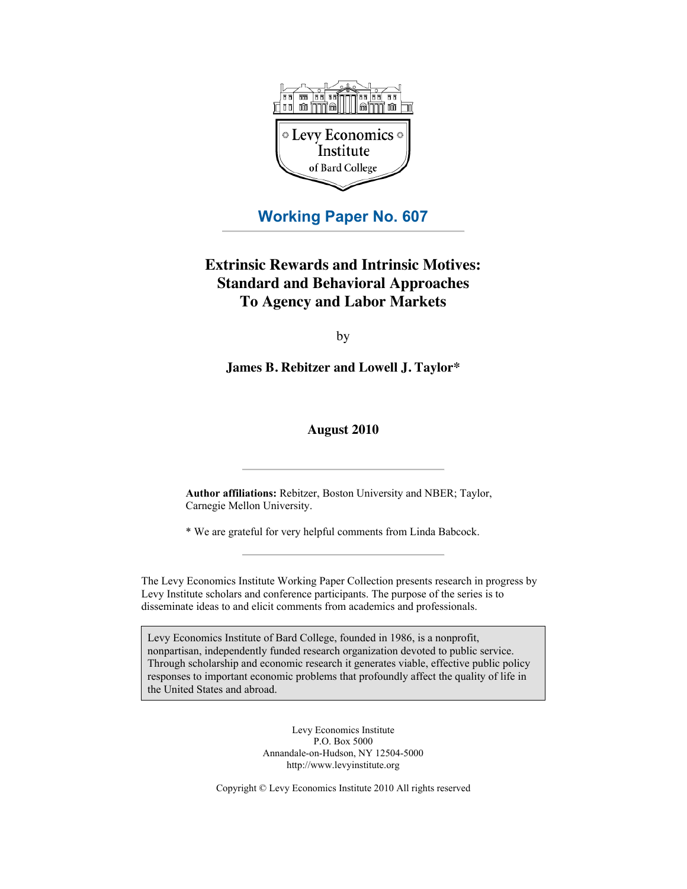

**Working Paper No. 607**

# **Extrinsic Rewards and Intrinsic Motives: Standard and Behavioral Approaches To Agency and Labor Markets**

by

**James B. Rebitzer and Lowell J. Taylor\***

# **August 2010**

**Author affiliations:** Rebitzer, Boston University and NBER; Taylor, Carnegie Mellon University.

\* We are grateful for very helpful comments from Linda Babcock.

The Levy Economics Institute Working Paper Collection presents research in progress by Levy Institute scholars and conference participants. The purpose of the series is to disseminate ideas to and elicit comments from academics and professionals.

Levy Economics Institute of Bard College, founded in 1986, is a nonprofit, nonpartisan, independently funded research organization devoted to public service. Through scholarship and economic research it generates viable, effective public policy responses to important economic problems that profoundly affect the quality of life in the United States and abroad.

> Levy Economics Institute P.O. Box 5000 Annandale-on-Hudson, NY 12504-5000 http://www.levyinstitute.org

Copyright © Levy Economics Institute 2010 All rights reserved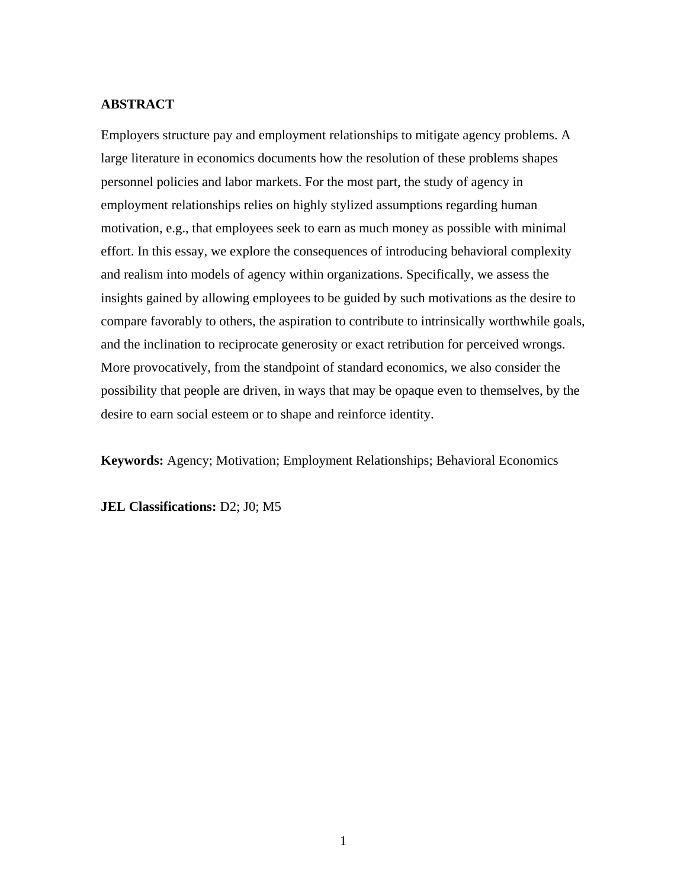# **ABSTRACT**

Employers structure pay and employment relationships to mitigate agency problems. A large literature in economics documents how the resolution of these problems shapes personnel policies and labor markets. For the most part, the study of agency in employment relationships relies on highly stylized assumptions regarding human motivation, e.g., that employees seek to earn as much money as possible with minimal effort. In this essay, we explore the consequences of introducing behavioral complexity and realism into models of agency within organizations. Specifically, we assess the insights gained by allowing employees to be guided by such motivations as the desire to compare favorably to others, the aspiration to contribute to intrinsically worthwhile goals, and the inclination to reciprocate generosity or exact retribution for perceived wrongs. More provocatively, from the standpoint of standard economics, we also consider the possibility that people are driven, in ways that may be opaque even to themselves, by the desire to earn social esteem or to shape and reinforce identity.

**Keywords:** Agency; Motivation; Employment Relationships; Behavioral Economics

**JEL Classifications:** D2; J0; M5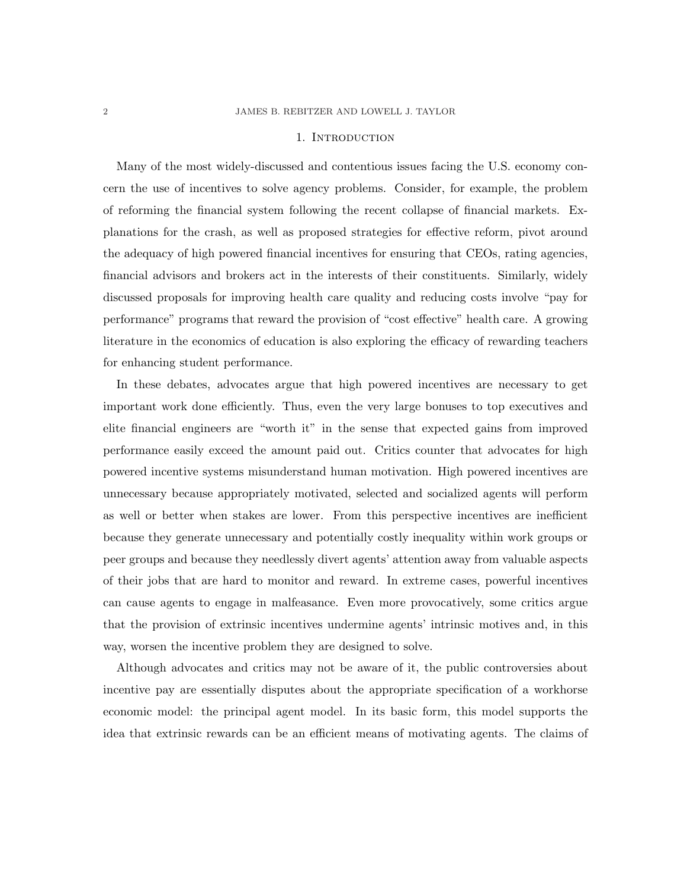# 1. INTRODUCTION

Many of the most widely-discussed and contentious issues facing the U.S. economy concern the use of incentives to solve agency problems. Consider, for example, the problem of reforming the financial system following the recent collapse of financial markets. Explanations for the crash, as well as proposed strategies for effective reform, pivot around the adequacy of high powered financial incentives for ensuring that CEOs, rating agencies, financial advisors and brokers act in the interests of their constituents. Similarly, widely discussed proposals for improving health care quality and reducing costs involve "pay for performance" programs that reward the provision of "cost effective" health care. A growing literature in the economics of education is also exploring the efficacy of rewarding teachers for enhancing student performance.

In these debates, advocates argue that high powered incentives are necessary to get important work done efficiently. Thus, even the very large bonuses to top executives and elite financial engineers are "worth it" in the sense that expected gains from improved performance easily exceed the amount paid out. Critics counter that advocates for high powered incentive systems misunderstand human motivation. High powered incentives are unnecessary because appropriately motivated, selected and socialized agents will perform as well or better when stakes are lower. From this perspective incentives are inefficient because they generate unnecessary and potentially costly inequality within work groups or peer groups and because they needlessly divert agents' attention away from valuable aspects of their jobs that are hard to monitor and reward. In extreme cases, powerful incentives can cause agents to engage in malfeasance. Even more provocatively, some critics argue that the provision of extrinsic incentives undermine agents' intrinsic motives and, in this way, worsen the incentive problem they are designed to solve.

Although advocates and critics may not be aware of it, the public controversies about incentive pay are essentially disputes about the appropriate specification of a workhorse economic model: the principal agent model. In its basic form, this model supports the idea that extrinsic rewards can be an efficient means of motivating agents. The claims of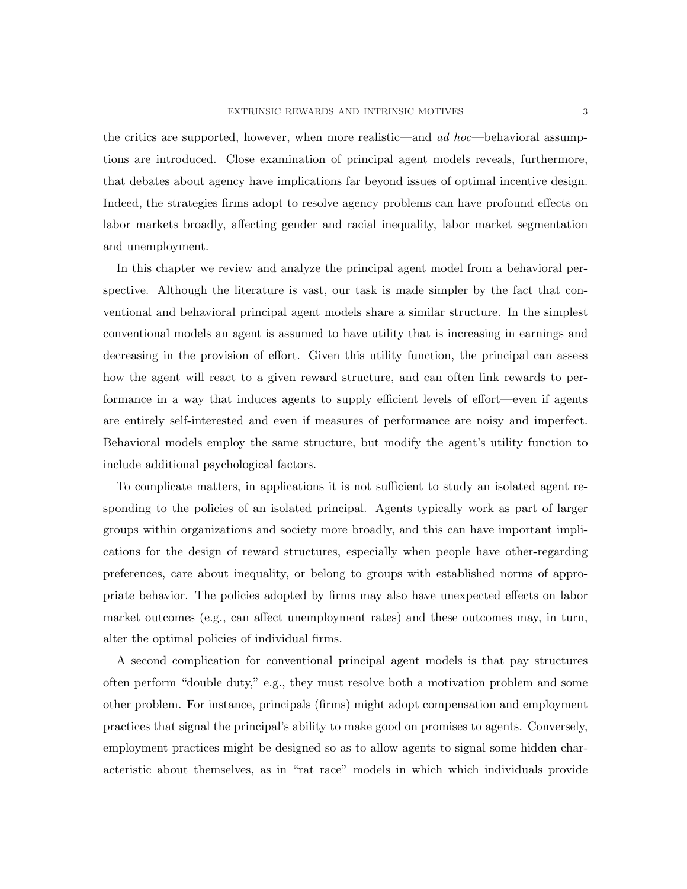the critics are supported, however, when more realistic—and ad hoc—behavioral assumptions are introduced. Close examination of principal agent models reveals, furthermore, that debates about agency have implications far beyond issues of optimal incentive design. Indeed, the strategies firms adopt to resolve agency problems can have profound effects on labor markets broadly, affecting gender and racial inequality, labor market segmentation and unemployment.

In this chapter we review and analyze the principal agent model from a behavioral perspective. Although the literature is vast, our task is made simpler by the fact that conventional and behavioral principal agent models share a similar structure. In the simplest conventional models an agent is assumed to have utility that is increasing in earnings and decreasing in the provision of effort. Given this utility function, the principal can assess how the agent will react to a given reward structure, and can often link rewards to performance in a way that induces agents to supply efficient levels of effort—even if agents are entirely self-interested and even if measures of performance are noisy and imperfect. Behavioral models employ the same structure, but modify the agent's utility function to include additional psychological factors.

To complicate matters, in applications it is not sufficient to study an isolated agent responding to the policies of an isolated principal. Agents typically work as part of larger groups within organizations and society more broadly, and this can have important implications for the design of reward structures, especially when people have other-regarding preferences, care about inequality, or belong to groups with established norms of appropriate behavior. The policies adopted by firms may also have unexpected effects on labor market outcomes (e.g., can affect unemployment rates) and these outcomes may, in turn, alter the optimal policies of individual firms.

A second complication for conventional principal agent models is that pay structures often perform "double duty," e.g., they must resolve both a motivation problem and some other problem. For instance, principals (firms) might adopt compensation and employment practices that signal the principal's ability to make good on promises to agents. Conversely, employment practices might be designed so as to allow agents to signal some hidden characteristic about themselves, as in "rat race" models in which which individuals provide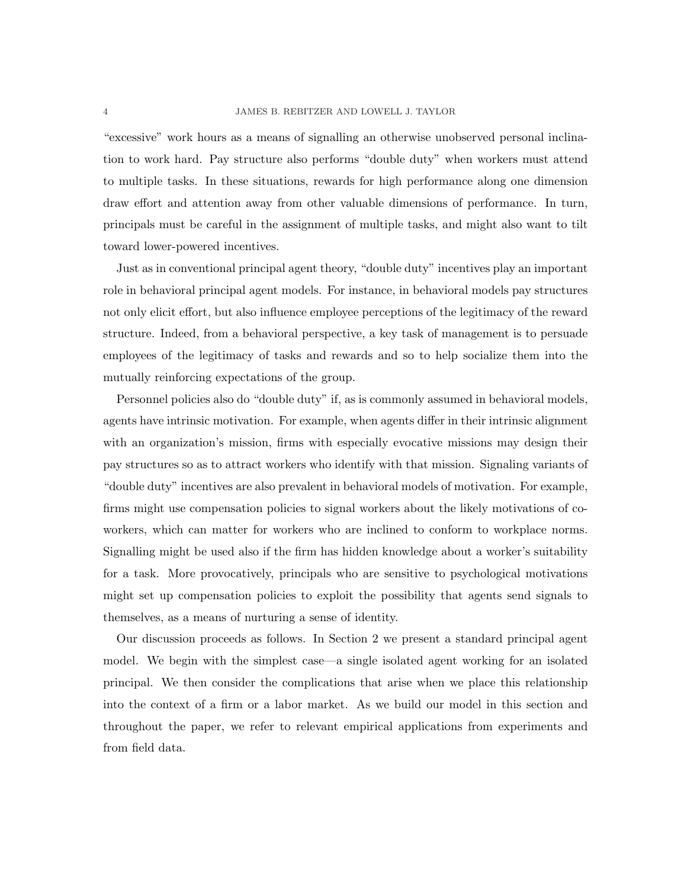"excessive" work hours as a means of signalling an otherwise unobserved personal inclination to work hard. Pay structure also performs "double duty" when workers must attend to multiple tasks. In these situations, rewards for high performance along one dimension draw effort and attention away from other valuable dimensions of performance. In turn, principals must be careful in the assignment of multiple tasks, and might also want to tilt toward lower-powered incentives.

Just as in conventional principal agent theory, "double duty" incentives play an important role in behavioral principal agent models. For instance, in behavioral models pay structures not only elicit effort, but also influence employee perceptions of the legitimacy of the reward structure. Indeed, from a behavioral perspective, a key task of management is to persuade employees of the legitimacy of tasks and rewards and so to help socialize them into the mutually reinforcing expectations of the group.

Personnel policies also do "double duty" if, as is commonly assumed in behavioral models, agents have intrinsic motivation. For example, when agents differ in their intrinsic alignment with an organization's mission, firms with especially evocative missions may design their pay structures so as to attract workers who identify with that mission. Signaling variants of "double duty" incentives are also prevalent in behavioral models of motivation. For example, firms might use compensation policies to signal workers about the likely motivations of coworkers, which can matter for workers who are inclined to conform to workplace norms. Signalling might be used also if the firm has hidden knowledge about a worker's suitability for a task. More provocatively, principals who are sensitive to psychological motivations might set up compensation policies to exploit the possibility that agents send signals to themselves, as a means of nurturing a sense of identity.

Our discussion proceeds as follows. In Section 2 we present a standard principal agent model. We begin with the simplest case—a single isolated agent working for an isolated principal. We then consider the complications that arise when we place this relationship into the context of a firm or a labor market. As we build our model in this section and throughout the paper, we refer to relevant empirical applications from experiments and from field data.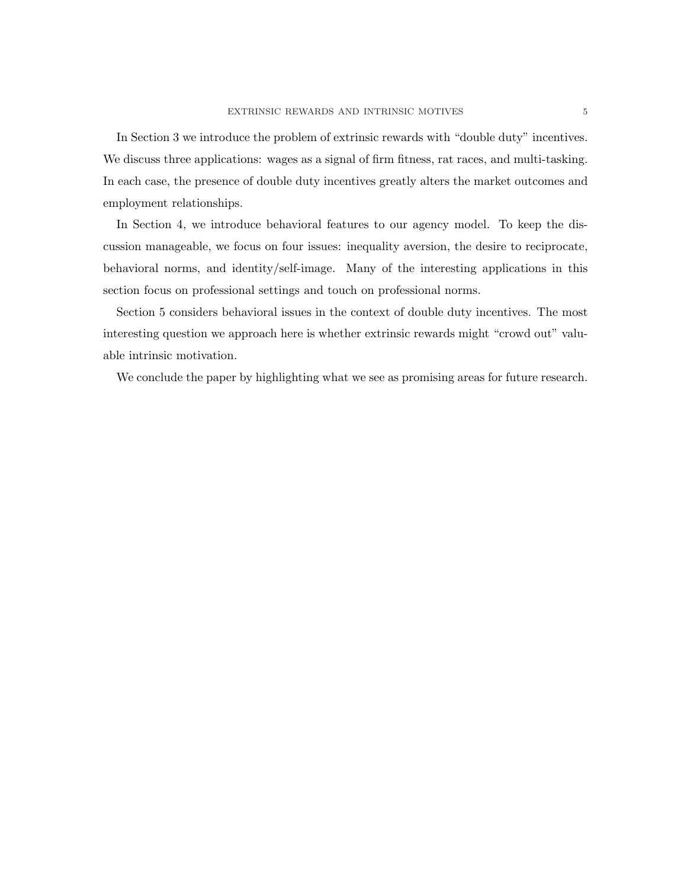In Section 3 we introduce the problem of extrinsic rewards with "double duty" incentives. We discuss three applications: wages as a signal of firm fitness, rat races, and multi-tasking. In each case, the presence of double duty incentives greatly alters the market outcomes and employment relationships.

In Section 4, we introduce behavioral features to our agency model. To keep the discussion manageable, we focus on four issues: inequality aversion, the desire to reciprocate, behavioral norms, and identity/self-image. Many of the interesting applications in this section focus on professional settings and touch on professional norms.

Section 5 considers behavioral issues in the context of double duty incentives. The most interesting question we approach here is whether extrinsic rewards might "crowd out" valuable intrinsic motivation.

We conclude the paper by highlighting what we see as promising areas for future research.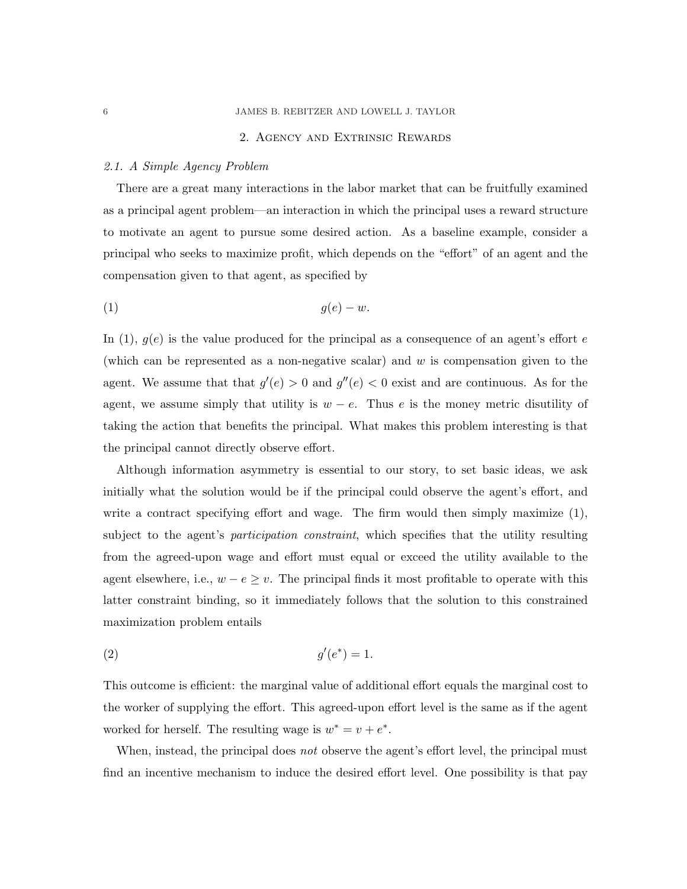### 2. Agency and Extrinsic Rewards

# 2.1. A Simple Agency Problem

There are a great many interactions in the labor market that can be fruitfully examined as a principal agent problem—an interaction in which the principal uses a reward structure to motivate an agent to pursue some desired action. As a baseline example, consider a principal who seeks to maximize profit, which depends on the "effort" of an agent and the compensation given to that agent, as specified by

$$
(1) \t\t g(e) - w.
$$

In (1),  $g(e)$  is the value produced for the principal as a consequence of an agent's effort e (which can be represented as a non-negative scalar) and  $w$  is compensation given to the agent. We assume that that  $g'(e) > 0$  and  $g''(e) < 0$  exist and are continuous. As for the agent, we assume simply that utility is  $w - e$ . Thus e is the money metric disutility of taking the action that benefits the principal. What makes this problem interesting is that the principal cannot directly observe effort.

Although information asymmetry is essential to our story, to set basic ideas, we ask initially what the solution would be if the principal could observe the agent's effort, and write a contract specifying effort and wage. The firm would then simply maximize (1), subject to the agent's *participation constraint*, which specifies that the utility resulting from the agreed-upon wage and effort must equal or exceed the utility available to the agent elsewhere, i.e.,  $w - e \geq v$ . The principal finds it most profitable to operate with this latter constraint binding, so it immediately follows that the solution to this constrained maximization problem entails

$$
(2) \t\t g'(e^*) = 1.
$$

This outcome is efficient: the marginal value of additional effort equals the marginal cost to the worker of supplying the effort. This agreed-upon effort level is the same as if the agent worked for herself. The resulting wage is  $w^* = v + e^*$ .

When, instead, the principal does not observe the agent's effort level, the principal must find an incentive mechanism to induce the desired effort level. One possibility is that pay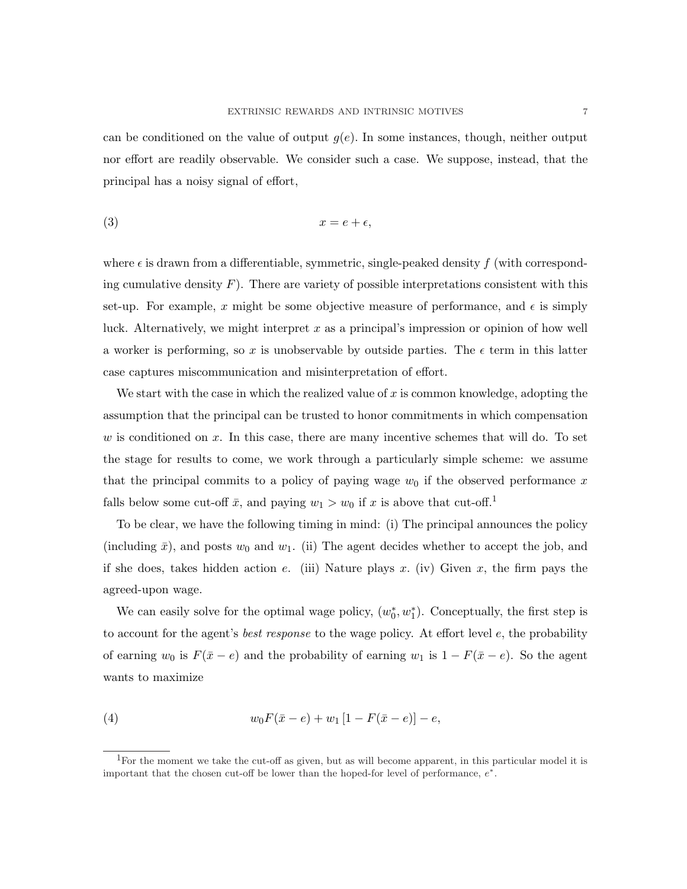can be conditioned on the value of output  $g(e)$ . In some instances, though, neither output nor effort are readily observable. We consider such a case. We suppose, instead, that the principal has a noisy signal of effort,

$$
(3) \t\t x = e + \epsilon,
$$

where  $\epsilon$  is drawn from a differentiable, symmetric, single-peaked density f (with corresponding cumulative density  $F$ ). There are variety of possible interpretations consistent with this set-up. For example, x might be some objective measure of performance, and  $\epsilon$  is simply luck. Alternatively, we might interpret  $x$  as a principal's impression or opinion of how well a worker is performing, so x is unobservable by outside parties. The  $\epsilon$  term in this latter case captures miscommunication and misinterpretation of effort.

We start with the case in which the realized value of x is common knowledge, adopting the assumption that the principal can be trusted to honor commitments in which compensation  $w$  is conditioned on  $x$ . In this case, there are many incentive schemes that will do. To set the stage for results to come, we work through a particularly simple scheme: we assume that the principal commits to a policy of paying wage  $w_0$  if the observed performance x falls below some cut-off  $\bar{x}$ , and paying  $w_1 > w_0$  if x is above that cut-off.<sup>1</sup>

To be clear, we have the following timing in mind: (i) The principal announces the policy (including  $\bar{x}$ ), and posts  $w_0$  and  $w_1$ . (ii) The agent decides whether to accept the job, and if she does, takes hidden action e. (iii) Nature plays x. (iv) Given x, the firm pays the agreed-upon wage.

We can easily solve for the optimal wage policy,  $(w_0^*, w_1^*)$ . Conceptually, the first step is to account for the agent's *best response* to the wage policy. At effort level  $e$ , the probability of earning  $w_0$  is  $F(\bar{x} - e)$  and the probability of earning  $w_1$  is  $1 - F(\bar{x} - e)$ . So the agent wants to maximize

(4) 
$$
w_0 F(\bar{x} - e) + w_1 [1 - F(\bar{x} - e)] - e,
$$

<sup>&</sup>lt;sup>1</sup>For the moment we take the cut-off as given, but as will become apparent, in this particular model it is important that the chosen cut-off be lower than the hoped-for level of performance,  $e^*$ .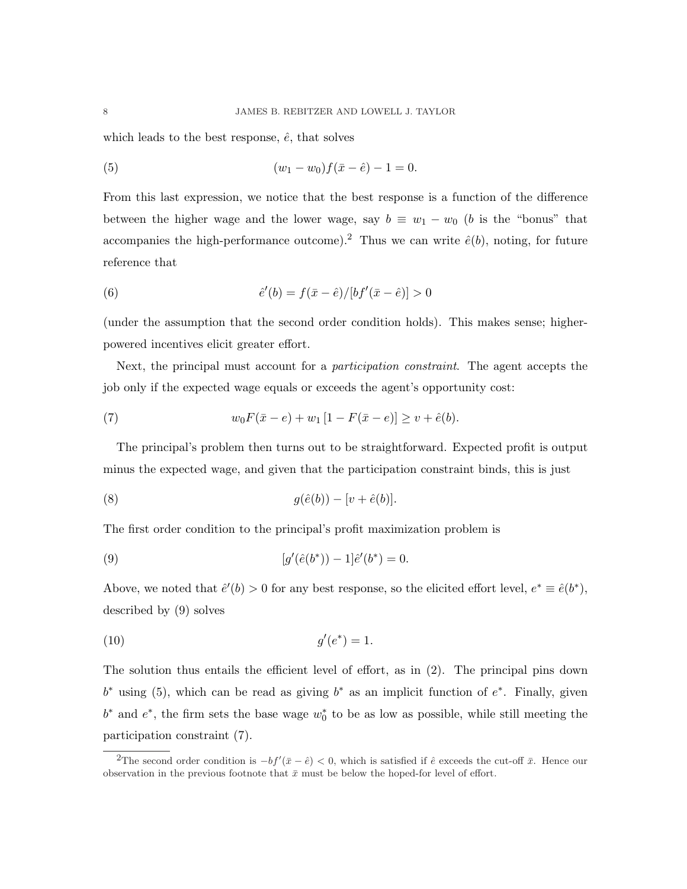which leads to the best response,  $\hat{e}$ , that solves

(5) 
$$
(w_1 - w_0)f(\bar{x} - \hat{e}) - 1 = 0.
$$

From this last expression, we notice that the best response is a function of the difference between the higher wage and the lower wage, say  $b \equiv w_1 - w_0$  (b is the "bonus" that accompanies the high-performance outcome).<sup>2</sup> Thus we can write  $\hat{e}(b)$ , noting, for future reference that

(6) 
$$
\hat{e}'(b) = f(\bar{x} - \hat{e})/[bf'(\bar{x} - \hat{e})] > 0
$$

(under the assumption that the second order condition holds). This makes sense; higherpowered incentives elicit greater effort.

Next, the principal must account for a participation constraint. The agent accepts the job only if the expected wage equals or exceeds the agent's opportunity cost:

(7) 
$$
w_0 F(\bar{x} - e) + w_1 [1 - F(\bar{x} - e)] \ge v + \hat{e}(b).
$$

The principal's problem then turns out to be straightforward. Expected profit is output minus the expected wage, and given that the participation constraint binds, this is just

(8) 
$$
g(\hat{e}(b)) - [v + \hat{e}(b)].
$$

The first order condition to the principal's profit maximization problem is

(9) 
$$
[g'(\hat{e}(b^*)) - 1]\hat{e}'(b^*) = 0.
$$

Above, we noted that  $\hat{e}'(b) > 0$  for any best response, so the elicited effort level,  $e^* \equiv \hat{e}(b^*),$ described by (9) solves

$$
(10) \qquad \qquad g'(e^*) = 1.
$$

The solution thus entails the efficient level of effort, as in (2). The principal pins down  $b^*$  using (5), which can be read as giving  $b^*$  as an implicit function of  $e^*$ . Finally, given  $b^*$  and  $e^*$ , the firm sets the base wage  $w_0^*$  to be as low as possible, while still meeting the participation constraint (7).

<sup>&</sup>lt;sup>2</sup>The second order condition is  $-bf'(\bar{x}-\hat{e}) < 0$ , which is satisfied if  $\hat{e}$  exceeds the cut-off  $\bar{x}$ . Hence our observation in the previous footnote that  $\bar{x}$  must be below the hoped-for level of effort.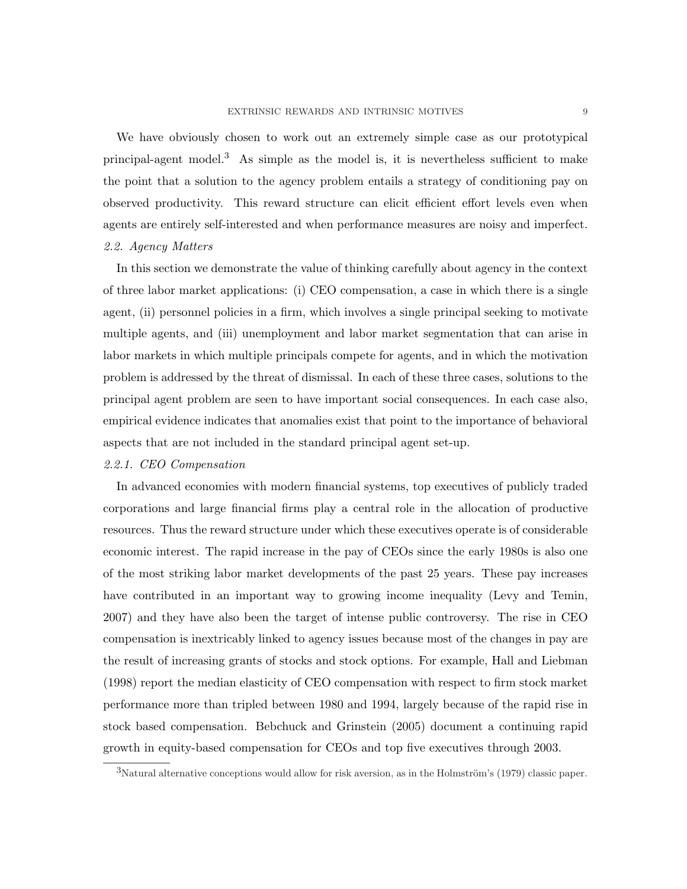We have obviously chosen to work out an extremely simple case as our prototypical principal-agent model.<sup>3</sup> As simple as the model is, it is nevertheless sufficient to make the point that a solution to the agency problem entails a strategy of conditioning pay on observed productivity. This reward structure can elicit efficient effort levels even when agents are entirely self-interested and when performance measures are noisy and imperfect. 2.2. Agency Matters

In this section we demonstrate the value of thinking carefully about agency in the context of three labor market applications: (i) CEO compensation, a case in which there is a single agent, (ii) personnel policies in a firm, which involves a single principal seeking to motivate multiple agents, and (iii) unemployment and labor market segmentation that can arise in labor markets in which multiple principals compete for agents, and in which the motivation problem is addressed by the threat of dismissal. In each of these three cases, solutions to the principal agent problem are seen to have important social consequences. In each case also, empirical evidence indicates that anomalies exist that point to the importance of behavioral aspects that are not included in the standard principal agent set-up.

#### 2.2.1. CEO Compensation

In advanced economies with modern financial systems, top executives of publicly traded corporations and large financial firms play a central role in the allocation of productive resources. Thus the reward structure under which these executives operate is of considerable economic interest. The rapid increase in the pay of CEOs since the early 1980s is also one of the most striking labor market developments of the past 25 years. These pay increases have contributed in an important way to growing income inequality (Levy and Temin, 2007) and they have also been the target of intense public controversy. The rise in CEO compensation is inextricably linked to agency issues because most of the changes in pay are the result of increasing grants of stocks and stock options. For example, Hall and Liebman (1998) report the median elasticity of CEO compensation with respect to firm stock market performance more than tripled between 1980 and 1994, largely because of the rapid rise in stock based compensation. Bebchuck and Grinstein (2005) document a continuing rapid growth in equity-based compensation for CEOs and top five executives through 2003.

 $3$ Natural alternative conceptions would allow for risk aversion, as in the Holmström's (1979) classic paper.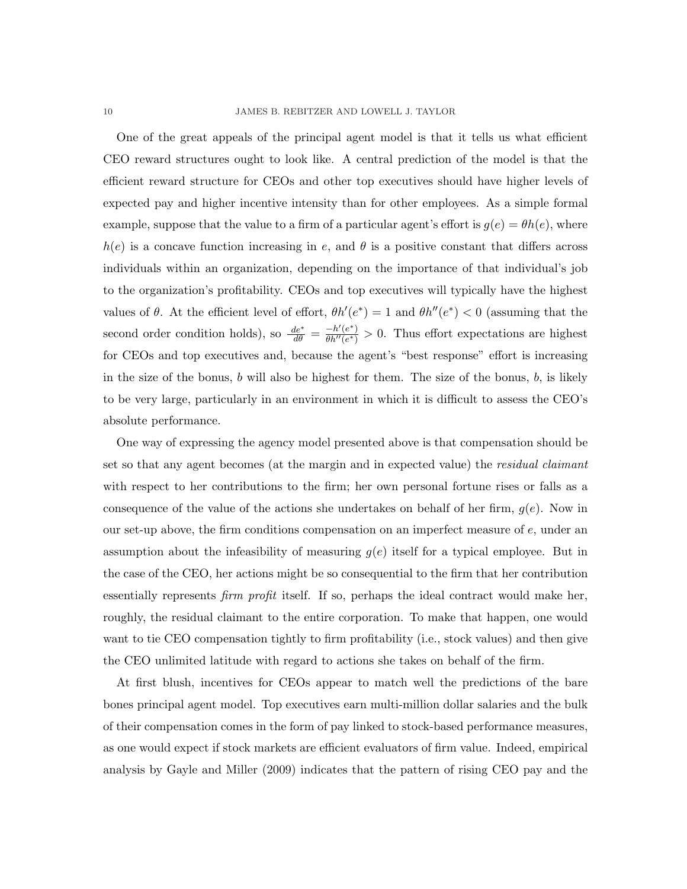One of the great appeals of the principal agent model is that it tells us what efficient CEO reward structures ought to look like. A central prediction of the model is that the efficient reward structure for CEOs and other top executives should have higher levels of expected pay and higher incentive intensity than for other employees. As a simple formal example, suppose that the value to a firm of a particular agent's effort is  $g(e) = \theta h(e)$ , where  $h(e)$  is a concave function increasing in e, and  $\theta$  is a positive constant that differs across individuals within an organization, depending on the importance of that individual's job to the organization's profitability. CEOs and top executives will typically have the highest values of  $\theta$ . At the efficient level of effort,  $\theta h'(e^*) = 1$  and  $\theta h''(e^*) < 0$  (assuming that the second order condition holds), so  $\frac{de^*}{d\theta} = \frac{-h'(e^*)}{\theta h''(e^*)}$  $\frac{-\hbar'(e^*)}{\theta \hbar''(e^*)} > 0$ . Thus effort expectations are highest for CEOs and top executives and, because the agent's "best response" effort is increasing in the size of the bonus,  $b$  will also be highest for them. The size of the bonus,  $b$ , is likely to be very large, particularly in an environment in which it is difficult to assess the CEO's absolute performance.

One way of expressing the agency model presented above is that compensation should be set so that any agent becomes (at the margin and in expected value) the *residual claimant* with respect to her contributions to the firm; her own personal fortune rises or falls as a consequence of the value of the actions she undertakes on behalf of her firm,  $g(e)$ . Now in our set-up above, the firm conditions compensation on an imperfect measure of e, under an assumption about the infeasibility of measuring  $g(e)$  itself for a typical employee. But in the case of the CEO, her actions might be so consequential to the firm that her contribution essentially represents firm profit itself. If so, perhaps the ideal contract would make her, roughly, the residual claimant to the entire corporation. To make that happen, one would want to tie CEO compensation tightly to firm profitability (i.e., stock values) and then give the CEO unlimited latitude with regard to actions she takes on behalf of the firm.

At first blush, incentives for CEOs appear to match well the predictions of the bare bones principal agent model. Top executives earn multi-million dollar salaries and the bulk of their compensation comes in the form of pay linked to stock-based performance measures, as one would expect if stock markets are efficient evaluators of firm value. Indeed, empirical analysis by Gayle and Miller (2009) indicates that the pattern of rising CEO pay and the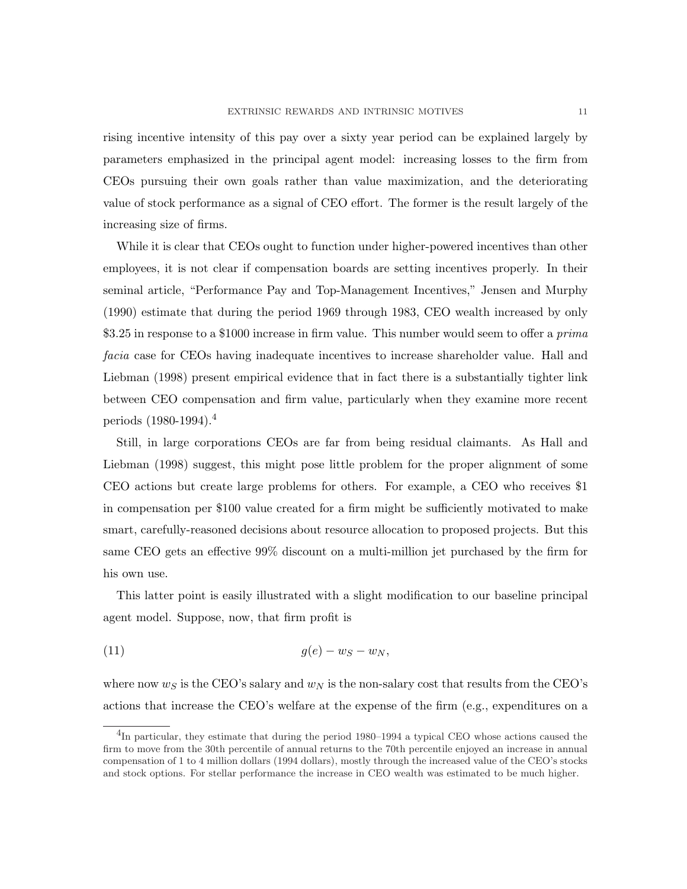rising incentive intensity of this pay over a sixty year period can be explained largely by parameters emphasized in the principal agent model: increasing losses to the firm from CEOs pursuing their own goals rather than value maximization, and the deteriorating value of stock performance as a signal of CEO effort. The former is the result largely of the increasing size of firms.

While it is clear that CEOs ought to function under higher-powered incentives than other employees, it is not clear if compensation boards are setting incentives properly. In their seminal article, "Performance Pay and Top-Management Incentives," Jensen and Murphy (1990) estimate that during the period 1969 through 1983, CEO wealth increased by only \$3.25 in response to a \$1000 increase in firm value. This number would seem to offer a *prima* facia case for CEOs having inadequate incentives to increase shareholder value. Hall and Liebman (1998) present empirical evidence that in fact there is a substantially tighter link between CEO compensation and firm value, particularly when they examine more recent periods (1980-1994).<sup>4</sup>

Still, in large corporations CEOs are far from being residual claimants. As Hall and Liebman (1998) suggest, this might pose little problem for the proper alignment of some CEO actions but create large problems for others. For example, a CEO who receives \$1 in compensation per \$100 value created for a firm might be sufficiently motivated to make smart, carefully-reasoned decisions about resource allocation to proposed projects. But this same CEO gets an effective 99% discount on a multi-million jet purchased by the firm for his own use.

This latter point is easily illustrated with a slight modification to our baseline principal agent model. Suppose, now, that firm profit is

$$
(11) \t\t g(e) - w_S - w_N,
$$

where now  $w<sub>S</sub>$  is the CEO's salary and  $w<sub>N</sub>$  is the non-salary cost that results from the CEO's actions that increase the CEO's welfare at the expense of the firm (e.g., expenditures on a

<sup>&</sup>lt;sup>4</sup>In particular, they estimate that during the period 1980–1994 a typical CEO whose actions caused the firm to move from the 30th percentile of annual returns to the 70th percentile enjoyed an increase in annual compensation of 1 to 4 million dollars (1994 dollars), mostly through the increased value of the CEO's stocks and stock options. For stellar performance the increase in CEO wealth was estimated to be much higher.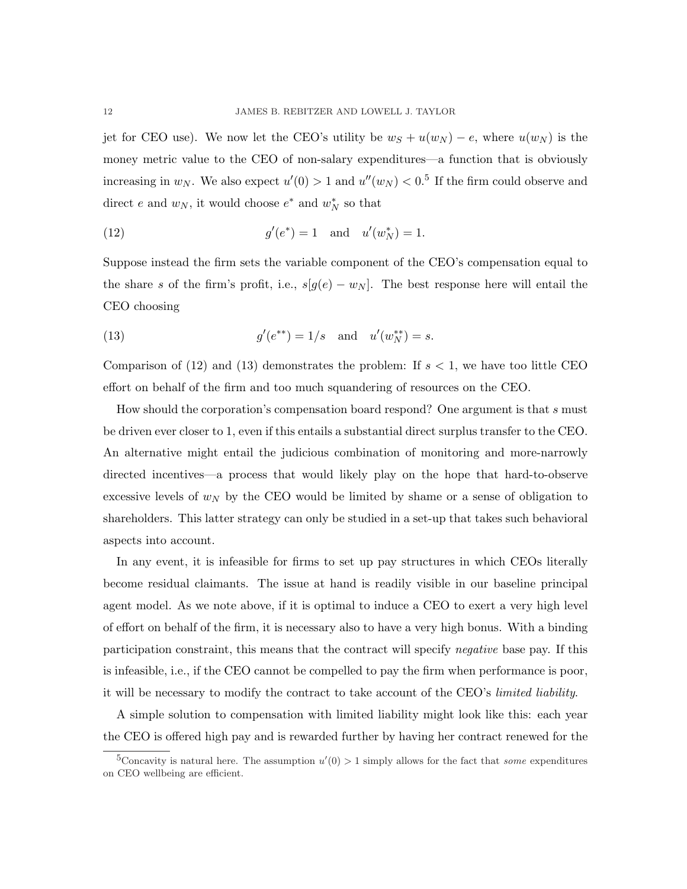jet for CEO use). We now let the CEO's utility be  $w_S + u(w_N) - e$ , where  $u(w_N)$  is the money metric value to the CEO of non-salary expenditures—a function that is obviously increasing in  $w_N$ . We also expect  $u'(0) > 1$  and  $u''(w_N) < 0$ .<sup>5</sup> If the firm could observe and direct e and  $w_N$ , it would choose  $e^*$  and  $w_N^*$  so that

(12) 
$$
g'(e^*) = 1
$$
 and  $u'(w_N^*) = 1$ .

Suppose instead the firm sets the variable component of the CEO's compensation equal to the share s of the firm's profit, i.e.,  $s[g(e) - w_N]$ . The best response here will entail the CEO choosing

(13) 
$$
g'(e^{**}) = 1/s
$$
 and  $u'(w_N^{**}) = s$ .

Comparison of  $(12)$  and  $(13)$  demonstrates the problem: If  $s < 1$ , we have too little CEO effort on behalf of the firm and too much squandering of resources on the CEO.

How should the corporation's compensation board respond? One argument is that s must be driven ever closer to 1, even if this entails a substantial direct surplus transfer to the CEO. An alternative might entail the judicious combination of monitoring and more-narrowly directed incentives—a process that would likely play on the hope that hard-to-observe excessive levels of  $w_N$  by the CEO would be limited by shame or a sense of obligation to shareholders. This latter strategy can only be studied in a set-up that takes such behavioral aspects into account.

In any event, it is infeasible for firms to set up pay structures in which CEOs literally become residual claimants. The issue at hand is readily visible in our baseline principal agent model. As we note above, if it is optimal to induce a CEO to exert a very high level of effort on behalf of the firm, it is necessary also to have a very high bonus. With a binding participation constraint, this means that the contract will specify negative base pay. If this is infeasible, i.e., if the CEO cannot be compelled to pay the firm when performance is poor, it will be necessary to modify the contract to take account of the CEO's limited liability.

A simple solution to compensation with limited liability might look like this: each year the CEO is offered high pay and is rewarded further by having her contract renewed for the

<sup>&</sup>lt;sup>5</sup>Concavity is natural here. The assumption  $u'(0) > 1$  simply allows for the fact that *some* expenditures on CEO wellbeing are efficient.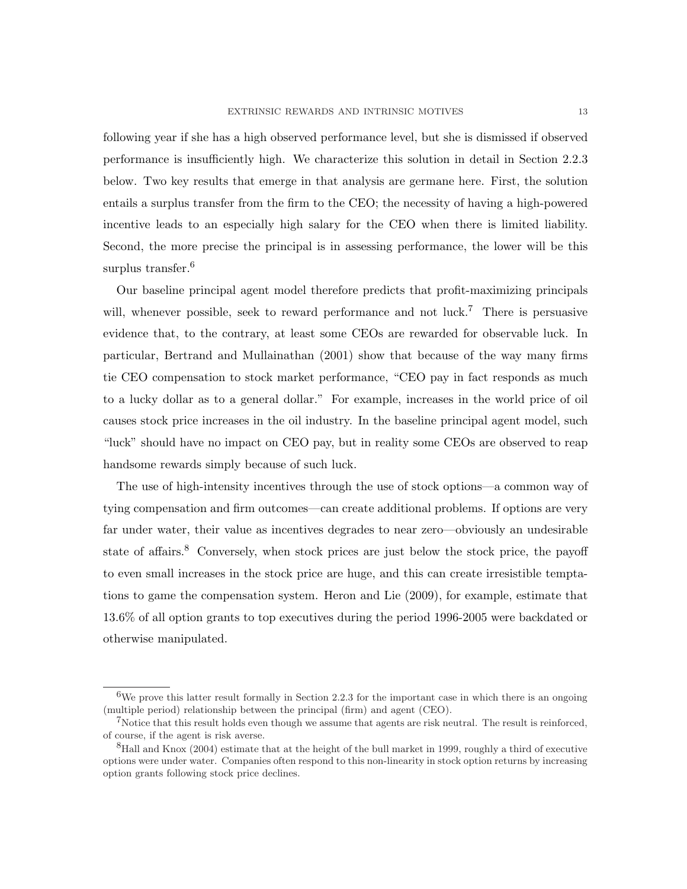following year if she has a high observed performance level, but she is dismissed if observed performance is insufficiently high. We characterize this solution in detail in Section 2.2.3 below. Two key results that emerge in that analysis are germane here. First, the solution entails a surplus transfer from the firm to the CEO; the necessity of having a high-powered incentive leads to an especially high salary for the CEO when there is limited liability. Second, the more precise the principal is in assessing performance, the lower will be this surplus transfer.<sup>6</sup>

Our baseline principal agent model therefore predicts that profit-maximizing principals will, whenever possible, seek to reward performance and not luck.<sup>7</sup> There is persuasive evidence that, to the contrary, at least some CEOs are rewarded for observable luck. In particular, Bertrand and Mullainathan (2001) show that because of the way many firms tie CEO compensation to stock market performance, "CEO pay in fact responds as much to a lucky dollar as to a general dollar." For example, increases in the world price of oil causes stock price increases in the oil industry. In the baseline principal agent model, such "luck" should have no impact on CEO pay, but in reality some CEOs are observed to reap handsome rewards simply because of such luck.

The use of high-intensity incentives through the use of stock options—a common way of tying compensation and firm outcomes—can create additional problems. If options are very far under water, their value as incentives degrades to near zero—obviously an undesirable state of affairs.<sup>8</sup> Conversely, when stock prices are just below the stock price, the payoff to even small increases in the stock price are huge, and this can create irresistible temptations to game the compensation system. Heron and Lie (2009), for example, estimate that 13.6% of all option grants to top executives during the period 1996-2005 were backdated or otherwise manipulated.

 $6W$ e prove this latter result formally in Section 2.2.3 for the important case in which there is an ongoing (multiple period) relationship between the principal (firm) and agent (CEO).

 $^7$ Notice that this result holds even though we assume that agents are risk neutral. The result is reinforced, of course, if the agent is risk averse.

 ${}^{8}$ Hall and Knox (2004) estimate that at the height of the bull market in 1999, roughly a third of executive options were under water. Companies often respond to this non-linearity in stock option returns by increasing option grants following stock price declines.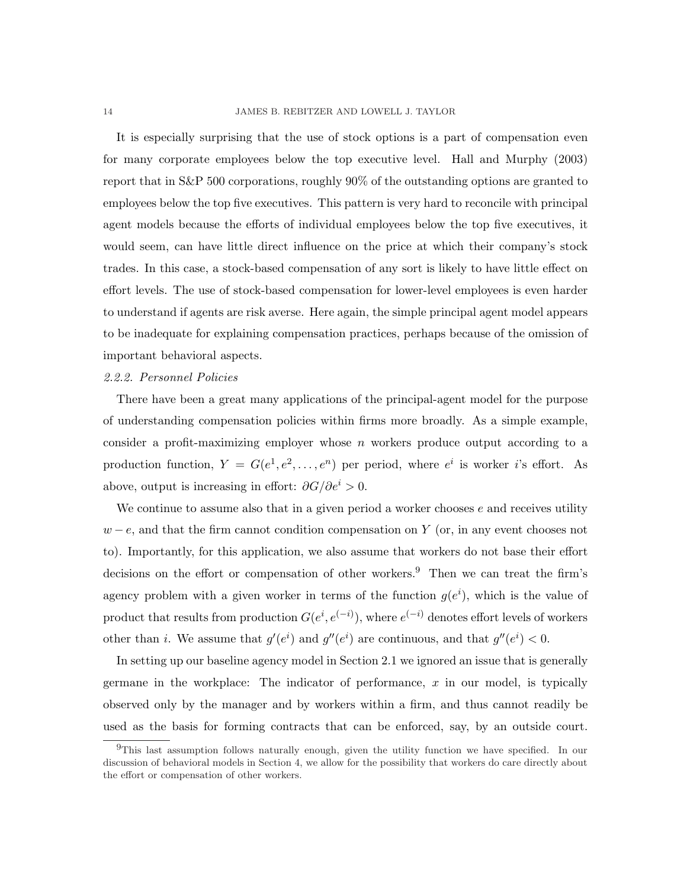It is especially surprising that the use of stock options is a part of compensation even for many corporate employees below the top executive level. Hall and Murphy (2003) report that in S&P 500 corporations, roughly 90% of the outstanding options are granted to employees below the top five executives. This pattern is very hard to reconcile with principal agent models because the efforts of individual employees below the top five executives, it would seem, can have little direct influence on the price at which their company's stock trades. In this case, a stock-based compensation of any sort is likely to have little effect on effort levels. The use of stock-based compensation for lower-level employees is even harder to understand if agents are risk averse. Here again, the simple principal agent model appears to be inadequate for explaining compensation practices, perhaps because of the omission of important behavioral aspects.

# 2.2.2. Personnel Policies

There have been a great many applications of the principal-agent model for the purpose of understanding compensation policies within firms more broadly. As a simple example, consider a profit-maximizing employer whose  $n$  workers produce output according to a production function,  $Y = G(e^1, e^2, \dots, e^n)$  per period, where  $e^i$  is worker *i*'s effort. As above, output is increasing in effort:  $\partial G/\partial e^i > 0$ .

We continue to assume also that in a given period a worker chooses  $e$  and receives utility  $w - e$ , and that the firm cannot condition compensation on Y (or, in any event chooses not to). Importantly, for this application, we also assume that workers do not base their effort decisions on the effort or compensation of other workers.<sup>9</sup> Then we can treat the firm's agency problem with a given worker in terms of the function  $g(e^i)$ , which is the value of product that results from production  $G(e^i, e^{(-i)})$ , where  $e^{(-i)}$  denotes effort levels of workers other than *i*. We assume that  $g'(e^i)$  and  $g''(e^i)$  are continuous, and that  $g''(e^i) < 0$ .

In setting up our baseline agency model in Section 2.1 we ignored an issue that is generally germane in the workplace: The indicator of performance, x in our model, is typically observed only by the manager and by workers within a firm, and thus cannot readily be used as the basis for forming contracts that can be enforced, say, by an outside court.

<sup>&</sup>lt;sup>9</sup>This last assumption follows naturally enough, given the utility function we have specified. In our discussion of behavioral models in Section 4, we allow for the possibility that workers do care directly about the effort or compensation of other workers.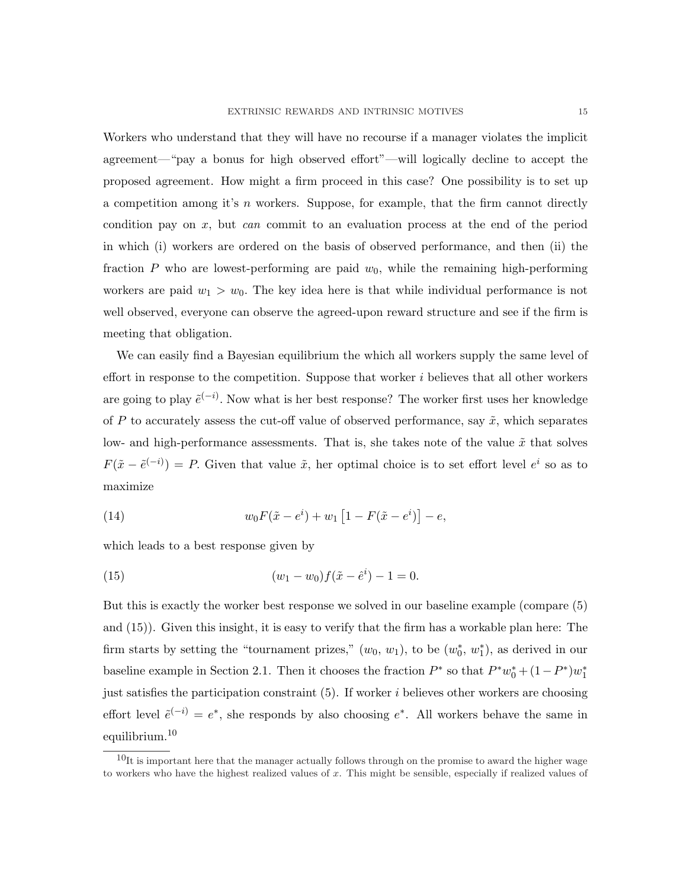Workers who understand that they will have no recourse if a manager violates the implicit agreement—"pay a bonus for high observed effort"—will logically decline to accept the proposed agreement. How might a firm proceed in this case? One possibility is to set up a competition among it's  $n$  workers. Suppose, for example, that the firm cannot directly condition pay on x, but can commit to an evaluation process at the end of the period in which (i) workers are ordered on the basis of observed performance, and then (ii) the fraction  $P$  who are lowest-performing are paid  $w_0$ , while the remaining high-performing workers are paid  $w_1 > w_0$ . The key idea here is that while individual performance is not well observed, everyone can observe the agreed-upon reward structure and see if the firm is meeting that obligation.

We can easily find a Bayesian equilibrium the which all workers supply the same level of effort in response to the competition. Suppose that worker  $i$  believes that all other workers are going to play  $\tilde{e}^{(-i)}$ . Now what is her best response? The worker first uses her knowledge of P to accurately assess the cut-off value of observed performance, say  $\tilde{x}$ , which separates low- and high-performance assessments. That is, she takes note of the value  $\tilde{x}$  that solves  $F(\tilde{x} - \tilde{e}^{(-i)}) = P$ . Given that value  $\tilde{x}$ , her optimal choice is to set effort level  $e^i$  so as to maximize

(14) 
$$
w_0 F(\tilde{x} - e^i) + w_1 [1 - F(\tilde{x} - e^i)] - e,
$$

which leads to a best response given by

(15) 
$$
(w_1 - w_0)f(\tilde{x} - \hat{e}^i) - 1 = 0.
$$

But this is exactly the worker best response we solved in our baseline example (compare (5) and (15)). Given this insight, it is easy to verify that the firm has a workable plan here: The firm starts by setting the "tournament prizes,"  $(w_0, w_1)$ , to be  $(w_0^*, w_1^*)$ , as derived in our baseline example in Section 2.1. Then it chooses the fraction  $P^*$  so that  $P^*w_0^* + (1 - P^*)w_1^*$ just satisfies the participation constraint  $(5)$ . If worker i believes other workers are choosing effort level  $\tilde{e}^{(-i)} = e^*$ , she responds by also choosing  $e^*$ . All workers behave the same in equilibrium.<sup>10</sup>

 $10$ It is important here that the manager actually follows through on the promise to award the higher wage to workers who have the highest realized values of  $x$ . This might be sensible, especially if realized values of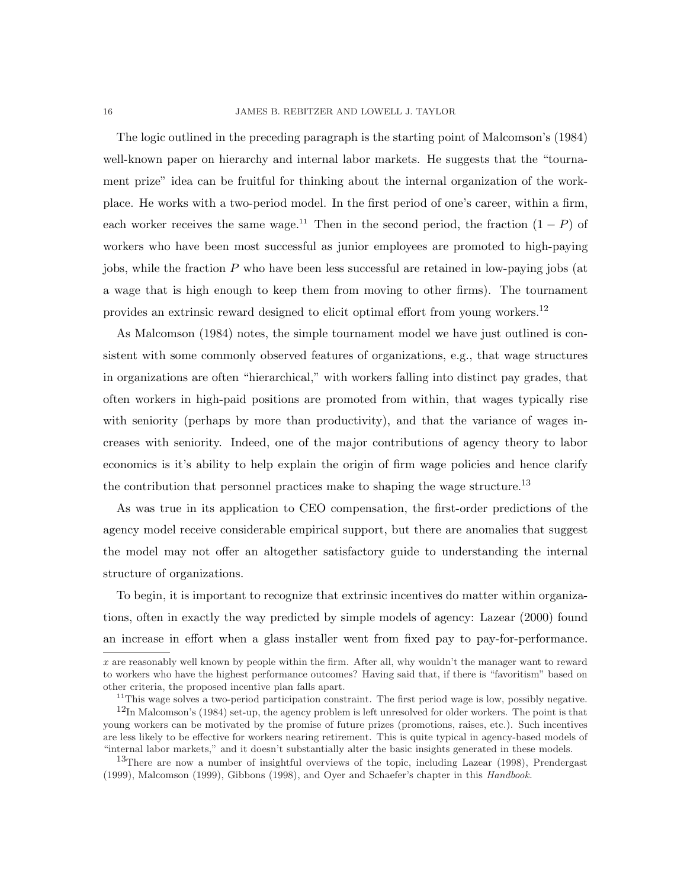#### 16 JAMES B. REBITZER AND LOWELL J. TAYLOR

The logic outlined in the preceding paragraph is the starting point of Malcomson's (1984) well-known paper on hierarchy and internal labor markets. He suggests that the "tournament prize" idea can be fruitful for thinking about the internal organization of the workplace. He works with a two-period model. In the first period of one's career, within a firm, each worker receives the same wage.<sup>11</sup> Then in the second period, the fraction  $(1 - P)$  of workers who have been most successful as junior employees are promoted to high-paying jobs, while the fraction  $P$  who have been less successful are retained in low-paying jobs (at a wage that is high enough to keep them from moving to other firms). The tournament provides an extrinsic reward designed to elicit optimal effort from young workers.<sup>12</sup>

As Malcomson (1984) notes, the simple tournament model we have just outlined is consistent with some commonly observed features of organizations, e.g., that wage structures in organizations are often "hierarchical," with workers falling into distinct pay grades, that often workers in high-paid positions are promoted from within, that wages typically rise with seniority (perhaps by more than productivity), and that the variance of wages increases with seniority. Indeed, one of the major contributions of agency theory to labor economics is it's ability to help explain the origin of firm wage policies and hence clarify the contribution that personnel practices make to shaping the wage structure.<sup>13</sup>

As was true in its application to CEO compensation, the first-order predictions of the agency model receive considerable empirical support, but there are anomalies that suggest the model may not offer an altogether satisfactory guide to understanding the internal structure of organizations.

To begin, it is important to recognize that extrinsic incentives do matter within organizations, often in exactly the way predicted by simple models of agency: Lazear (2000) found an increase in effort when a glass installer went from fixed pay to pay-for-performance.

<sup>13</sup>There are now a number of insightful overviews of the topic, including Lazear (1998), Prendergast (1999), Malcomson (1999), Gibbons (1998), and Oyer and Schaefer's chapter in this Handbook.

 $x$  are reasonably well known by people within the firm. After all, why wouldn't the manager want to reward to workers who have the highest performance outcomes? Having said that, if there is "favoritism" based on other criteria, the proposed incentive plan falls apart.

 $11$ This wage solves a two-period participation constraint. The first period wage is low, possibly negative.  $12$ In Malcomson's (1984) set-up, the agency problem is left unresolved for older workers. The point is that young workers can be motivated by the promise of future prizes (promotions, raises, etc.). Such incentives are less likely to be effective for workers nearing retirement. This is quite typical in agency-based models of "internal labor markets," and it doesn't substantially alter the basic insights generated in these models.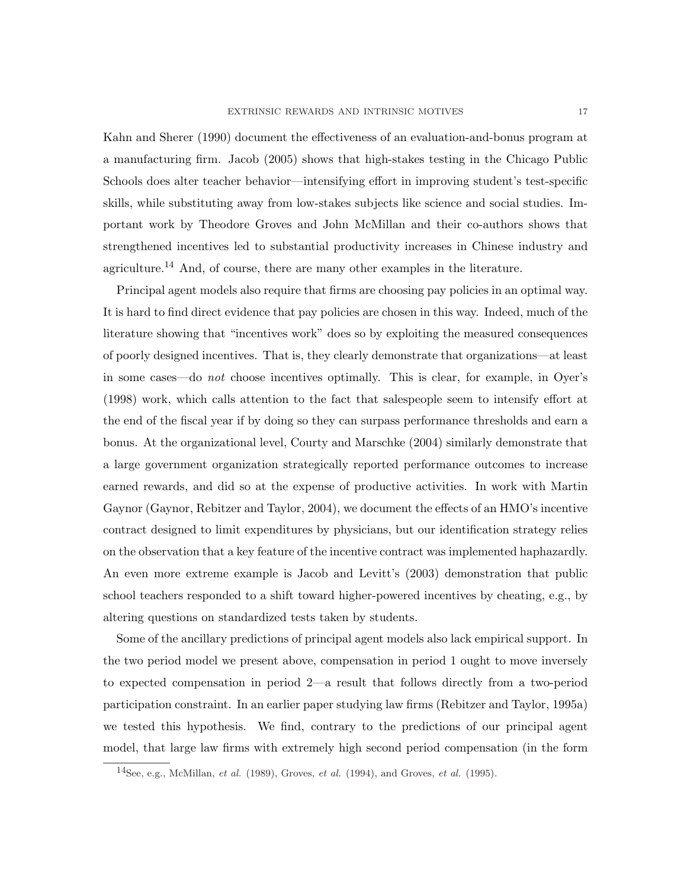Kahn and Sherer (1990) document the effectiveness of an evaluation-and-bonus program at a manufacturing firm. Jacob (2005) shows that high-stakes testing in the Chicago Public Schools does alter teacher behavior—intensifying effort in improving student's test-specific skills, while substituting away from low-stakes subjects like science and social studies. Important work by Theodore Groves and John McMillan and their co-authors shows that strengthened incentives led to substantial productivity increases in Chinese industry and agriculture.<sup>14</sup> And, of course, there are many other examples in the literature.

Principal agent models also require that firms are choosing pay policies in an optimal way. It is hard to find direct evidence that pay policies are chosen in this way. Indeed, much of the literature showing that "incentives work" does so by exploiting the measured consequences of poorly designed incentives. That is, they clearly demonstrate that organizations—at least in some cases—do not choose incentives optimally. This is clear, for example, in Oyer's (1998) work, which calls attention to the fact that salespeople seem to intensify effort at the end of the fiscal year if by doing so they can surpass performance thresholds and earn a bonus. At the organizational level, Courty and Marschke (2004) similarly demonstrate that a large government organization strategically reported performance outcomes to increase earned rewards, and did so at the expense of productive activities. In work with Martin Gaynor (Gaynor, Rebitzer and Taylor, 2004), we document the effects of an HMO's incentive contract designed to limit expenditures by physicians, but our identification strategy relies on the observation that a key feature of the incentive contract was implemented haphazardly. An even more extreme example is Jacob and Levitt's (2003) demonstration that public school teachers responded to a shift toward higher-powered incentives by cheating, e.g., by altering questions on standardized tests taken by students.

Some of the ancillary predictions of principal agent models also lack empirical support. In the two period model we present above, compensation in period 1 ought to move inversely to expected compensation in period 2—a result that follows directly from a two-period participation constraint. In an earlier paper studying law firms (Rebitzer and Taylor, 1995a) we tested this hypothesis. We find, contrary to the predictions of our principal agent model, that large law firms with extremely high second period compensation (in the form

 $14$ See, e.g., McMillan, et al. (1989), Groves, et al. (1994), and Groves, et al. (1995).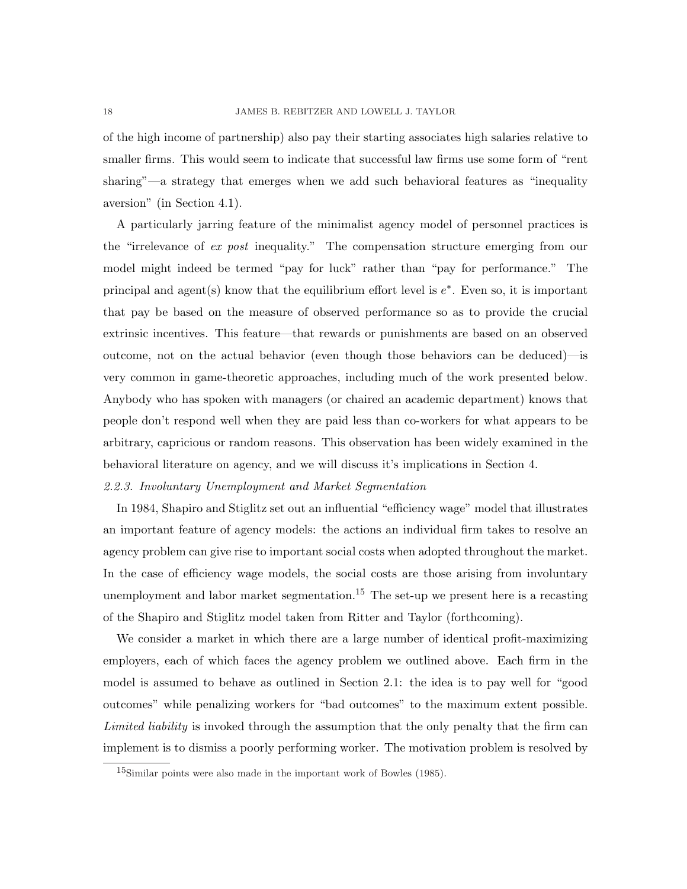of the high income of partnership) also pay their starting associates high salaries relative to smaller firms. This would seem to indicate that successful law firms use some form of "rent sharing"—a strategy that emerges when we add such behavioral features as "inequality aversion" (in Section 4.1).

A particularly jarring feature of the minimalist agency model of personnel practices is the "irrelevance of ex post inequality." The compensation structure emerging from our model might indeed be termed "pay for luck" rather than "pay for performance." The principal and agent(s) know that the equilibrium effort level is  $e^*$ . Even so, it is important that pay be based on the measure of observed performance so as to provide the crucial extrinsic incentives. This feature—that rewards or punishments are based on an observed outcome, not on the actual behavior (even though those behaviors can be deduced)—is very common in game-theoretic approaches, including much of the work presented below. Anybody who has spoken with managers (or chaired an academic department) knows that people don't respond well when they are paid less than co-workers for what appears to be arbitrary, capricious or random reasons. This observation has been widely examined in the behavioral literature on agency, and we will discuss it's implications in Section 4. 2.2.3. Involuntary Unemployment and Market Segmentation

In 1984, Shapiro and Stiglitz set out an influential "efficiency wage" model that illustrates an important feature of agency models: the actions an individual firm takes to resolve an agency problem can give rise to important social costs when adopted throughout the market. In the case of efficiency wage models, the social costs are those arising from involuntary unemployment and labor market segmentation.<sup>15</sup> The set-up we present here is a recasting of the Shapiro and Stiglitz model taken from Ritter and Taylor (forthcoming).

We consider a market in which there are a large number of identical profit-maximizing employers, each of which faces the agency problem we outlined above. Each firm in the model is assumed to behave as outlined in Section 2.1: the idea is to pay well for "good outcomes" while penalizing workers for "bad outcomes" to the maximum extent possible. Limited liability is invoked through the assumption that the only penalty that the firm can implement is to dismiss a poorly performing worker. The motivation problem is resolved by

<sup>15</sup>Similar points were also made in the important work of Bowles (1985).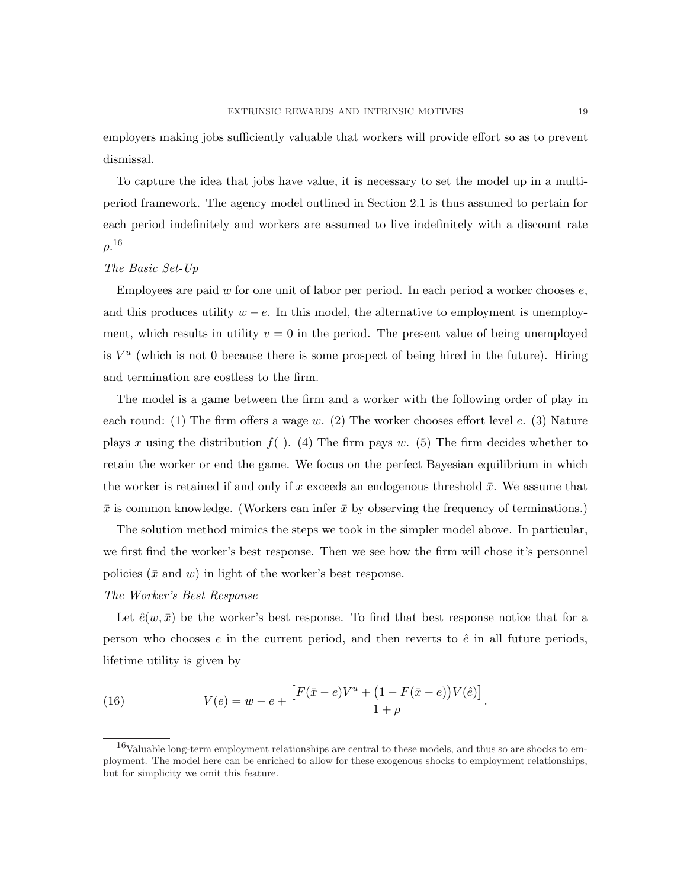employers making jobs sufficiently valuable that workers will provide effort so as to prevent dismissal.

To capture the idea that jobs have value, it is necessary to set the model up in a multiperiod framework. The agency model outlined in Section 2.1 is thus assumed to pertain for each period indefinitely and workers are assumed to live indefinitely with a discount rate  $\rho^{16}$ 

#### The Basic Set-Up

Employees are paid  $w$  for one unit of labor per period. In each period a worker chooses  $e$ , and this produces utility  $w - e$ . In this model, the alternative to employment is unemployment, which results in utility  $v = 0$  in the period. The present value of being unemployed is  $V^u$  (which is not 0 because there is some prospect of being hired in the future). Hiring and termination are costless to the firm.

The model is a game between the firm and a worker with the following order of play in each round: (1) The firm offers a wage  $w$ . (2) The worker chooses effort level  $e$ . (3) Nature plays x using the distribution  $f(.)$ . (4) The firm pays w. (5) The firm decides whether to retain the worker or end the game. We focus on the perfect Bayesian equilibrium in which the worker is retained if and only if x exceeds an endogenous threshold  $\bar{x}$ . We assume that  $\bar{x}$  is common knowledge. (Workers can infer  $\bar{x}$  by observing the frequency of terminations.)

The solution method mimics the steps we took in the simpler model above. In particular, we first find the worker's best response. Then we see how the firm will chose it's personnel policies  $(\bar{x}$  and w) in light of the worker's best response.

#### The Worker's Best Response

Let  $\hat{e}(w, \bar{x})$  be the worker's best response. To find that best response notice that for a person who chooses  $e$  in the current period, and then reverts to  $\hat{e}$  in all future periods, lifetime utility is given by

(16) 
$$
V(e) = w - e + \frac{[F(\bar{x} - e)V^u + (1 - F(\bar{x} - e))V(\hat{e})]}{1 + \rho}.
$$

 $16$ Valuable long-term employment relationships are central to these models, and thus so are shocks to employment. The model here can be enriched to allow for these exogenous shocks to employment relationships, but for simplicity we omit this feature.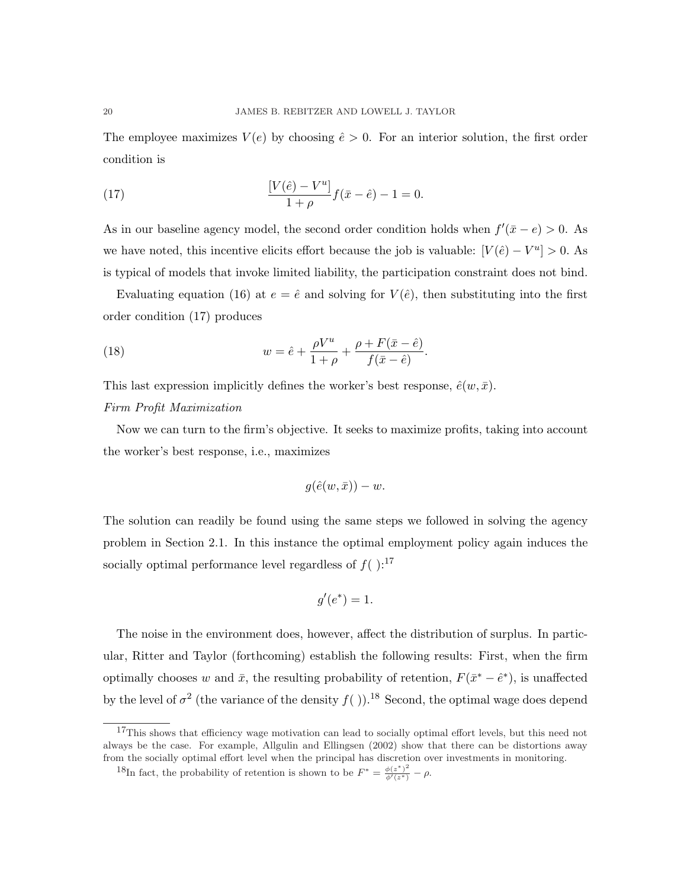The employee maximizes  $V(e)$  by choosing  $\hat{e} > 0$ . For an interior solution, the first order condition is

(17) 
$$
\frac{[V(\hat{e}) - V^u]}{1 + \rho} f(\bar{x} - \hat{e}) - 1 = 0.
$$

As in our baseline agency model, the second order condition holds when  $f'(\bar{x} - e) > 0$ . As we have noted, this incentive elicits effort because the job is valuable:  $[V(\hat{e}) - V^u] > 0$ . As is typical of models that invoke limited liability, the participation constraint does not bind.

Evaluating equation (16) at  $e = \hat{e}$  and solving for  $V(\hat{e})$ , then substituting into the first order condition (17) produces

(18) 
$$
w = \hat{e} + \frac{\rho V^u}{1+\rho} + \frac{\rho + F(\bar{x} - \hat{e})}{f(\bar{x} - \hat{e})}.
$$

This last expression implicitly defines the worker's best response,  $\hat{e}(w, \bar{x})$ .

#### Firm Profit Maximization

Now we can turn to the firm's objective. It seeks to maximize profits, taking into account the worker's best response, i.e., maximizes

$$
g(\hat{e}(w,\bar{x})) - w.
$$

The solution can readily be found using the same steps we followed in solving the agency problem in Section 2.1. In this instance the optimal employment policy again induces the socially optimal performance level regardless of  $f(z)$ :<sup>17</sup>

$$
g'(e^*)=1.
$$

The noise in the environment does, however, affect the distribution of surplus. In particular, Ritter and Taylor (forthcoming) establish the following results: First, when the firm optimally chooses w and  $\bar{x}$ , the resulting probability of retention,  $F(\bar{x}^* - \hat{e}^*)$ , is unaffected by the level of  $\sigma^2$  (the variance of the density  $f(.)$ ).<sup>18</sup> Second, the optimal wage does depend

 $17$ This shows that efficiency wage motivation can lead to socially optimal effort levels, but this need not always be the case. For example, Allgulin and Ellingsen (2002) show that there can be distortions away from the socially optimal effort level when the principal has discretion over investments in monitoring.

<sup>&</sup>lt;sup>18</sup>In fact, the probability of retention is shown to be  $F^* = \frac{\phi(z^*)^2}{\phi'(z^*)} - \rho$ .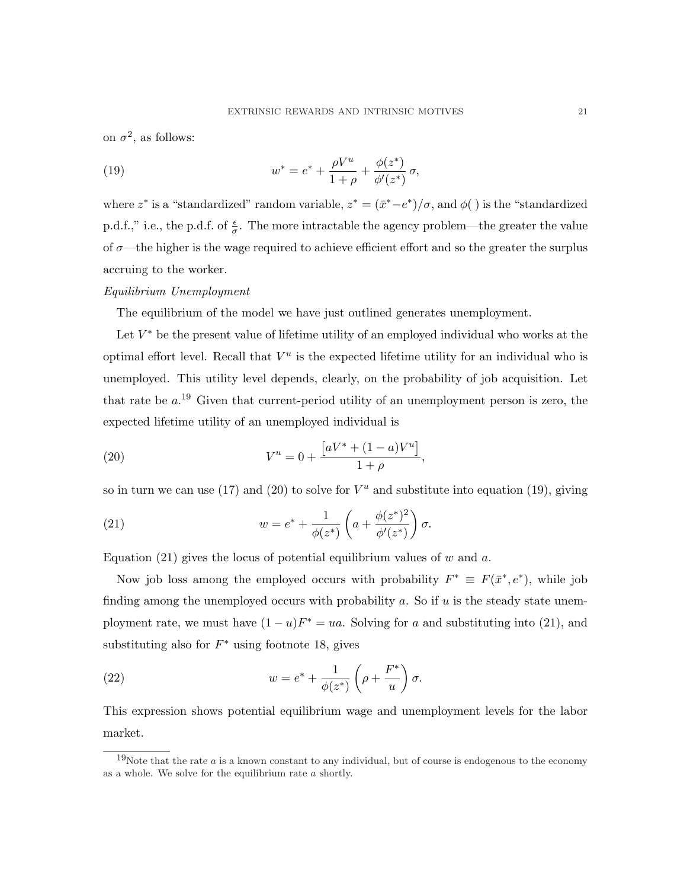on  $\sigma^2$ , as follows:

(19) 
$$
w^* = e^* + \frac{\rho V^u}{1 + \rho} + \frac{\phi(z^*)}{\phi'(z^*)} \sigma,
$$

where z<sup>\*</sup> is a "standardized" random variable,  $z^* = (\bar{x}^* - e^*)/\sigma$ , and  $\phi(.)$  is the "standardized" p.d.f.," i.e., the p.d.f. of  $\frac{\epsilon}{\sigma}$ . The more intractable the agency problem—the greater the value of  $\sigma$ —the higher is the wage required to achieve efficient effort and so the greater the surplus accruing to the worker.

# Equilibrium Unemployment

The equilibrium of the model we have just outlined generates unemployment.

Let  $V^*$  be the present value of lifetime utility of an employed individual who works at the optimal effort level. Recall that  $V^u$  is the expected lifetime utility for an individual who is unemployed. This utility level depends, clearly, on the probability of job acquisition. Let that rate be  $a^{19}$ . Given that current-period utility of an unemployment person is zero, the expected lifetime utility of an unemployed individual is

(20) 
$$
V^{u} = 0 + \frac{[aV^{*} + (1-a)V^{u}]}{1+\rho},
$$

so in turn we can use (17) and (20) to solve for  $V^u$  and substitute into equation (19), giving

(21) 
$$
w = e^* + \frac{1}{\phi(z^*)} \left( a + \frac{\phi(z^*)^2}{\phi'(z^*)} \right) \sigma.
$$

Equation (21) gives the locus of potential equilibrium values of  $w$  and  $a$ .

Now job loss among the employed occurs with probability  $F^* \equiv F(\bar{x}^*, e^*)$ , while job finding among the unemployed occurs with probability  $a$ . So if  $u$  is the steady state unemployment rate, we must have  $(1 - u)F^* = ua$ . Solving for a and substituting into (21), and substituting also for  $F^*$  using footnote 18, gives

(22) 
$$
w = e^* + \frac{1}{\phi(z^*)} \left( \rho + \frac{F^*}{u} \right) \sigma.
$$

This expression shows potential equilibrium wage and unemployment levels for the labor market.

<sup>&</sup>lt;sup>19</sup>Note that the rate  $a$  is a known constant to any individual, but of course is endogenous to the economy as a whole. We solve for the equilibrium rate a shortly.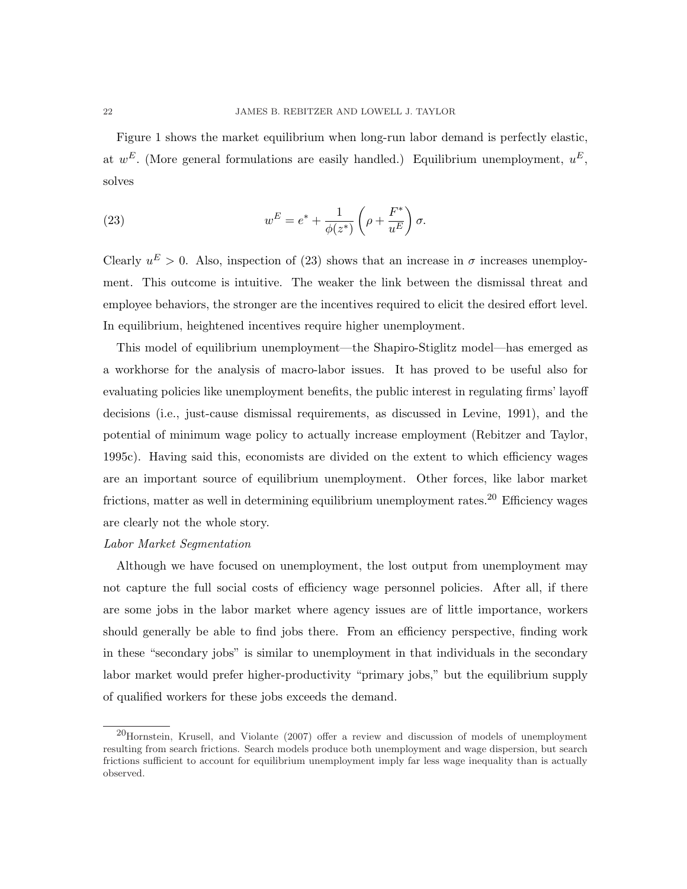Figure 1 shows the market equilibrium when long-run labor demand is perfectly elastic, at  $w^E$ . (More general formulations are easily handled.) Equilibrium unemployment,  $u^E$ , solves

(23) 
$$
w^{E} = e^* + \frac{1}{\phi(z^*)} \left( \rho + \frac{F^*}{u^E} \right) \sigma.
$$

Clearly  $u^E > 0$ . Also, inspection of (23) shows that an increase in  $\sigma$  increases unemployment. This outcome is intuitive. The weaker the link between the dismissal threat and employee behaviors, the stronger are the incentives required to elicit the desired effort level. In equilibrium, heightened incentives require higher unemployment.

This model of equilibrium unemployment—the Shapiro-Stiglitz model—has emerged as a workhorse for the analysis of macro-labor issues. It has proved to be useful also for evaluating policies like unemployment benefits, the public interest in regulating firms' layoff decisions (i.e., just-cause dismissal requirements, as discussed in Levine, 1991), and the potential of minimum wage policy to actually increase employment (Rebitzer and Taylor, 1995c). Having said this, economists are divided on the extent to which efficiency wages are an important source of equilibrium unemployment. Other forces, like labor market frictions, matter as well in determining equilibrium unemployment rates.<sup>20</sup> Efficiency wages are clearly not the whole story.

#### Labor Market Segmentation

Although we have focused on unemployment, the lost output from unemployment may not capture the full social costs of efficiency wage personnel policies. After all, if there are some jobs in the labor market where agency issues are of little importance, workers should generally be able to find jobs there. From an efficiency perspective, finding work in these "secondary jobs" is similar to unemployment in that individuals in the secondary labor market would prefer higher-productivity "primary jobs," but the equilibrium supply of qualified workers for these jobs exceeds the demand.

<sup>20</sup>Hornstein, Krusell, and Violante (2007) offer a review and discussion of models of unemployment resulting from search frictions. Search models produce both unemployment and wage dispersion, but search frictions sufficient to account for equilibrium unemployment imply far less wage inequality than is actually observed.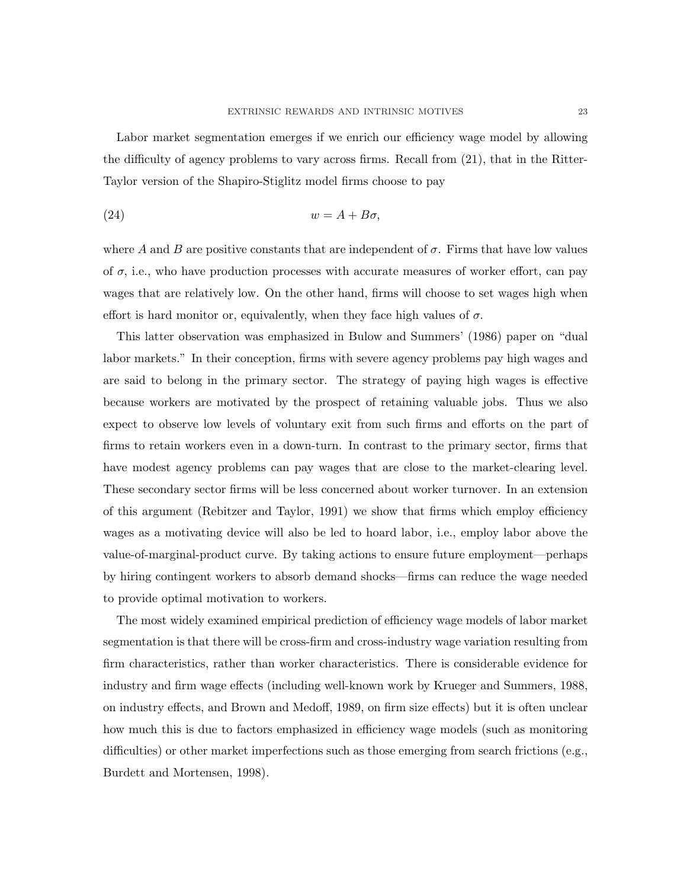Labor market segmentation emerges if we enrich our efficiency wage model by allowing the difficulty of agency problems to vary across firms. Recall from (21), that in the Ritter-Taylor version of the Shapiro-Stiglitz model firms choose to pay

$$
(24) \t\t\t w = A + B\sigma,
$$

where A and B are positive constants that are independent of  $\sigma$ . Firms that have low values of  $\sigma$ , i.e., who have production processes with accurate measures of worker effort, can pay wages that are relatively low. On the other hand, firms will choose to set wages high when effort is hard monitor or, equivalently, when they face high values of  $\sigma$ .

This latter observation was emphasized in Bulow and Summers' (1986) paper on "dual labor markets." In their conception, firms with severe agency problems pay high wages and are said to belong in the primary sector. The strategy of paying high wages is effective because workers are motivated by the prospect of retaining valuable jobs. Thus we also expect to observe low levels of voluntary exit from such firms and efforts on the part of firms to retain workers even in a down-turn. In contrast to the primary sector, firms that have modest agency problems can pay wages that are close to the market-clearing level. These secondary sector firms will be less concerned about worker turnover. In an extension of this argument (Rebitzer and Taylor, 1991) we show that firms which employ efficiency wages as a motivating device will also be led to hoard labor, i.e., employ labor above the value-of-marginal-product curve. By taking actions to ensure future employment—perhaps by hiring contingent workers to absorb demand shocks—firms can reduce the wage needed to provide optimal motivation to workers.

The most widely examined empirical prediction of efficiency wage models of labor market segmentation is that there will be cross-firm and cross-industry wage variation resulting from firm characteristics, rather than worker characteristics. There is considerable evidence for industry and firm wage effects (including well-known work by Krueger and Summers, 1988, on industry effects, and Brown and Medoff, 1989, on firm size effects) but it is often unclear how much this is due to factors emphasized in efficiency wage models (such as monitoring difficulties) or other market imperfections such as those emerging from search frictions (e.g., Burdett and Mortensen, 1998).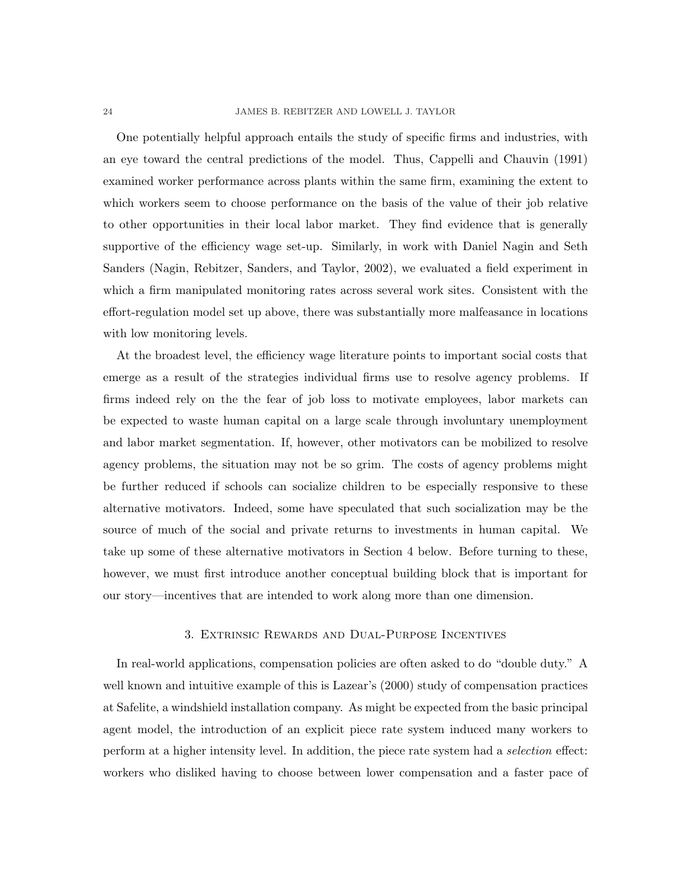#### 24 JAMES B. REBITZER AND LOWELL J. TAYLOR

One potentially helpful approach entails the study of specific firms and industries, with an eye toward the central predictions of the model. Thus, Cappelli and Chauvin (1991) examined worker performance across plants within the same firm, examining the extent to which workers seem to choose performance on the basis of the value of their job relative to other opportunities in their local labor market. They find evidence that is generally supportive of the efficiency wage set-up. Similarly, in work with Daniel Nagin and Seth Sanders (Nagin, Rebitzer, Sanders, and Taylor, 2002), we evaluated a field experiment in which a firm manipulated monitoring rates across several work sites. Consistent with the effort-regulation model set up above, there was substantially more malfeasance in locations with low monitoring levels.

At the broadest level, the efficiency wage literature points to important social costs that emerge as a result of the strategies individual firms use to resolve agency problems. If firms indeed rely on the the fear of job loss to motivate employees, labor markets can be expected to waste human capital on a large scale through involuntary unemployment and labor market segmentation. If, however, other motivators can be mobilized to resolve agency problems, the situation may not be so grim. The costs of agency problems might be further reduced if schools can socialize children to be especially responsive to these alternative motivators. Indeed, some have speculated that such socialization may be the source of much of the social and private returns to investments in human capital. We take up some of these alternative motivators in Section 4 below. Before turning to these, however, we must first introduce another conceptual building block that is important for our story—incentives that are intended to work along more than one dimension.

#### 3. Extrinsic Rewards and Dual-Purpose Incentives

In real-world applications, compensation policies are often asked to do "double duty." A well known and intuitive example of this is Lazear's (2000) study of compensation practices at Safelite, a windshield installation company. As might be expected from the basic principal agent model, the introduction of an explicit piece rate system induced many workers to perform at a higher intensity level. In addition, the piece rate system had a *selection* effect: workers who disliked having to choose between lower compensation and a faster pace of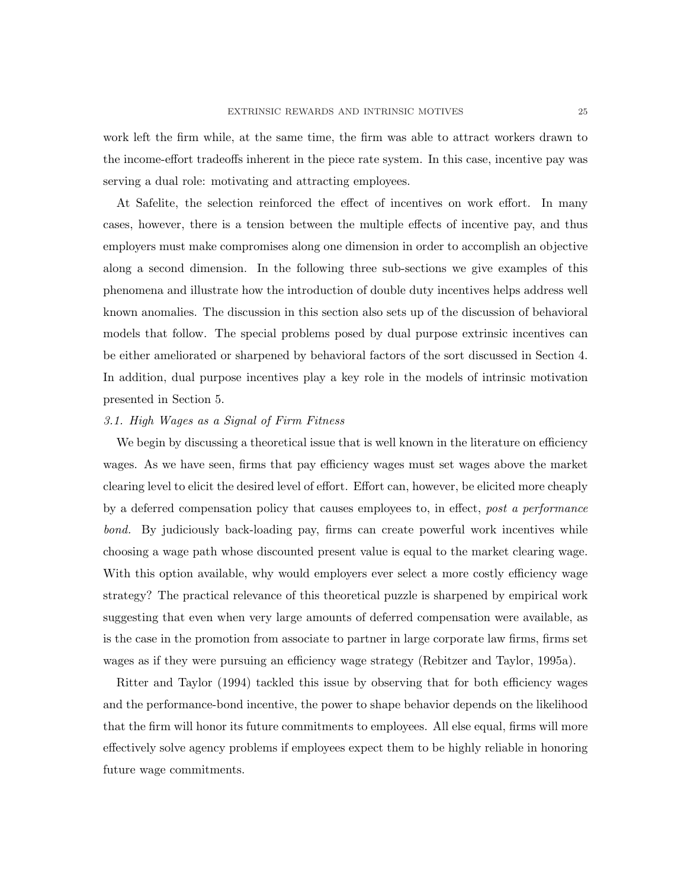work left the firm while, at the same time, the firm was able to attract workers drawn to the income-effort tradeoffs inherent in the piece rate system. In this case, incentive pay was serving a dual role: motivating and attracting employees.

At Safelite, the selection reinforced the effect of incentives on work effort. In many cases, however, there is a tension between the multiple effects of incentive pay, and thus employers must make compromises along one dimension in order to accomplish an objective along a second dimension. In the following three sub-sections we give examples of this phenomena and illustrate how the introduction of double duty incentives helps address well known anomalies. The discussion in this section also sets up of the discussion of behavioral models that follow. The special problems posed by dual purpose extrinsic incentives can be either ameliorated or sharpened by behavioral factors of the sort discussed in Section 4. In addition, dual purpose incentives play a key role in the models of intrinsic motivation presented in Section 5.

#### 3.1. High Wages as a Signal of Firm Fitness

We begin by discussing a theoretical issue that is well known in the literature on efficiency wages. As we have seen, firms that pay efficiency wages must set wages above the market clearing level to elicit the desired level of effort. Effort can, however, be elicited more cheaply by a deferred compensation policy that causes employees to, in effect, post a performance bond. By judiciously back-loading pay, firms can create powerful work incentives while choosing a wage path whose discounted present value is equal to the market clearing wage. With this option available, why would employers ever select a more costly efficiency wage strategy? The practical relevance of this theoretical puzzle is sharpened by empirical work suggesting that even when very large amounts of deferred compensation were available, as is the case in the promotion from associate to partner in large corporate law firms, firms set wages as if they were pursuing an efficiency wage strategy (Rebitzer and Taylor, 1995a).

Ritter and Taylor (1994) tackled this issue by observing that for both efficiency wages and the performance-bond incentive, the power to shape behavior depends on the likelihood that the firm will honor its future commitments to employees. All else equal, firms will more effectively solve agency problems if employees expect them to be highly reliable in honoring future wage commitments.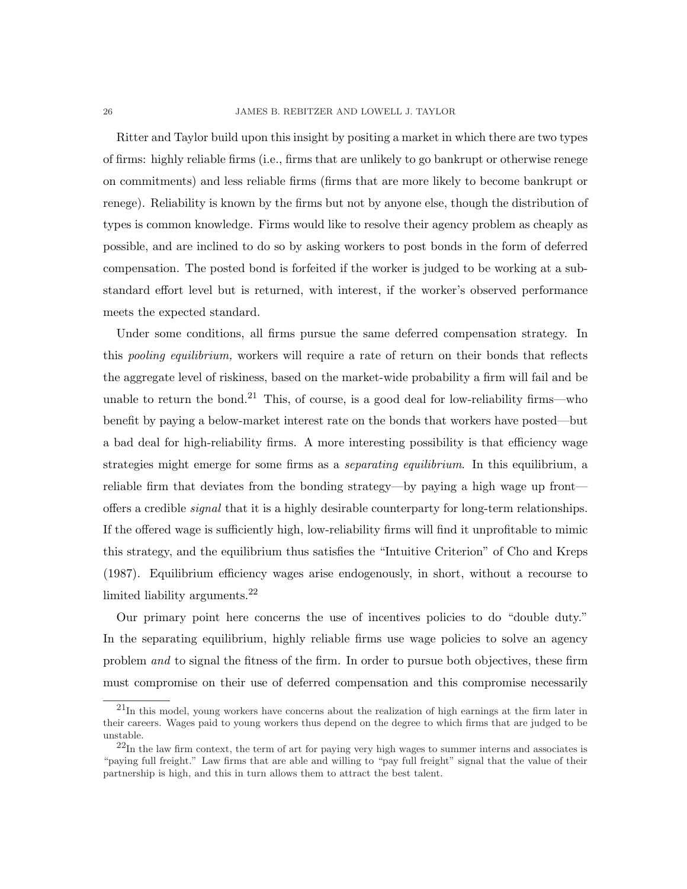#### 26 JAMES B. REBITZER AND LOWELL J. TAYLOR

Ritter and Taylor build upon this insight by positing a market in which there are two types of firms: highly reliable firms (i.e., firms that are unlikely to go bankrupt or otherwise renege on commitments) and less reliable firms (firms that are more likely to become bankrupt or renege). Reliability is known by the firms but not by anyone else, though the distribution of types is common knowledge. Firms would like to resolve their agency problem as cheaply as possible, and are inclined to do so by asking workers to post bonds in the form of deferred compensation. The posted bond is forfeited if the worker is judged to be working at a substandard effort level but is returned, with interest, if the worker's observed performance meets the expected standard.

Under some conditions, all firms pursue the same deferred compensation strategy. In this pooling equilibrium, workers will require a rate of return on their bonds that reflects the aggregate level of riskiness, based on the market-wide probability a firm will fail and be unable to return the bond.<sup>21</sup> This, of course, is a good deal for low-reliability firms—who benefit by paying a below-market interest rate on the bonds that workers have posted—but a bad deal for high-reliability firms. A more interesting possibility is that efficiency wage strategies might emerge for some firms as a *separating equilibrium*. In this equilibrium, a reliable firm that deviates from the bonding strategy—by paying a high wage up front offers a credible signal that it is a highly desirable counterparty for long-term relationships. If the offered wage is sufficiently high, low-reliability firms will find it unprofitable to mimic this strategy, and the equilibrium thus satisfies the "Intuitive Criterion" of Cho and Kreps (1987). Equilibrium efficiency wages arise endogenously, in short, without a recourse to limited liability arguments.<sup>22</sup>

Our primary point here concerns the use of incentives policies to do "double duty." In the separating equilibrium, highly reliable firms use wage policies to solve an agency problem and to signal the fitness of the firm. In order to pursue both objectives, these firm must compromise on their use of deferred compensation and this compromise necessarily

<sup>21</sup>In this model, young workers have concerns about the realization of high earnings at the firm later in their careers. Wages paid to young workers thus depend on the degree to which firms that are judged to be unstable.

 $^{22}$ In the law firm context, the term of art for paying very high wages to summer interns and associates is "paying full freight." Law firms that are able and willing to "pay full freight" signal that the value of their partnership is high, and this in turn allows them to attract the best talent.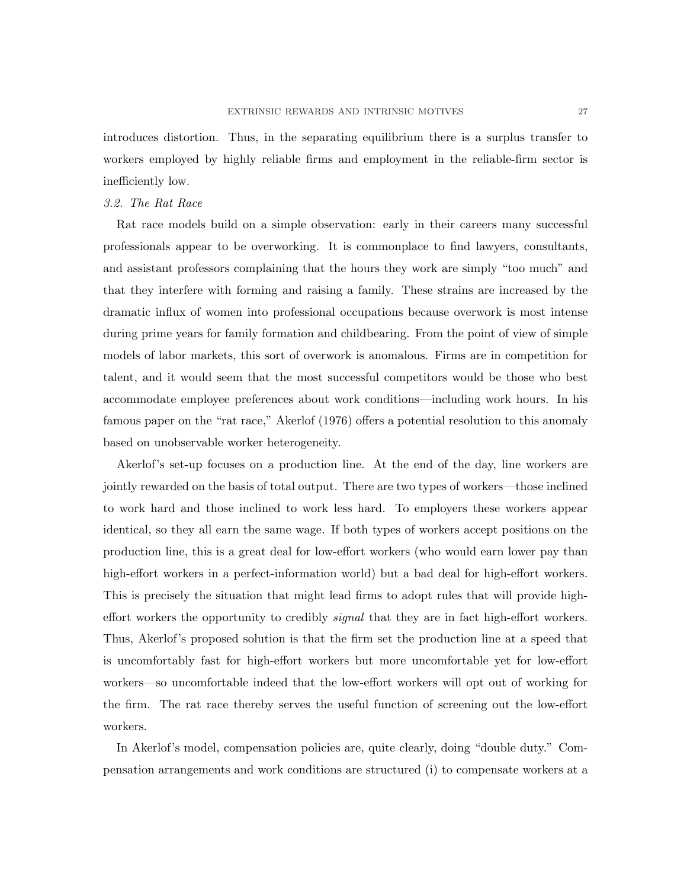introduces distortion. Thus, in the separating equilibrium there is a surplus transfer to workers employed by highly reliable firms and employment in the reliable-firm sector is inefficiently low.

#### 3.2. The Rat Race

Rat race models build on a simple observation: early in their careers many successful professionals appear to be overworking. It is commonplace to find lawyers, consultants, and assistant professors complaining that the hours they work are simply "too much" and that they interfere with forming and raising a family. These strains are increased by the dramatic influx of women into professional occupations because overwork is most intense during prime years for family formation and childbearing. From the point of view of simple models of labor markets, this sort of overwork is anomalous. Firms are in competition for talent, and it would seem that the most successful competitors would be those who best accommodate employee preferences about work conditions—including work hours. In his famous paper on the "rat race," Akerlof (1976) offers a potential resolution to this anomaly based on unobservable worker heterogeneity.

Akerlof's set-up focuses on a production line. At the end of the day, line workers are jointly rewarded on the basis of total output. There are two types of workers—those inclined to work hard and those inclined to work less hard. To employers these workers appear identical, so they all earn the same wage. If both types of workers accept positions on the production line, this is a great deal for low-effort workers (who would earn lower pay than high-effort workers in a perfect-information world) but a bad deal for high-effort workers. This is precisely the situation that might lead firms to adopt rules that will provide higheffort workers the opportunity to credibly signal that they are in fact high-effort workers. Thus, Akerlof's proposed solution is that the firm set the production line at a speed that is uncomfortably fast for high-effort workers but more uncomfortable yet for low-effort workers—so uncomfortable indeed that the low-effort workers will opt out of working for the firm. The rat race thereby serves the useful function of screening out the low-effort workers.

In Akerlof's model, compensation policies are, quite clearly, doing "double duty." Compensation arrangements and work conditions are structured (i) to compensate workers at a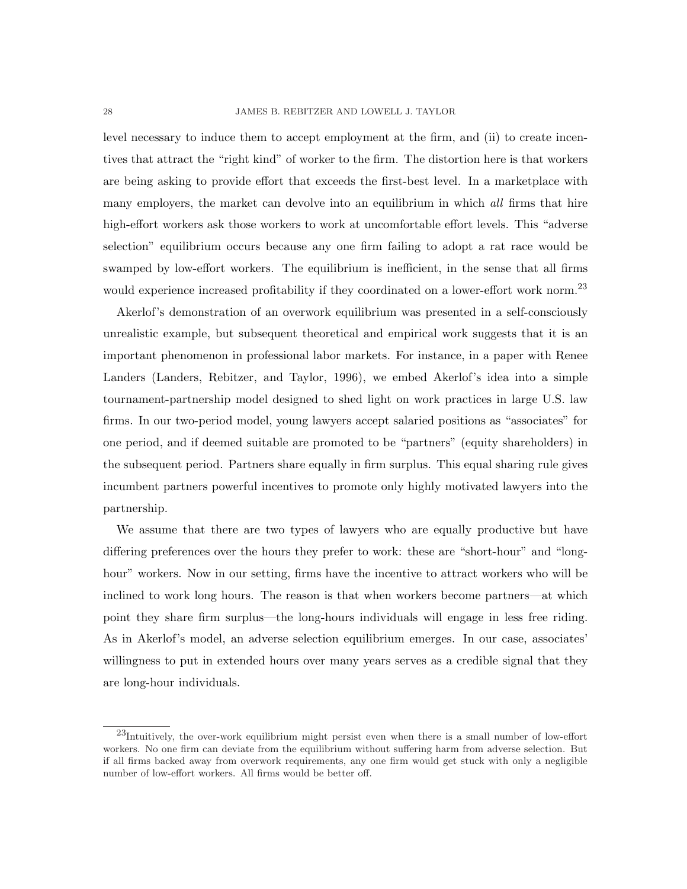level necessary to induce them to accept employment at the firm, and (ii) to create incentives that attract the "right kind" of worker to the firm. The distortion here is that workers are being asking to provide effort that exceeds the first-best level. In a marketplace with many employers, the market can devolve into an equilibrium in which all firms that hire high-effort workers ask those workers to work at uncomfortable effort levels. This "adverse selection" equilibrium occurs because any one firm failing to adopt a rat race would be swamped by low-effort workers. The equilibrium is inefficient, in the sense that all firms would experience increased profitability if they coordinated on a lower-effort work norm.<sup>23</sup>

Akerlof's demonstration of an overwork equilibrium was presented in a self-consciously unrealistic example, but subsequent theoretical and empirical work suggests that it is an important phenomenon in professional labor markets. For instance, in a paper with Renee Landers (Landers, Rebitzer, and Taylor, 1996), we embed Akerlof's idea into a simple tournament-partnership model designed to shed light on work practices in large U.S. law firms. In our two-period model, young lawyers accept salaried positions as "associates" for one period, and if deemed suitable are promoted to be "partners" (equity shareholders) in the subsequent period. Partners share equally in firm surplus. This equal sharing rule gives incumbent partners powerful incentives to promote only highly motivated lawyers into the partnership.

We assume that there are two types of lawyers who are equally productive but have differing preferences over the hours they prefer to work: these are "short-hour" and "longhour" workers. Now in our setting, firms have the incentive to attract workers who will be inclined to work long hours. The reason is that when workers become partners—at which point they share firm surplus—the long-hours individuals will engage in less free riding. As in Akerlof's model, an adverse selection equilibrium emerges. In our case, associates' willingness to put in extended hours over many years serves as a credible signal that they are long-hour individuals.

<sup>23</sup>Intuitively, the over-work equilibrium might persist even when there is a small number of low-effort workers. No one firm can deviate from the equilibrium without suffering harm from adverse selection. But if all firms backed away from overwork requirements, any one firm would get stuck with only a negligible number of low-effort workers. All firms would be better off.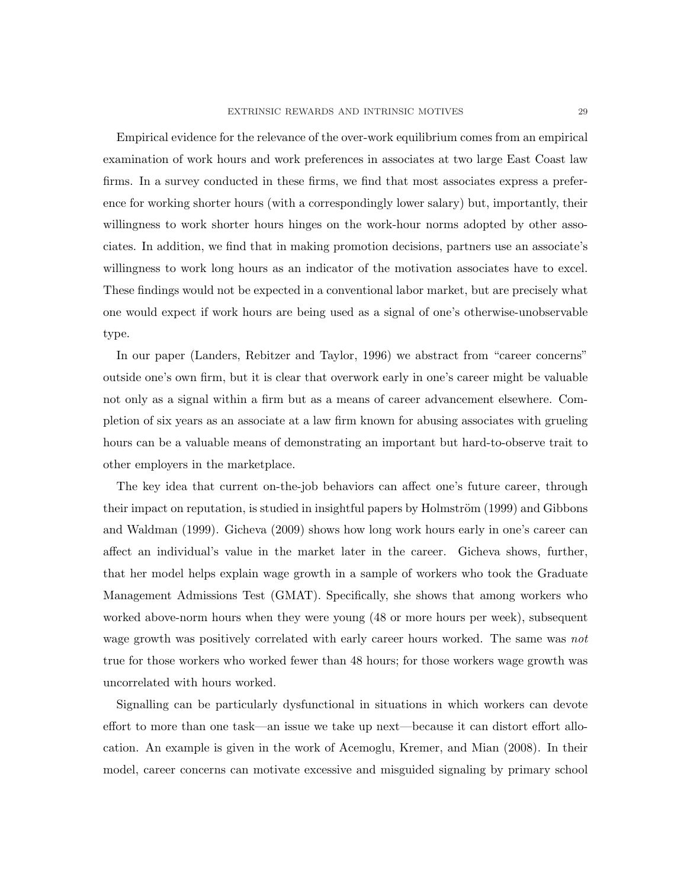Empirical evidence for the relevance of the over-work equilibrium comes from an empirical examination of work hours and work preferences in associates at two large East Coast law firms. In a survey conducted in these firms, we find that most associates express a preference for working shorter hours (with a correspondingly lower salary) but, importantly, their willingness to work shorter hours hinges on the work-hour norms adopted by other associates. In addition, we find that in making promotion decisions, partners use an associate's willingness to work long hours as an indicator of the motivation associates have to excel. These findings would not be expected in a conventional labor market, but are precisely what one would expect if work hours are being used as a signal of one's otherwise-unobservable type.

In our paper (Landers, Rebitzer and Taylor, 1996) we abstract from "career concerns" outside one's own firm, but it is clear that overwork early in one's career might be valuable not only as a signal within a firm but as a means of career advancement elsewhere. Completion of six years as an associate at a law firm known for abusing associates with grueling hours can be a valuable means of demonstrating an important but hard-to-observe trait to other employers in the marketplace.

The key idea that current on-the-job behaviors can affect one's future career, through their impact on reputation, is studied in insightful papers by Holmström (1999) and Gibbons and Waldman (1999). Gicheva (2009) shows how long work hours early in one's career can affect an individual's value in the market later in the career. Gicheva shows, further, that her model helps explain wage growth in a sample of workers who took the Graduate Management Admissions Test (GMAT). Specifically, she shows that among workers who worked above-norm hours when they were young (48 or more hours per week), subsequent wage growth was positively correlated with early career hours worked. The same was not true for those workers who worked fewer than 48 hours; for those workers wage growth was uncorrelated with hours worked.

Signalling can be particularly dysfunctional in situations in which workers can devote effort to more than one task—an issue we take up next—because it can distort effort allocation. An example is given in the work of Acemoglu, Kremer, and Mian (2008). In their model, career concerns can motivate excessive and misguided signaling by primary school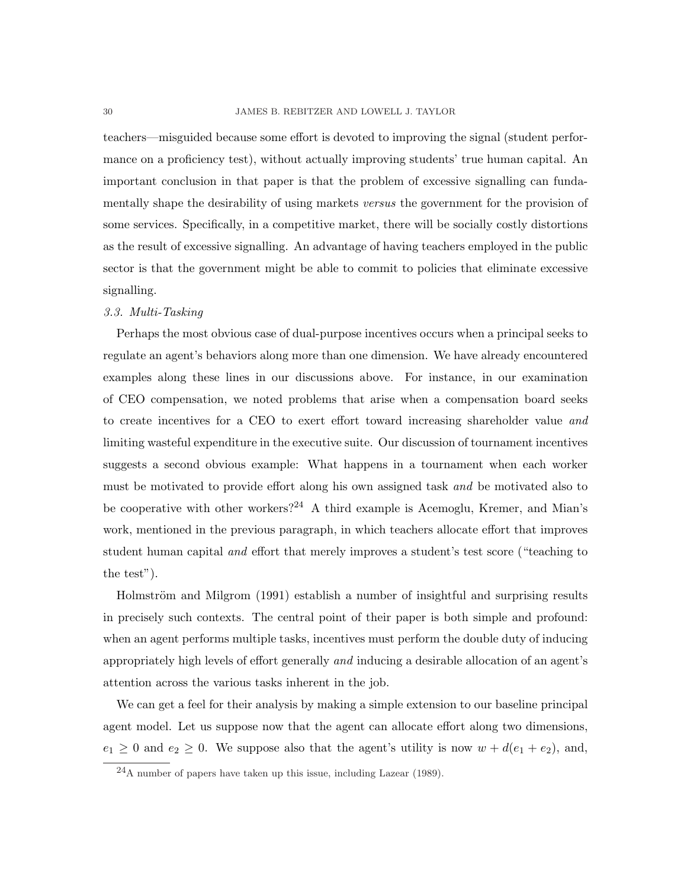teachers—misguided because some effort is devoted to improving the signal (student performance on a proficiency test), without actually improving students' true human capital. An important conclusion in that paper is that the problem of excessive signalling can fundamentally shape the desirability of using markets versus the government for the provision of some services. Specifically, in a competitive market, there will be socially costly distortions as the result of excessive signalling. An advantage of having teachers employed in the public sector is that the government might be able to commit to policies that eliminate excessive signalling.

#### 3.3. Multi-Tasking

Perhaps the most obvious case of dual-purpose incentives occurs when a principal seeks to regulate an agent's behaviors along more than one dimension. We have already encountered examples along these lines in our discussions above. For instance, in our examination of CEO compensation, we noted problems that arise when a compensation board seeks to create incentives for a CEO to exert effort toward increasing shareholder value and limiting wasteful expenditure in the executive suite. Our discussion of tournament incentives suggests a second obvious example: What happens in a tournament when each worker must be motivated to provide effort along his own assigned task and be motivated also to be cooperative with other workers?<sup>24</sup> A third example is Acemoglu, Kremer, and Mian's work, mentioned in the previous paragraph, in which teachers allocate effort that improves student human capital and effort that merely improves a student's test score ("teaching to the test").

Holmström and Milgrom (1991) establish a number of insightful and surprising results in precisely such contexts. The central point of their paper is both simple and profound: when an agent performs multiple tasks, incentives must perform the double duty of inducing appropriately high levels of effort generally and inducing a desirable allocation of an agent's attention across the various tasks inherent in the job.

We can get a feel for their analysis by making a simple extension to our baseline principal agent model. Let us suppose now that the agent can allocate effort along two dimensions,  $e_1 \geq 0$  and  $e_2 \geq 0$ . We suppose also that the agent's utility is now  $w + d(e_1 + e_2)$ , and,

 $^{24}$ A number of papers have taken up this issue, including Lazear (1989).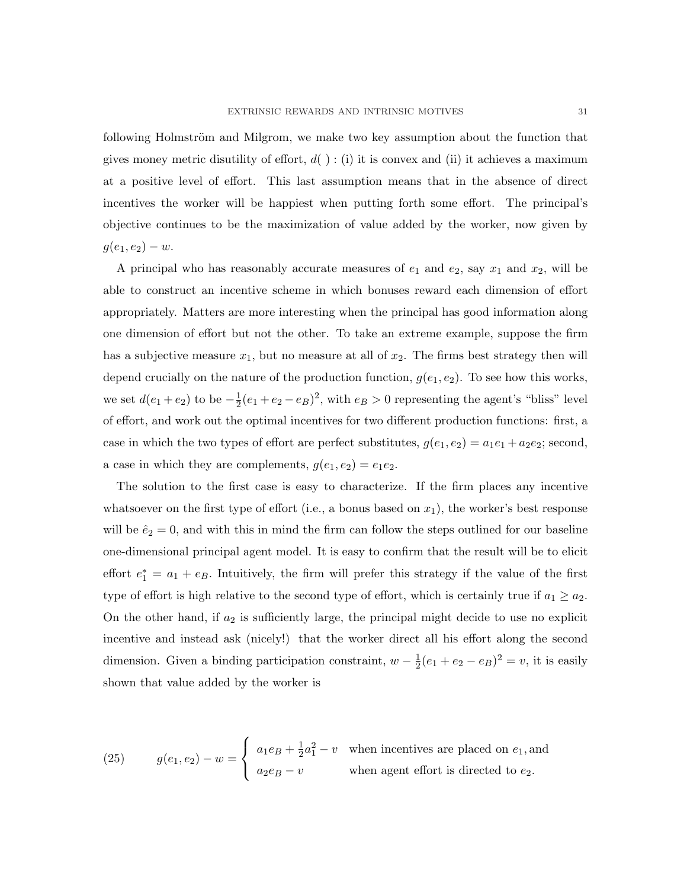following Holmström and Milgrom, we make two key assumption about the function that gives money metric disutility of effort,  $d()$ : (i) it is convex and (ii) it achieves a maximum at a positive level of effort. This last assumption means that in the absence of direct incentives the worker will be happiest when putting forth some effort. The principal's objective continues to be the maximization of value added by the worker, now given by  $g(e_1, e_2) - w.$ 

A principal who has reasonably accurate measures of  $e_1$  and  $e_2$ , say  $x_1$  and  $x_2$ , will be able to construct an incentive scheme in which bonuses reward each dimension of effort appropriately. Matters are more interesting when the principal has good information along one dimension of effort but not the other. To take an extreme example, suppose the firm has a subjective measure  $x_1$ , but no measure at all of  $x_2$ . The firms best strategy then will depend crucially on the nature of the production function,  $g(e_1, e_2)$ . To see how this works, we set  $d(e_1+e_2)$  to be  $-\frac{1}{2}$  $\frac{1}{2}(e_1+e_2-e_B)^2$ , with  $e_B>0$  representing the agent's "bliss" level of effort, and work out the optimal incentives for two different production functions: first, a case in which the two types of effort are perfect substitutes,  $g(e_1, e_2) = a_1e_1 + a_2e_2$ ; second, a case in which they are complements,  $g(e_1, e_2) = e_1e_2$ .

The solution to the first case is easy to characterize. If the firm places any incentive whatsoever on the first type of effort (i.e., a bonus based on  $x_1$ ), the worker's best response will be  $\hat{e}_2 = 0$ , and with this in mind the firm can follow the steps outlined for our baseline one-dimensional principal agent model. It is easy to confirm that the result will be to elicit effort  $e_1^* = a_1 + e_B$ . Intuitively, the firm will prefer this strategy if the value of the first type of effort is high relative to the second type of effort, which is certainly true if  $a_1 \ge a_2$ . On the other hand, if  $a_2$  is sufficiently large, the principal might decide to use no explicit incentive and instead ask (nicely!) that the worker direct all his effort along the second dimension. Given a binding participation constraint,  $w - \frac{1}{2}$  $\frac{1}{2}(e_1 + e_2 - e_B)^2 = v$ , it is easily shown that value added by the worker is

(25) 
$$
g(e_1, e_2) - w = \begin{cases} a_1 e_B + \frac{1}{2} a_1^2 - v & \text{when incentives are placed on } e_1, \text{and} \\ a_2 e_B - v & \text{when agent effort is directed to } e_2. \end{cases}
$$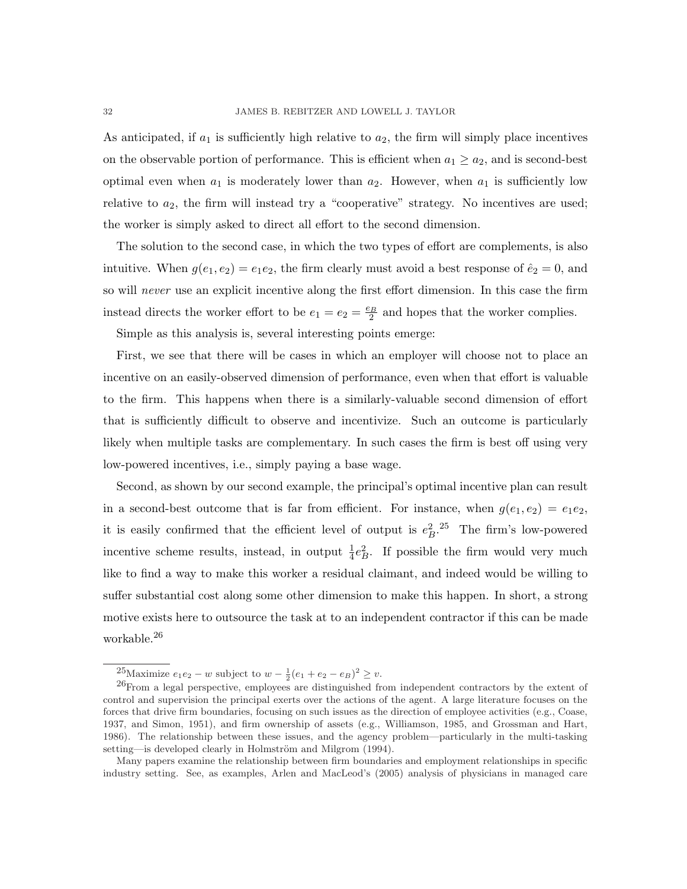As anticipated, if  $a_1$  is sufficiently high relative to  $a_2$ , the firm will simply place incentives on the observable portion of performance. This is efficient when  $a_1 \ge a_2$ , and is second-best optimal even when  $a_1$  is moderately lower than  $a_2$ . However, when  $a_1$  is sufficiently low relative to  $a_2$ , the firm will instead try a "cooperative" strategy. No incentives are used; the worker is simply asked to direct all effort to the second dimension.

The solution to the second case, in which the two types of effort are complements, is also intuitive. When  $g(e_1, e_2) = e_1 e_2$ , the firm clearly must avoid a best response of  $\hat{e}_2 = 0$ , and so will *never* use an explicit incentive along the first effort dimension. In this case the firm instead directs the worker effort to be  $e_1 = e_2 = \frac{e_B}{2}$  and hopes that the worker complies.

Simple as this analysis is, several interesting points emerge:

First, we see that there will be cases in which an employer will choose not to place an incentive on an easily-observed dimension of performance, even when that effort is valuable to the firm. This happens when there is a similarly-valuable second dimension of effort that is sufficiently difficult to observe and incentivize. Such an outcome is particularly likely when multiple tasks are complementary. In such cases the firm is best off using very low-powered incentives, i.e., simply paying a base wage.

Second, as shown by our second example, the principal's optimal incentive plan can result in a second-best outcome that is far from efficient. For instance, when  $g(e_1, e_2) = e_1e_2$ , it is easily confirmed that the efficient level of output is  $e_B^2$ .<sup>25</sup> The firm's low-powered incentive scheme results, instead, in output  $\frac{1}{4}e_B^2$ . If possible the firm would very much like to find a way to make this worker a residual claimant, and indeed would be willing to suffer substantial cost along some other dimension to make this happen. In short, a strong motive exists here to outsource the task at to an independent contractor if this can be made workable.<sup>26</sup>

<sup>&</sup>lt;sup>25</sup>Maximize  $e_1e_2 - w$  subject to  $w - \frac{1}{2}(e_1 + e_2 - e_B)^2 \geq v$ .

<sup>26</sup>From a legal perspective, employees are distinguished from independent contractors by the extent of control and supervision the principal exerts over the actions of the agent. A large literature focuses on the forces that drive firm boundaries, focusing on such issues as the direction of employee activities (e.g., Coase, 1937, and Simon, 1951), and firm ownership of assets (e.g., Williamson, 1985, and Grossman and Hart, 1986). The relationship between these issues, and the agency problem—particularly in the multi-tasking setting—is developed clearly in Holmström and Milgrom (1994).

Many papers examine the relationship between firm boundaries and employment relationships in specific industry setting. See, as examples, Arlen and MacLeod's (2005) analysis of physicians in managed care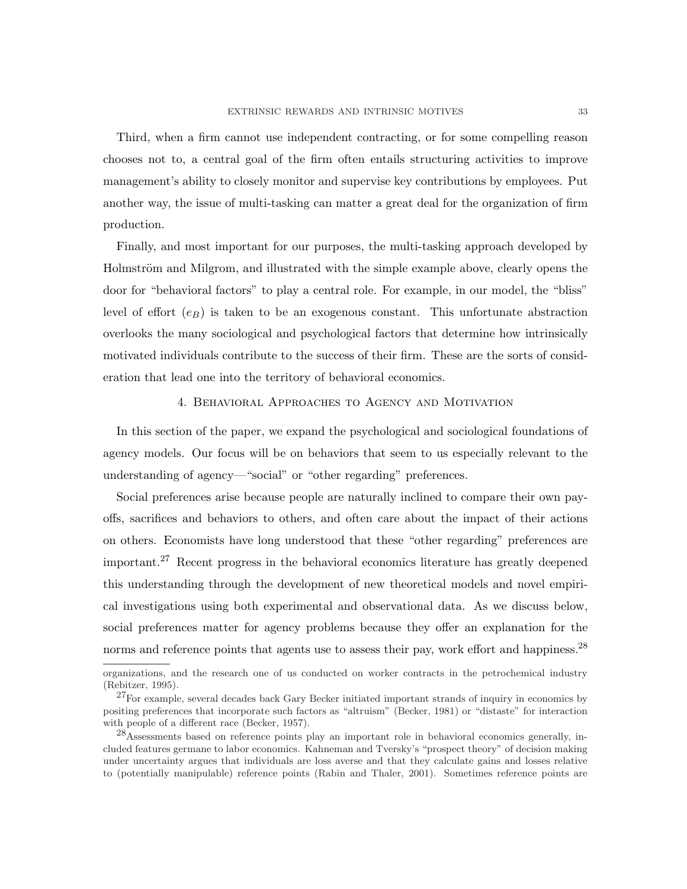Third, when a firm cannot use independent contracting, or for some compelling reason chooses not to, a central goal of the firm often entails structuring activities to improve management's ability to closely monitor and supervise key contributions by employees. Put another way, the issue of multi-tasking can matter a great deal for the organization of firm production.

Finally, and most important for our purposes, the multi-tasking approach developed by Holmström and Milgrom, and illustrated with the simple example above, clearly opens the door for "behavioral factors" to play a central role. For example, in our model, the "bliss" level of effort  $(e_B)$  is taken to be an exogenous constant. This unfortunate abstraction overlooks the many sociological and psychological factors that determine how intrinsically motivated individuals contribute to the success of their firm. These are the sorts of consideration that lead one into the territory of behavioral economics.

#### 4. Behavioral Approaches to Agency and Motivation

In this section of the paper, we expand the psychological and sociological foundations of agency models. Our focus will be on behaviors that seem to us especially relevant to the understanding of agency—"social" or "other regarding" preferences.

Social preferences arise because people are naturally inclined to compare their own payoffs, sacrifices and behaviors to others, and often care about the impact of their actions on others. Economists have long understood that these "other regarding" preferences are important.<sup>27</sup> Recent progress in the behavioral economics literature has greatly deepened this understanding through the development of new theoretical models and novel empirical investigations using both experimental and observational data. As we discuss below, social preferences matter for agency problems because they offer an explanation for the norms and reference points that agents use to assess their pay, work effort and happiness.<sup>28</sup>

organizations, and the research one of us conducted on worker contracts in the petrochemical industry (Rebitzer, 1995).

 $^{27}$ For example, several decades back Gary Becker initiated important strands of inquiry in economics by positing preferences that incorporate such factors as "altruism" (Becker, 1981) or "distaste" for interaction with people of a different race (Becker, 1957).

<sup>28</sup>Assessments based on reference points play an important role in behavioral economics generally, included features germane to labor economics. Kahneman and Tversky's "prospect theory" of decision making under uncertainty argues that individuals are loss averse and that they calculate gains and losses relative to (potentially manipulable) reference points (Rabin and Thaler, 2001). Sometimes reference points are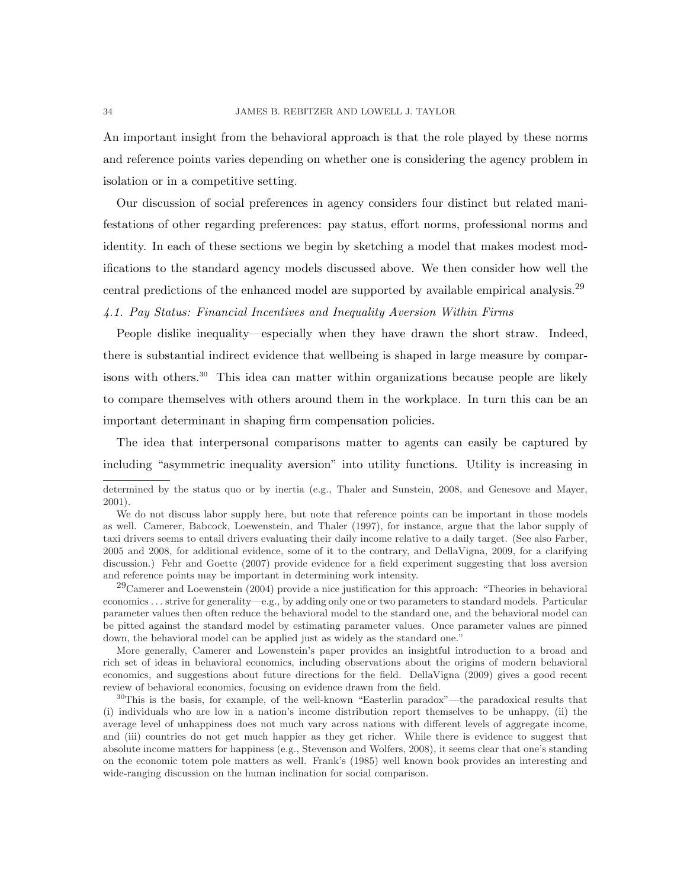An important insight from the behavioral approach is that the role played by these norms and reference points varies depending on whether one is considering the agency problem in isolation or in a competitive setting.

Our discussion of social preferences in agency considers four distinct but related manifestations of other regarding preferences: pay status, effort norms, professional norms and identity. In each of these sections we begin by sketching a model that makes modest modifications to the standard agency models discussed above. We then consider how well the central predictions of the enhanced model are supported by available empirical analysis.<sup>29</sup>

4.1. Pay Status: Financial Incentives and Inequality Aversion Within Firms

People dislike inequality—especially when they have drawn the short straw. Indeed, there is substantial indirect evidence that wellbeing is shaped in large measure by comparisons with others.<sup>30</sup> This idea can matter within organizations because people are likely to compare themselves with others around them in the workplace. In turn this can be an important determinant in shaping firm compensation policies.

The idea that interpersonal comparisons matter to agents can easily be captured by including "asymmetric inequality aversion" into utility functions. Utility is increasing in

 $^{29}$ Camerer and Loewenstein (2004) provide a nice justification for this approach: "Theories in behavioral economics . . . strive for generality—e.g., by adding only one or two parameters to standard models. Particular parameter values then often reduce the behavioral model to the standard one, and the behavioral model can be pitted against the standard model by estimating parameter values. Once parameter values are pinned down, the behavioral model can be applied just as widely as the standard one."

More generally, Camerer and Lowenstein's paper provides an insightful introduction to a broad and rich set of ideas in behavioral economics, including observations about the origins of modern behavioral economics, and suggestions about future directions for the field. DellaVigna (2009) gives a good recent review of behavioral economics, focusing on evidence drawn from the field.

<sup>30</sup>This is the basis, for example, of the well-known "Easterlin paradox"—the paradoxical results that (i) individuals who are low in a nation's income distribution report themselves to be unhappy, (ii) the average level of unhappiness does not much vary across nations with different levels of aggregate income, and (iii) countries do not get much happier as they get richer. While there is evidence to suggest that absolute income matters for happiness (e.g., Stevenson and Wolfers, 2008), it seems clear that one's standing on the economic totem pole matters as well. Frank's (1985) well known book provides an interesting and wide-ranging discussion on the human inclination for social comparison.

determined by the status quo or by inertia (e.g., Thaler and Sunstein, 2008, and Genesove and Mayer, 2001).

We do not discuss labor supply here, but note that reference points can be important in those models as well. Camerer, Babcock, Loewenstein, and Thaler (1997), for instance, argue that the labor supply of taxi drivers seems to entail drivers evaluating their daily income relative to a daily target. (See also Farber, 2005 and 2008, for additional evidence, some of it to the contrary, and DellaVigna, 2009, for a clarifying discussion.) Fehr and Goette (2007) provide evidence for a field experiment suggesting that loss aversion and reference points may be important in determining work intensity.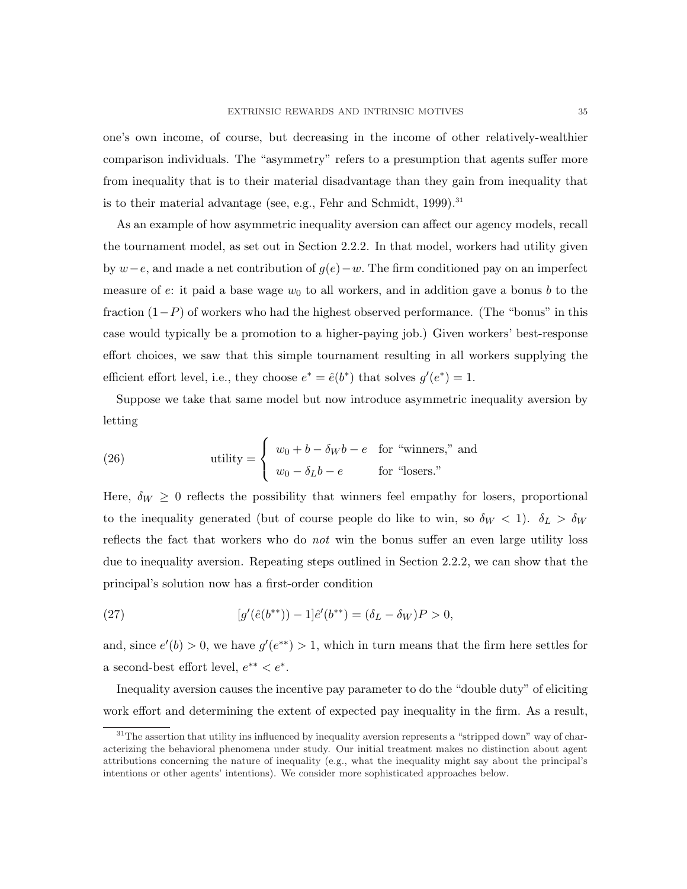one's own income, of course, but decreasing in the income of other relatively-wealthier comparison individuals. The "asymmetry" refers to a presumption that agents suffer more from inequality that is to their material disadvantage than they gain from inequality that is to their material advantage (see, e.g., Fehr and Schmidt, 1999).<sup>31</sup>

As an example of how asymmetric inequality aversion can affect our agency models, recall the tournament model, as set out in Section 2.2.2. In that model, workers had utility given by  $w-e$ , and made a net contribution of  $g(e)-w$ . The firm conditioned pay on an imperfect measure of e: it paid a base wage  $w_0$  to all workers, and in addition gave a bonus b to the fraction  $(1-P)$  of workers who had the highest observed performance. (The "bonus" in this case would typically be a promotion to a higher-paying job.) Given workers' best-response effort choices, we saw that this simple tournament resulting in all workers supplying the efficient effort level, i.e., they choose  $e^* = \hat{e}(b^*)$  that solves  $g'(e^*) = 1$ .

Suppose we take that same model but now introduce asymmetric inequality aversion by letting

(26) utility = 
$$
\begin{cases} w_0 + b - \delta_W b - e & \text{for "winners," and} \\ w_0 - \delta_L b - e & \text{for "lossrs."} \end{cases}
$$

Here,  $\delta_W \geq 0$  reflects the possibility that winners feel empathy for losers, proportional to the inequality generated (but of course people do like to win, so  $\delta_W < 1$ ).  $\delta_L > \delta_W$ reflects the fact that workers who do not win the bonus suffer an even large utility loss due to inequality aversion. Repeating steps outlined in Section 2.2.2, we can show that the principal's solution now has a first-order condition

(27) 
$$
[g'(\hat{e}(b^{**})) - 1]\hat{e}'(b^{**}) = (\delta_L - \delta_W)P > 0,
$$

and, since  $e'(b) > 0$ , we have  $g'(e^{**}) > 1$ , which in turn means that the firm here settles for a second-best effort level,  $e^{**} < e^*$ .

Inequality aversion causes the incentive pay parameter to do the "double duty" of eliciting work effort and determining the extent of expected pay inequality in the firm. As a result,

<sup>&</sup>lt;sup>31</sup>The assertion that utility ins influenced by inequality aversion represents a "stripped down" way of characterizing the behavioral phenomena under study. Our initial treatment makes no distinction about agent attributions concerning the nature of inequality (e.g., what the inequality might say about the principal's intentions or other agents' intentions). We consider more sophisticated approaches below.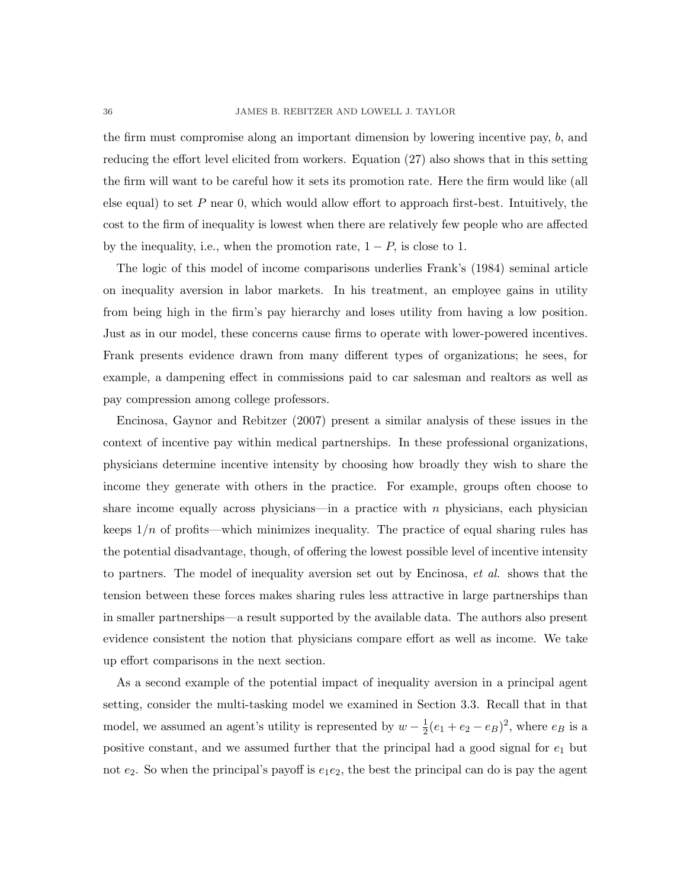the firm must compromise along an important dimension by lowering incentive pay, b, and reducing the effort level elicited from workers. Equation (27) also shows that in this setting the firm will want to be careful how it sets its promotion rate. Here the firm would like (all else equal) to set  $P$  near 0, which would allow effort to approach first-best. Intuitively, the cost to the firm of inequality is lowest when there are relatively few people who are affected by the inequality, i.e., when the promotion rate,  $1 - P$ , is close to 1.

The logic of this model of income comparisons underlies Frank's (1984) seminal article on inequality aversion in labor markets. In his treatment, an employee gains in utility from being high in the firm's pay hierarchy and loses utility from having a low position. Just as in our model, these concerns cause firms to operate with lower-powered incentives. Frank presents evidence drawn from many different types of organizations; he sees, for example, a dampening effect in commissions paid to car salesman and realtors as well as pay compression among college professors.

Encinosa, Gaynor and Rebitzer (2007) present a similar analysis of these issues in the context of incentive pay within medical partnerships. In these professional organizations, physicians determine incentive intensity by choosing how broadly they wish to share the income they generate with others in the practice. For example, groups often choose to share income equally across physicians—in a practice with  $n$  physicians, each physician keeps  $1/n$  of profits—which minimizes inequality. The practice of equal sharing rules has the potential disadvantage, though, of offering the lowest possible level of incentive intensity to partners. The model of inequality aversion set out by Encinosa, et al. shows that the tension between these forces makes sharing rules less attractive in large partnerships than in smaller partnerships—a result supported by the available data. The authors also present evidence consistent the notion that physicians compare effort as well as income. We take up effort comparisons in the next section.

As a second example of the potential impact of inequality aversion in a principal agent setting, consider the multi-tasking model we examined in Section 3.3. Recall that in that model, we assumed an agent's utility is represented by  $w - \frac{1}{2}$  $\frac{1}{2}(e_1 + e_2 - e_B)^2$ , where  $e_B$  is a positive constant, and we assumed further that the principal had a good signal for  $e_1$  but not  $e_2$ . So when the principal's payoff is  $e_1e_2$ , the best the principal can do is pay the agent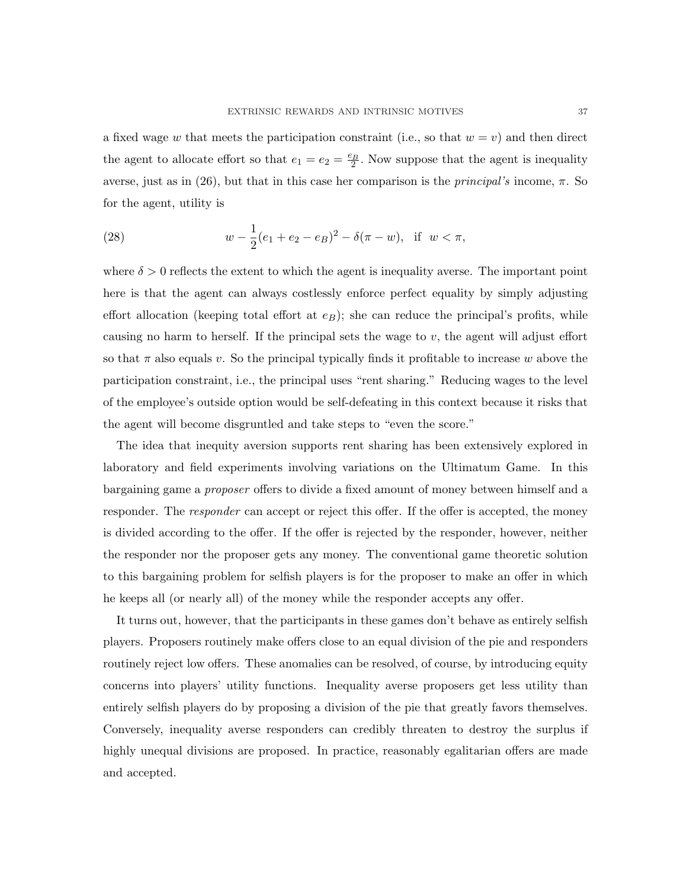a fixed wage w that meets the participation constraint (i.e., so that  $w = v$ ) and then direct the agent to allocate effort so that  $e_1 = e_2 = \frac{e_B}{2}$ . Now suppose that the agent is inequality averse, just as in (26), but that in this case her comparison is the *principal's* income,  $\pi$ . So for the agent, utility is

(28) 
$$
w - \frac{1}{2}(e_1 + e_2 - e_B)^2 - \delta(\pi - w), \text{ if } w < \pi,
$$

where  $\delta > 0$  reflects the extent to which the agent is inequality averse. The important point here is that the agent can always costlessly enforce perfect equality by simply adjusting effort allocation (keeping total effort at  $e_B$ ); she can reduce the principal's profits, while causing no harm to herself. If the principal sets the wage to  $v$ , the agent will adjust effort so that  $\pi$  also equals v. So the principal typically finds it profitable to increase w above the participation constraint, i.e., the principal uses "rent sharing." Reducing wages to the level of the employee's outside option would be self-defeating in this context because it risks that the agent will become disgruntled and take steps to "even the score."

The idea that inequity aversion supports rent sharing has been extensively explored in laboratory and field experiments involving variations on the Ultimatum Game. In this bargaining game a proposer offers to divide a fixed amount of money between himself and a responder. The *responder* can accept or reject this offer. If the offer is accepted, the money is divided according to the offer. If the offer is rejected by the responder, however, neither the responder nor the proposer gets any money. The conventional game theoretic solution to this bargaining problem for selfish players is for the proposer to make an offer in which he keeps all (or nearly all) of the money while the responder accepts any offer.

It turns out, however, that the participants in these games don't behave as entirely selfish players. Proposers routinely make offers close to an equal division of the pie and responders routinely reject low offers. These anomalies can be resolved, of course, by introducing equity concerns into players' utility functions. Inequality averse proposers get less utility than entirely selfish players do by proposing a division of the pie that greatly favors themselves. Conversely, inequality averse responders can credibly threaten to destroy the surplus if highly unequal divisions are proposed. In practice, reasonably egalitarian offers are made and accepted.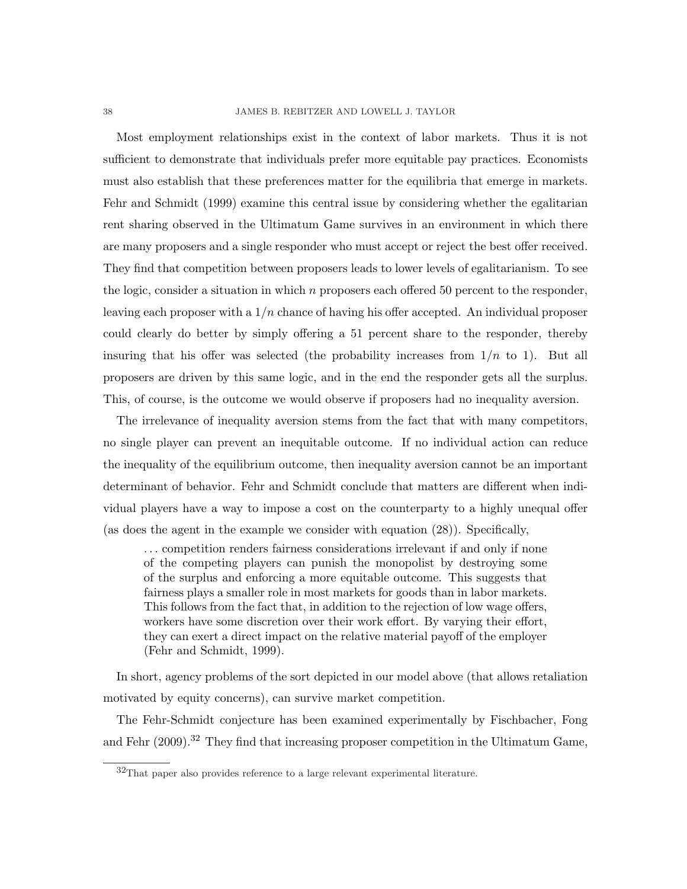#### 38 JAMES B. REBITZER AND LOWELL J. TAYLOR

Most employment relationships exist in the context of labor markets. Thus it is not sufficient to demonstrate that individuals prefer more equitable pay practices. Economists must also establish that these preferences matter for the equilibria that emerge in markets. Fehr and Schmidt (1999) examine this central issue by considering whether the egalitarian rent sharing observed in the Ultimatum Game survives in an environment in which there are many proposers and a single responder who must accept or reject the best offer received. They find that competition between proposers leads to lower levels of egalitarianism. To see the logic, consider a situation in which  $n$  proposers each offered 50 percent to the responder, leaving each proposer with a  $1/n$  chance of having his offer accepted. An individual proposer could clearly do better by simply offering a 51 percent share to the responder, thereby insuring that his offer was selected (the probability increases from  $1/n$  to 1). But all proposers are driven by this same logic, and in the end the responder gets all the surplus. This, of course, is the outcome we would observe if proposers had no inequality aversion.

The irrelevance of inequality aversion stems from the fact that with many competitors, no single player can prevent an inequitable outcome. If no individual action can reduce the inequality of the equilibrium outcome, then inequality aversion cannot be an important determinant of behavior. Fehr and Schmidt conclude that matters are different when individual players have a way to impose a cost on the counterparty to a highly unequal offer (as does the agent in the example we consider with equation (28)). Specifically,

. . . competition renders fairness considerations irrelevant if and only if none of the competing players can punish the monopolist by destroying some of the surplus and enforcing a more equitable outcome. This suggests that fairness plays a smaller role in most markets for goods than in labor markets. This follows from the fact that, in addition to the rejection of low wage offers, workers have some discretion over their work effort. By varying their effort, they can exert a direct impact on the relative material payoff of the employer (Fehr and Schmidt, 1999).

In short, agency problems of the sort depicted in our model above (that allows retaliation motivated by equity concerns), can survive market competition.

The Fehr-Schmidt conjecture has been examined experimentally by Fischbacher, Fong and Fehr  $(2009)$ .<sup>32</sup> They find that increasing proposer competition in the Ultimatum Game,

 $32$ That paper also provides reference to a large relevant experimental literature.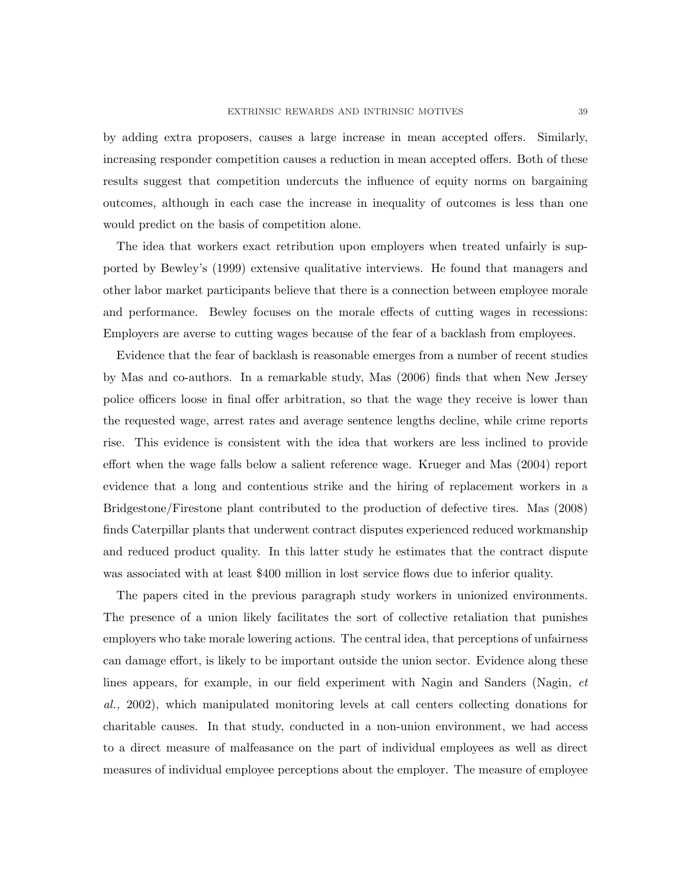by adding extra proposers, causes a large increase in mean accepted offers. Similarly, increasing responder competition causes a reduction in mean accepted offers. Both of these results suggest that competition undercuts the influence of equity norms on bargaining outcomes, although in each case the increase in inequality of outcomes is less than one would predict on the basis of competition alone.

The idea that workers exact retribution upon employers when treated unfairly is supported by Bewley's (1999) extensive qualitative interviews. He found that managers and other labor market participants believe that there is a connection between employee morale and performance. Bewley focuses on the morale effects of cutting wages in recessions: Employers are averse to cutting wages because of the fear of a backlash from employees.

Evidence that the fear of backlash is reasonable emerges from a number of recent studies by Mas and co-authors. In a remarkable study, Mas (2006) finds that when New Jersey police officers loose in final offer arbitration, so that the wage they receive is lower than the requested wage, arrest rates and average sentence lengths decline, while crime reports rise. This evidence is consistent with the idea that workers are less inclined to provide effort when the wage falls below a salient reference wage. Krueger and Mas (2004) report evidence that a long and contentious strike and the hiring of replacement workers in a Bridgestone/Firestone plant contributed to the production of defective tires. Mas (2008) finds Caterpillar plants that underwent contract disputes experienced reduced workmanship and reduced product quality. In this latter study he estimates that the contract dispute was associated with at least \$400 million in lost service flows due to inferior quality.

The papers cited in the previous paragraph study workers in unionized environments. The presence of a union likely facilitates the sort of collective retaliation that punishes employers who take morale lowering actions. The central idea, that perceptions of unfairness can damage effort, is likely to be important outside the union sector. Evidence along these lines appears, for example, in our field experiment with Nagin and Sanders (Nagin, et al., 2002), which manipulated monitoring levels at call centers collecting donations for charitable causes. In that study, conducted in a non-union environment, we had access to a direct measure of malfeasance on the part of individual employees as well as direct measures of individual employee perceptions about the employer. The measure of employee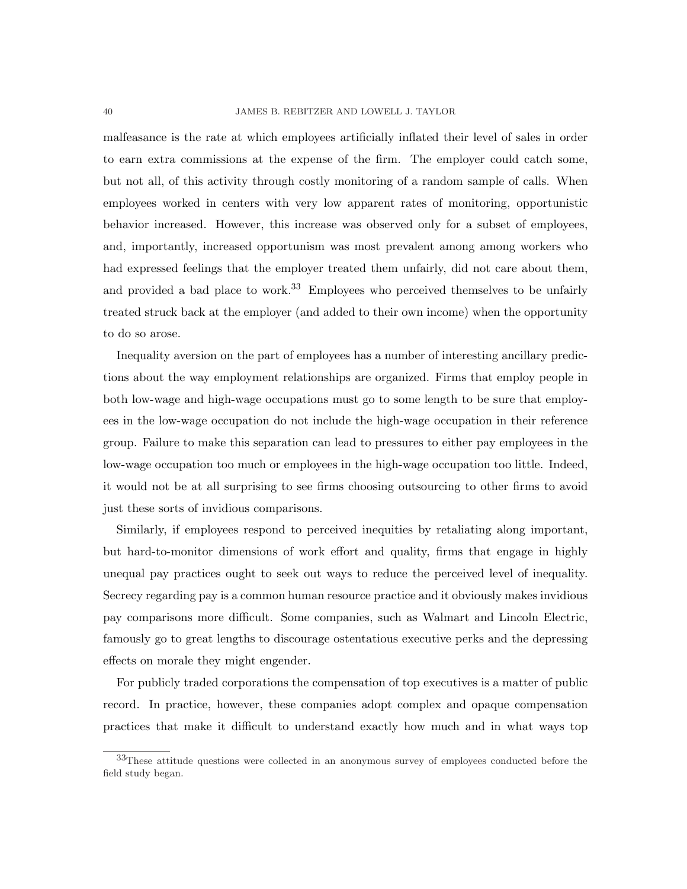malfeasance is the rate at which employees artificially inflated their level of sales in order to earn extra commissions at the expense of the firm. The employer could catch some, but not all, of this activity through costly monitoring of a random sample of calls. When employees worked in centers with very low apparent rates of monitoring, opportunistic behavior increased. However, this increase was observed only for a subset of employees, and, importantly, increased opportunism was most prevalent among among workers who had expressed feelings that the employer treated them unfairly, did not care about them, and provided a bad place to work.<sup>33</sup> Employees who perceived themselves to be unfairly treated struck back at the employer (and added to their own income) when the opportunity to do so arose.

Inequality aversion on the part of employees has a number of interesting ancillary predictions about the way employment relationships are organized. Firms that employ people in both low-wage and high-wage occupations must go to some length to be sure that employees in the low-wage occupation do not include the high-wage occupation in their reference group. Failure to make this separation can lead to pressures to either pay employees in the low-wage occupation too much or employees in the high-wage occupation too little. Indeed, it would not be at all surprising to see firms choosing outsourcing to other firms to avoid just these sorts of invidious comparisons.

Similarly, if employees respond to perceived inequities by retaliating along important, but hard-to-monitor dimensions of work effort and quality, firms that engage in highly unequal pay practices ought to seek out ways to reduce the perceived level of inequality. Secrecy regarding pay is a common human resource practice and it obviously makes invidious pay comparisons more difficult. Some companies, such as Walmart and Lincoln Electric, famously go to great lengths to discourage ostentatious executive perks and the depressing effects on morale they might engender.

For publicly traded corporations the compensation of top executives is a matter of public record. In practice, however, these companies adopt complex and opaque compensation practices that make it difficult to understand exactly how much and in what ways top

<sup>33</sup>These attitude questions were collected in an anonymous survey of employees conducted before the field study began.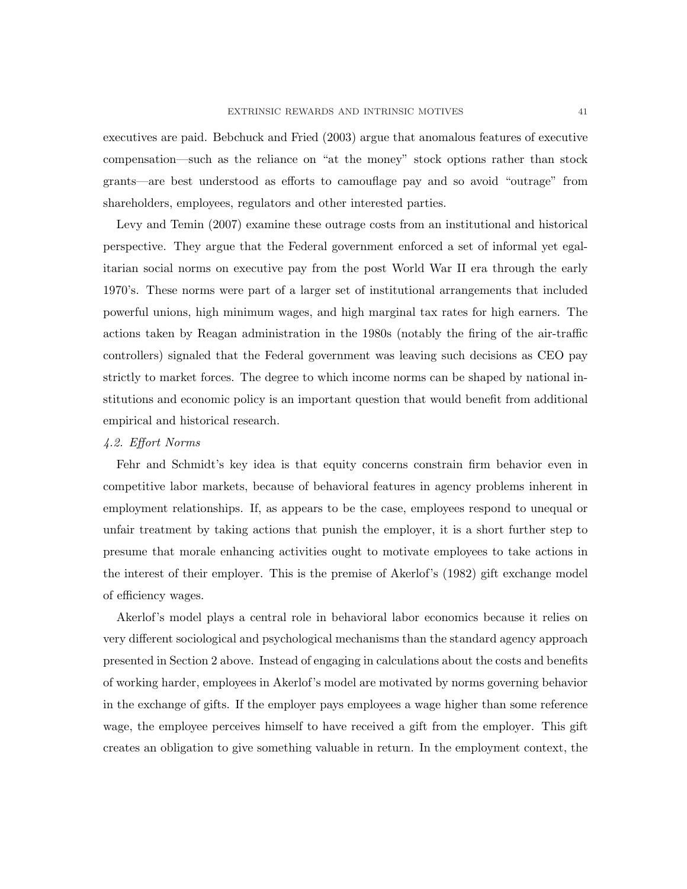executives are paid. Bebchuck and Fried (2003) argue that anomalous features of executive compensation—such as the reliance on "at the money" stock options rather than stock grants—are best understood as efforts to camouflage pay and so avoid "outrage" from shareholders, employees, regulators and other interested parties.

Levy and Temin (2007) examine these outrage costs from an institutional and historical perspective. They argue that the Federal government enforced a set of informal yet egalitarian social norms on executive pay from the post World War II era through the early 1970's. These norms were part of a larger set of institutional arrangements that included powerful unions, high minimum wages, and high marginal tax rates for high earners. The actions taken by Reagan administration in the 1980s (notably the firing of the air-traffic controllers) signaled that the Federal government was leaving such decisions as CEO pay strictly to market forces. The degree to which income norms can be shaped by national institutions and economic policy is an important question that would benefit from additional empirical and historical research.

# 4.2. Effort Norms

Fehr and Schmidt's key idea is that equity concerns constrain firm behavior even in competitive labor markets, because of behavioral features in agency problems inherent in employment relationships. If, as appears to be the case, employees respond to unequal or unfair treatment by taking actions that punish the employer, it is a short further step to presume that morale enhancing activities ought to motivate employees to take actions in the interest of their employer. This is the premise of Akerlof's (1982) gift exchange model of efficiency wages.

Akerlof's model plays a central role in behavioral labor economics because it relies on very different sociological and psychological mechanisms than the standard agency approach presented in Section 2 above. Instead of engaging in calculations about the costs and benefits of working harder, employees in Akerlof's model are motivated by norms governing behavior in the exchange of gifts. If the employer pays employees a wage higher than some reference wage, the employee perceives himself to have received a gift from the employer. This gift creates an obligation to give something valuable in return. In the employment context, the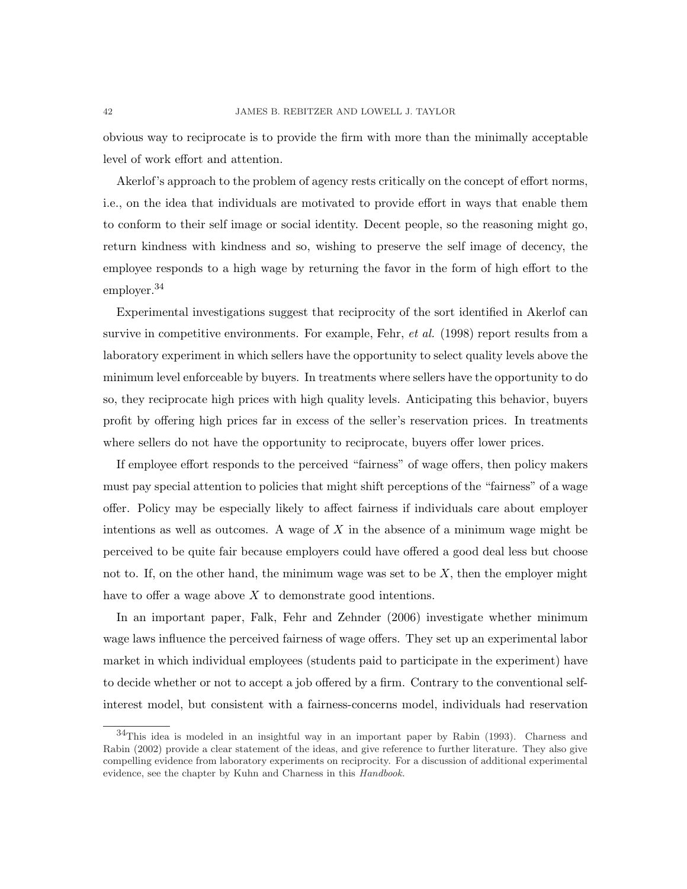obvious way to reciprocate is to provide the firm with more than the minimally acceptable level of work effort and attention.

Akerlof's approach to the problem of agency rests critically on the concept of effort norms, i.e., on the idea that individuals are motivated to provide effort in ways that enable them to conform to their self image or social identity. Decent people, so the reasoning might go, return kindness with kindness and so, wishing to preserve the self image of decency, the employee responds to a high wage by returning the favor in the form of high effort to the employer.<sup>34</sup>

Experimental investigations suggest that reciprocity of the sort identified in Akerlof can survive in competitive environments. For example, Fehr, *et al.* (1998) report results from a laboratory experiment in which sellers have the opportunity to select quality levels above the minimum level enforceable by buyers. In treatments where sellers have the opportunity to do so, they reciprocate high prices with high quality levels. Anticipating this behavior, buyers profit by offering high prices far in excess of the seller's reservation prices. In treatments where sellers do not have the opportunity to reciprocate, buyers offer lower prices.

If employee effort responds to the perceived "fairness" of wage offers, then policy makers must pay special attention to policies that might shift perceptions of the "fairness" of a wage offer. Policy may be especially likely to affect fairness if individuals care about employer intentions as well as outcomes. A wage of  $X$  in the absence of a minimum wage might be perceived to be quite fair because employers could have offered a good deal less but choose not to. If, on the other hand, the minimum wage was set to be  $X$ , then the employer might have to offer a wage above  $X$  to demonstrate good intentions.

In an important paper, Falk, Fehr and Zehnder (2006) investigate whether minimum wage laws influence the perceived fairness of wage offers. They set up an experimental labor market in which individual employees (students paid to participate in the experiment) have to decide whether or not to accept a job offered by a firm. Contrary to the conventional selfinterest model, but consistent with a fairness-concerns model, individuals had reservation

<sup>34</sup>This idea is modeled in an insightful way in an important paper by Rabin (1993). Charness and Rabin (2002) provide a clear statement of the ideas, and give reference to further literature. They also give compelling evidence from laboratory experiments on reciprocity. For a discussion of additional experimental evidence, see the chapter by Kuhn and Charness in this Handbook.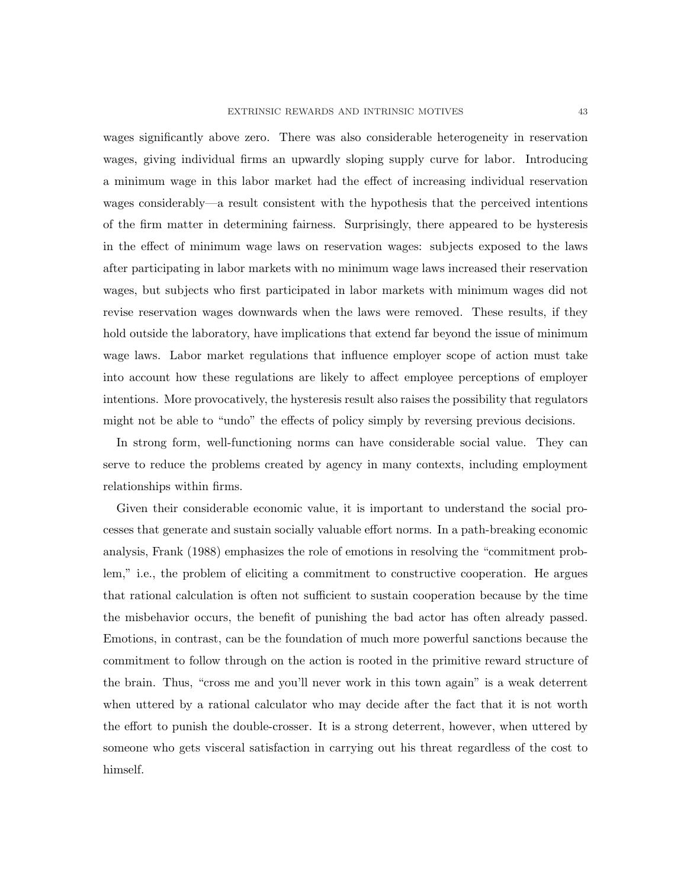# EXTRINSIC REWARDS AND INTRINSIC MOTIVES 43

wages significantly above zero. There was also considerable heterogeneity in reservation wages, giving individual firms an upwardly sloping supply curve for labor. Introducing a minimum wage in this labor market had the effect of increasing individual reservation wages considerably—a result consistent with the hypothesis that the perceived intentions of the firm matter in determining fairness. Surprisingly, there appeared to be hysteresis in the effect of minimum wage laws on reservation wages: subjects exposed to the laws after participating in labor markets with no minimum wage laws increased their reservation wages, but subjects who first participated in labor markets with minimum wages did not revise reservation wages downwards when the laws were removed. These results, if they hold outside the laboratory, have implications that extend far beyond the issue of minimum wage laws. Labor market regulations that influence employer scope of action must take into account how these regulations are likely to affect employee perceptions of employer intentions. More provocatively, the hysteresis result also raises the possibility that regulators might not be able to "undo" the effects of policy simply by reversing previous decisions.

In strong form, well-functioning norms can have considerable social value. They can serve to reduce the problems created by agency in many contexts, including employment relationships within firms.

Given their considerable economic value, it is important to understand the social processes that generate and sustain socially valuable effort norms. In a path-breaking economic analysis, Frank (1988) emphasizes the role of emotions in resolving the "commitment problem," i.e., the problem of eliciting a commitment to constructive cooperation. He argues that rational calculation is often not sufficient to sustain cooperation because by the time the misbehavior occurs, the benefit of punishing the bad actor has often already passed. Emotions, in contrast, can be the foundation of much more powerful sanctions because the commitment to follow through on the action is rooted in the primitive reward structure of the brain. Thus, "cross me and you'll never work in this town again" is a weak deterrent when uttered by a rational calculator who may decide after the fact that it is not worth the effort to punish the double-crosser. It is a strong deterrent, however, when uttered by someone who gets visceral satisfaction in carrying out his threat regardless of the cost to himself.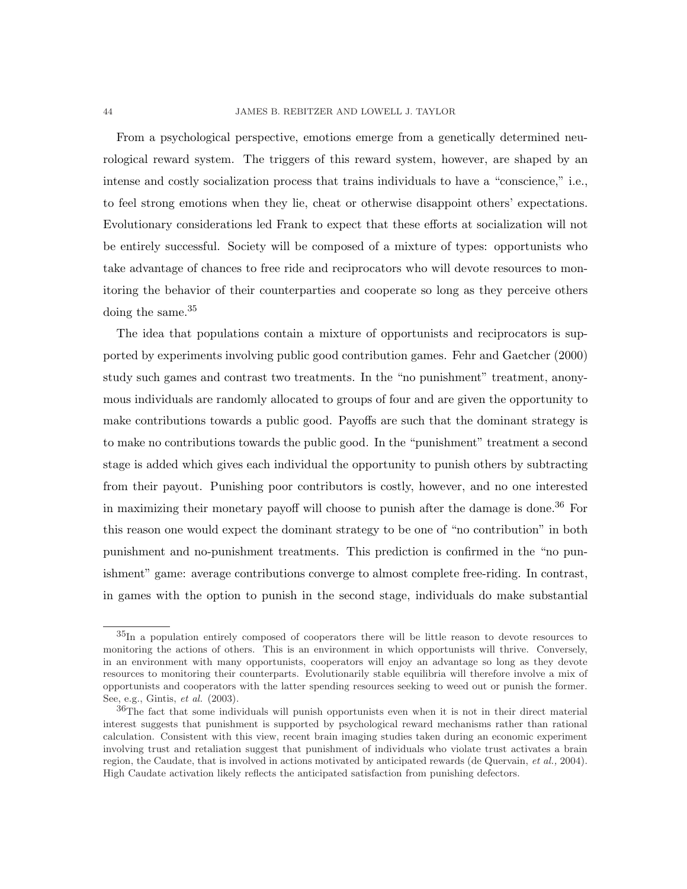#### 44 JAMES B. REBITZER AND LOWELL J. TAYLOR

From a psychological perspective, emotions emerge from a genetically determined neurological reward system. The triggers of this reward system, however, are shaped by an intense and costly socialization process that trains individuals to have a "conscience," i.e., to feel strong emotions when they lie, cheat or otherwise disappoint others' expectations. Evolutionary considerations led Frank to expect that these efforts at socialization will not be entirely successful. Society will be composed of a mixture of types: opportunists who take advantage of chances to free ride and reciprocators who will devote resources to monitoring the behavior of their counterparties and cooperate so long as they perceive others doing the same.<sup>35</sup>

The idea that populations contain a mixture of opportunists and reciprocators is supported by experiments involving public good contribution games. Fehr and Gaetcher (2000) study such games and contrast two treatments. In the "no punishment" treatment, anonymous individuals are randomly allocated to groups of four and are given the opportunity to make contributions towards a public good. Payoffs are such that the dominant strategy is to make no contributions towards the public good. In the "punishment" treatment a second stage is added which gives each individual the opportunity to punish others by subtracting from their payout. Punishing poor contributors is costly, however, and no one interested in maximizing their monetary payoff will choose to punish after the damage is done.<sup>36</sup> For this reason one would expect the dominant strategy to be one of "no contribution" in both punishment and no-punishment treatments. This prediction is confirmed in the "no punishment" game: average contributions converge to almost complete free-riding. In contrast, in games with the option to punish in the second stage, individuals do make substantial

<sup>35</sup>In a population entirely composed of cooperators there will be little reason to devote resources to monitoring the actions of others. This is an environment in which opportunists will thrive. Conversely, in an environment with many opportunists, cooperators will enjoy an advantage so long as they devote resources to monitoring their counterparts. Evolutionarily stable equilibria will therefore involve a mix of opportunists and cooperators with the latter spending resources seeking to weed out or punish the former. See, e.g., Gintis, et al. (2003).

<sup>36</sup>The fact that some individuals will punish opportunists even when it is not in their direct material interest suggests that punishment is supported by psychological reward mechanisms rather than rational calculation. Consistent with this view, recent brain imaging studies taken during an economic experiment involving trust and retaliation suggest that punishment of individuals who violate trust activates a brain region, the Caudate, that is involved in actions motivated by anticipated rewards (de Quervain, et al., 2004). High Caudate activation likely reflects the anticipated satisfaction from punishing defectors.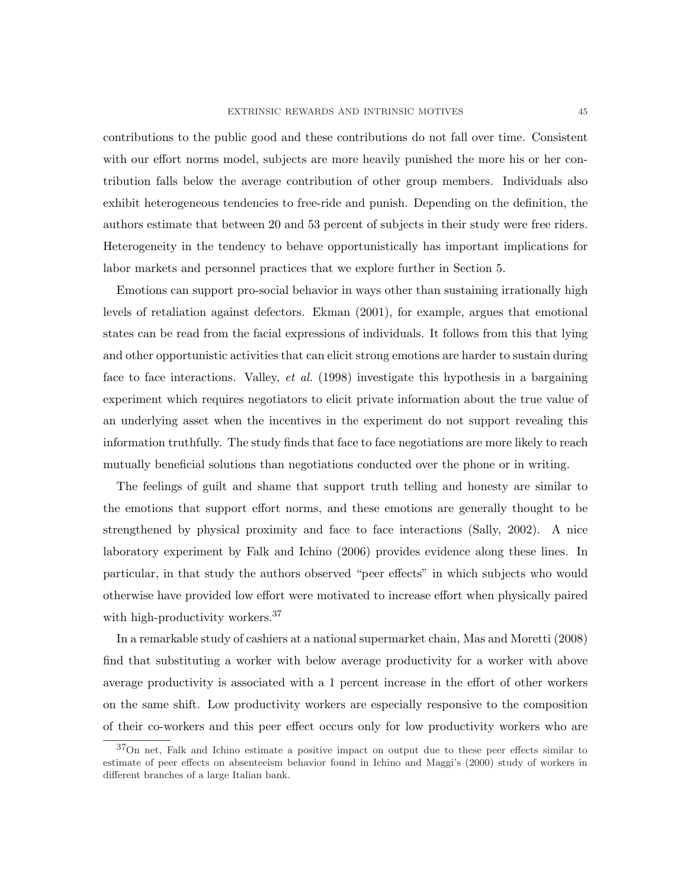contributions to the public good and these contributions do not fall over time. Consistent with our effort norms model, subjects are more heavily punished the more his or her contribution falls below the average contribution of other group members. Individuals also exhibit heterogeneous tendencies to free-ride and punish. Depending on the definition, the authors estimate that between 20 and 53 percent of subjects in their study were free riders. Heterogeneity in the tendency to behave opportunistically has important implications for labor markets and personnel practices that we explore further in Section 5.

Emotions can support pro-social behavior in ways other than sustaining irrationally high levels of retaliation against defectors. Ekman (2001), for example, argues that emotional states can be read from the facial expressions of individuals. It follows from this that lying and other opportunistic activities that can elicit strong emotions are harder to sustain during face to face interactions. Valley, et al. (1998) investigate this hypothesis in a bargaining experiment which requires negotiators to elicit private information about the true value of an underlying asset when the incentives in the experiment do not support revealing this information truthfully. The study finds that face to face negotiations are more likely to reach mutually beneficial solutions than negotiations conducted over the phone or in writing.

The feelings of guilt and shame that support truth telling and honesty are similar to the emotions that support effort norms, and these emotions are generally thought to be strengthened by physical proximity and face to face interactions (Sally, 2002). A nice laboratory experiment by Falk and Ichino (2006) provides evidence along these lines. In particular, in that study the authors observed "peer effects" in which subjects who would otherwise have provided low effort were motivated to increase effort when physically paired with high-productivity workers.<sup>37</sup>

In a remarkable study of cashiers at a national supermarket chain, Mas and Moretti (2008) find that substituting a worker with below average productivity for a worker with above average productivity is associated with a 1 percent increase in the effort of other workers on the same shift. Low productivity workers are especially responsive to the composition of their co-workers and this peer effect occurs only for low productivity workers who are

<sup>37</sup>On net, Falk and Ichino estimate a positive impact on output due to these peer effects similar to estimate of peer effects on absenteeism behavior found in Ichino and Maggi's (2000) study of workers in different branches of a large Italian bank.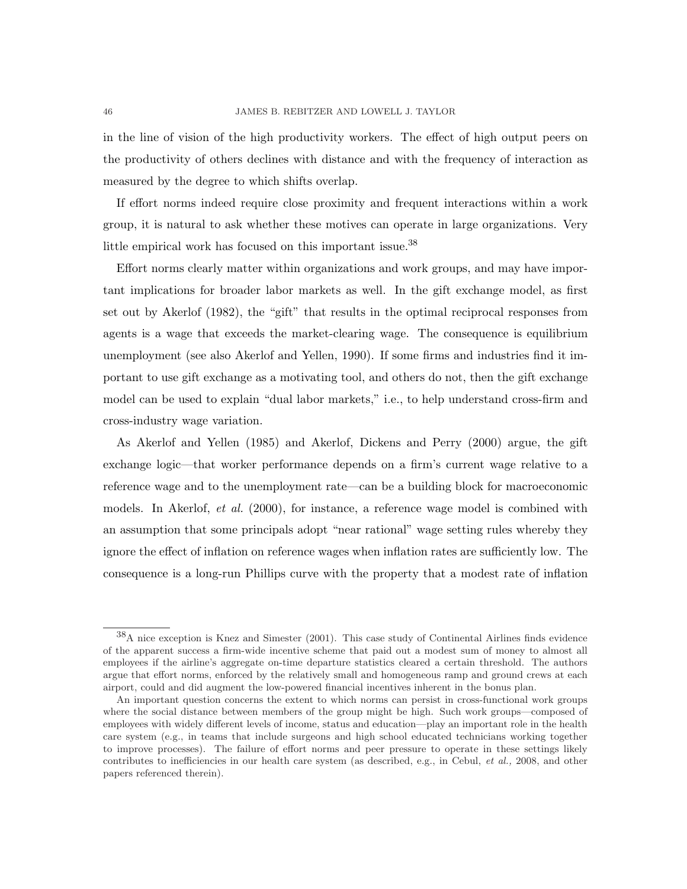in the line of vision of the high productivity workers. The effect of high output peers on the productivity of others declines with distance and with the frequency of interaction as measured by the degree to which shifts overlap.

If effort norms indeed require close proximity and frequent interactions within a work group, it is natural to ask whether these motives can operate in large organizations. Very little empirical work has focused on this important issue.<sup>38</sup>

Effort norms clearly matter within organizations and work groups, and may have important implications for broader labor markets as well. In the gift exchange model, as first set out by Akerlof (1982), the "gift" that results in the optimal reciprocal responses from agents is a wage that exceeds the market-clearing wage. The consequence is equilibrium unemployment (see also Akerlof and Yellen, 1990). If some firms and industries find it important to use gift exchange as a motivating tool, and others do not, then the gift exchange model can be used to explain "dual labor markets," i.e., to help understand cross-firm and cross-industry wage variation.

As Akerlof and Yellen (1985) and Akerlof, Dickens and Perry (2000) argue, the gift exchange logic—that worker performance depends on a firm's current wage relative to a reference wage and to the unemployment rate—can be a building block for macroeconomic models. In Akerlof, et al. (2000), for instance, a reference wage model is combined with an assumption that some principals adopt "near rational" wage setting rules whereby they ignore the effect of inflation on reference wages when inflation rates are sufficiently low. The consequence is a long-run Phillips curve with the property that a modest rate of inflation

<sup>38</sup>A nice exception is Knez and Simester (2001). This case study of Continental Airlines finds evidence of the apparent success a firm-wide incentive scheme that paid out a modest sum of money to almost all employees if the airline's aggregate on-time departure statistics cleared a certain threshold. The authors argue that effort norms, enforced by the relatively small and homogeneous ramp and ground crews at each airport, could and did augment the low-powered financial incentives inherent in the bonus plan.

An important question concerns the extent to which norms can persist in cross-functional work groups where the social distance between members of the group might be high. Such work groups—composed of employees with widely different levels of income, status and education—play an important role in the health care system (e.g., in teams that include surgeons and high school educated technicians working together to improve processes). The failure of effort norms and peer pressure to operate in these settings likely contributes to inefficiencies in our health care system (as described, e.g., in Cebul, et al., 2008, and other papers referenced therein).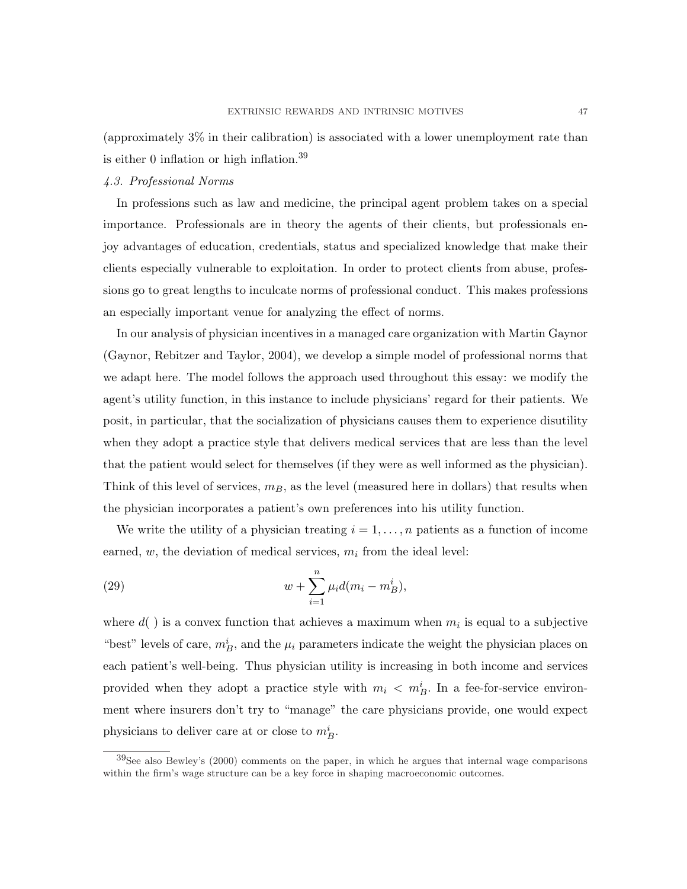(approximately 3% in their calibration) is associated with a lower unemployment rate than is either 0 inflation or high inflation.<sup>39</sup>

### 4.3. Professional Norms

In professions such as law and medicine, the principal agent problem takes on a special importance. Professionals are in theory the agents of their clients, but professionals enjoy advantages of education, credentials, status and specialized knowledge that make their clients especially vulnerable to exploitation. In order to protect clients from abuse, professions go to great lengths to inculcate norms of professional conduct. This makes professions an especially important venue for analyzing the effect of norms.

In our analysis of physician incentives in a managed care organization with Martin Gaynor (Gaynor, Rebitzer and Taylor, 2004), we develop a simple model of professional norms that we adapt here. The model follows the approach used throughout this essay: we modify the agent's utility function, in this instance to include physicians' regard for their patients. We posit, in particular, that the socialization of physicians causes them to experience disutility when they adopt a practice style that delivers medical services that are less than the level that the patient would select for themselves (if they were as well informed as the physician). Think of this level of services,  $m_B$ , as the level (measured here in dollars) that results when the physician incorporates a patient's own preferences into his utility function.

We write the utility of a physician treating  $i = 1, \ldots, n$  patients as a function of income earned, w, the deviation of medical services,  $m_i$  from the ideal level:

(29) 
$$
w + \sum_{i=1}^{n} \mu_i d(m_i - m_B^i),
$$

where  $d()$  is a convex function that achieves a maximum when  $m<sub>i</sub>$  is equal to a subjective "best" levels of care,  $m_B^i$ , and the  $\mu_i$  parameters indicate the weight the physician places on each patient's well-being. Thus physician utility is increasing in both income and services provided when they adopt a practice style with  $m_i \, < \, m_B^i$ . In a fee-for-service environment where insurers don't try to "manage" the care physicians provide, one would expect physicians to deliver care at or close to  $m_B^i$ .

 $39$ See also Bewley's (2000) comments on the paper, in which he argues that internal wage comparisons within the firm's wage structure can be a key force in shaping macroeconomic outcomes.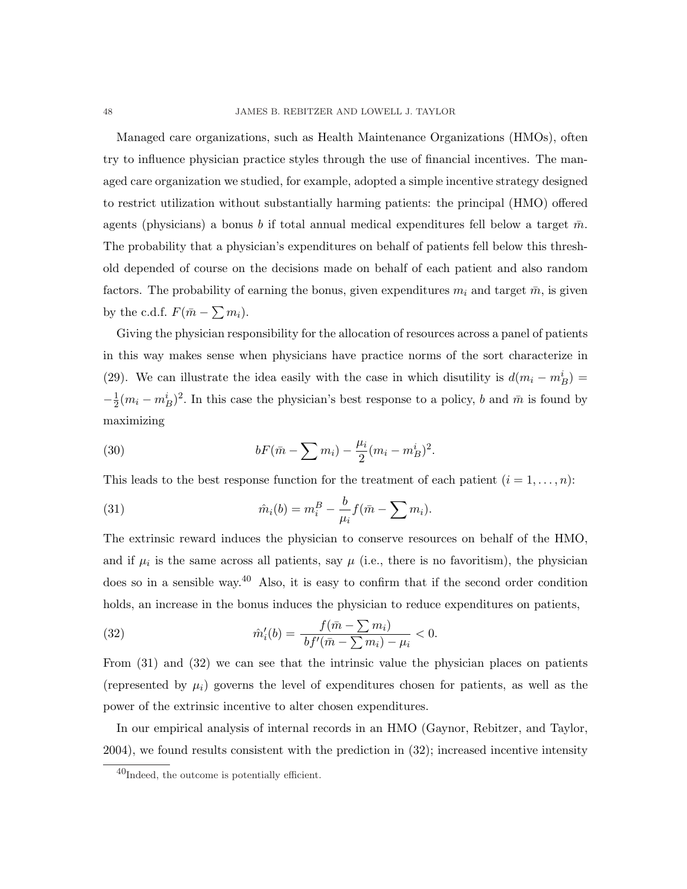Managed care organizations, such as Health Maintenance Organizations (HMOs), often try to influence physician practice styles through the use of financial incentives. The managed care organization we studied, for example, adopted a simple incentive strategy designed to restrict utilization without substantially harming patients: the principal (HMO) offered agents (physicians) a bonus b if total annual medical expenditures fell below a target  $\bar{m}$ . The probability that a physician's expenditures on behalf of patients fell below this threshold depended of course on the decisions made on behalf of each patient and also random factors. The probability of earning the bonus, given expenditures  $m_i$  and target  $\bar{m}$ , is given by the c.d.f.  $F(\bar{m} - \sum m_i)$ .

Giving the physician responsibility for the allocation of resources across a panel of patients in this way makes sense when physicians have practice norms of the sort characterize in (29). We can illustrate the idea easily with the case in which disutility is  $d(m_i - m_B^i) =$  $-\frac{1}{2}$  $\frac{1}{2}(m_i - m_B^i)^2$ . In this case the physician's best response to a policy, b and  $\bar{m}$  is found by maximizing

(30) 
$$
bF(\bar{m} - \sum m_i) - \frac{\mu_i}{2}(m_i - m_B^i)^2.
$$

This leads to the best response function for the treatment of each patient  $(i = 1, \ldots, n)$ :

(31) 
$$
\hat{m}_i(b) = m_i^B - \frac{b}{\mu_i} f(\bar{m} - \sum m_i).
$$

The extrinsic reward induces the physician to conserve resources on behalf of the HMO, and if  $\mu_i$  is the same across all patients, say  $\mu$  (i.e., there is no favoritism), the physician does so in a sensible way.<sup>40</sup> Also, it is easy to confirm that if the second order condition holds, an increase in the bonus induces the physician to reduce expenditures on patients,

(32) 
$$
\hat{m}'_i(b) = \frac{f(\bar{m} - \sum m_i)}{b f'(\bar{m} - \sum m_i) - \mu_i} < 0.
$$

From (31) and (32) we can see that the intrinsic value the physician places on patients (represented by  $\mu_i$ ) governs the level of expenditures chosen for patients, as well as the power of the extrinsic incentive to alter chosen expenditures.

In our empirical analysis of internal records in an HMO (Gaynor, Rebitzer, and Taylor, 2004), we found results consistent with the prediction in (32); increased incentive intensity

 $^{40}$ Indeed, the outcome is potentially efficient.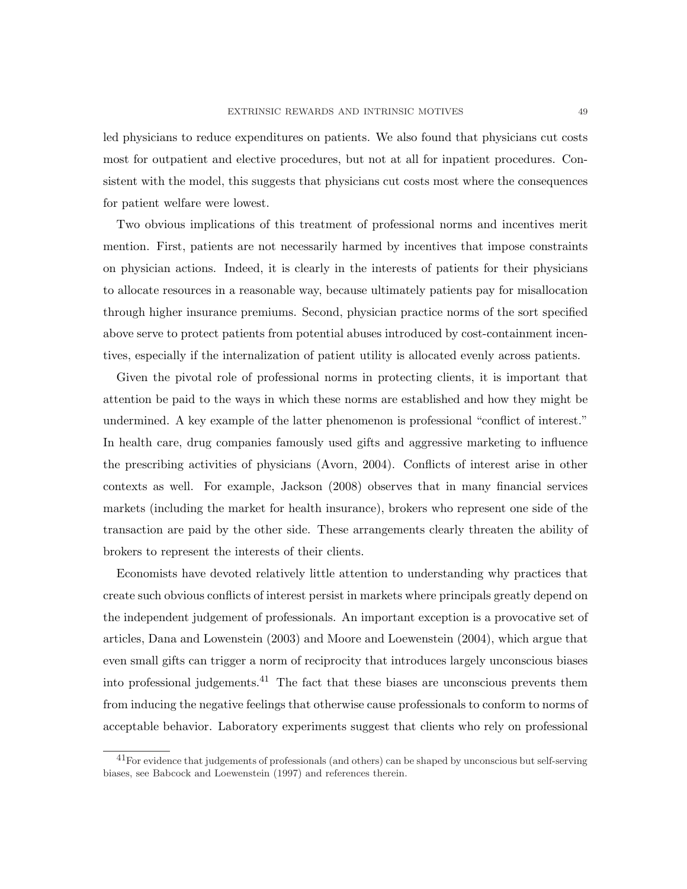led physicians to reduce expenditures on patients. We also found that physicians cut costs most for outpatient and elective procedures, but not at all for inpatient procedures. Consistent with the model, this suggests that physicians cut costs most where the consequences for patient welfare were lowest.

Two obvious implications of this treatment of professional norms and incentives merit mention. First, patients are not necessarily harmed by incentives that impose constraints on physician actions. Indeed, it is clearly in the interests of patients for their physicians to allocate resources in a reasonable way, because ultimately patients pay for misallocation through higher insurance premiums. Second, physician practice norms of the sort specified above serve to protect patients from potential abuses introduced by cost-containment incentives, especially if the internalization of patient utility is allocated evenly across patients.

Given the pivotal role of professional norms in protecting clients, it is important that attention be paid to the ways in which these norms are established and how they might be undermined. A key example of the latter phenomenon is professional "conflict of interest." In health care, drug companies famously used gifts and aggressive marketing to influence the prescribing activities of physicians (Avorn, 2004). Conflicts of interest arise in other contexts as well. For example, Jackson (2008) observes that in many financial services markets (including the market for health insurance), brokers who represent one side of the transaction are paid by the other side. These arrangements clearly threaten the ability of brokers to represent the interests of their clients.

Economists have devoted relatively little attention to understanding why practices that create such obvious conflicts of interest persist in markets where principals greatly depend on the independent judgement of professionals. An important exception is a provocative set of articles, Dana and Lowenstein (2003) and Moore and Loewenstein (2004), which argue that even small gifts can trigger a norm of reciprocity that introduces largely unconscious biases into professional judgements.<sup>41</sup> The fact that these biases are unconscious prevents them from inducing the negative feelings that otherwise cause professionals to conform to norms of acceptable behavior. Laboratory experiments suggest that clients who rely on professional

 $^{41}$ For evidence that judgements of professionals (and others) can be shaped by unconscious but self-serving biases, see Babcock and Loewenstein (1997) and references therein.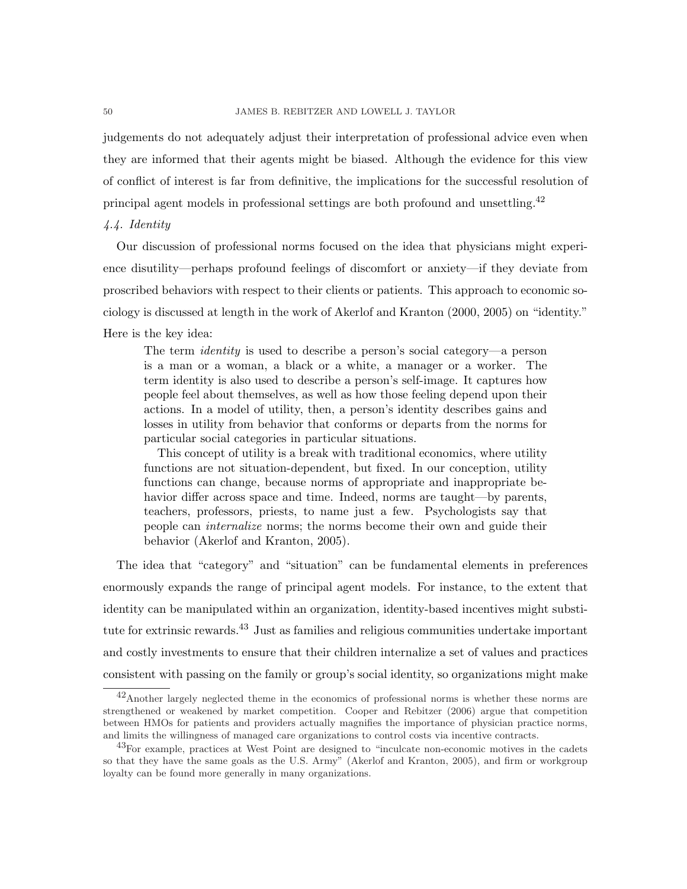judgements do not adequately adjust their interpretation of professional advice even when they are informed that their agents might be biased. Although the evidence for this view of conflict of interest is far from definitive, the implications for the successful resolution of principal agent models in professional settings are both profound and unsettling.<sup>42</sup>

## 4.4. Identity

Our discussion of professional norms focused on the idea that physicians might experience disutility—perhaps profound feelings of discomfort or anxiety—if they deviate from proscribed behaviors with respect to their clients or patients. This approach to economic sociology is discussed at length in the work of Akerlof and Kranton (2000, 2005) on "identity." Here is the key idea:

The term identity is used to describe a person's social category—a person is a man or a woman, a black or a white, a manager or a worker. The term identity is also used to describe a person's self-image. It captures how people feel about themselves, as well as how those feeling depend upon their actions. In a model of utility, then, a person's identity describes gains and losses in utility from behavior that conforms or departs from the norms for particular social categories in particular situations.

This concept of utility is a break with traditional economics, where utility functions are not situation-dependent, but fixed. In our conception, utility functions can change, because norms of appropriate and inappropriate behavior differ across space and time. Indeed, norms are taught—by parents, teachers, professors, priests, to name just a few. Psychologists say that people can internalize norms; the norms become their own and guide their behavior (Akerlof and Kranton, 2005).

The idea that "category" and "situation" can be fundamental elements in preferences enormously expands the range of principal agent models. For instance, to the extent that identity can be manipulated within an organization, identity-based incentives might substitute for extrinsic rewards.<sup>43</sup> Just as families and religious communities undertake important and costly investments to ensure that their children internalize a set of values and practices consistent with passing on the family or group's social identity, so organizations might make

 $^{42}$ Another largely neglected theme in the economics of professional norms is whether these norms are strengthened or weakened by market competition. Cooper and Rebitzer (2006) argue that competition between HMOs for patients and providers actually magnifies the importance of physician practice norms, and limits the willingness of managed care organizations to control costs via incentive contracts.

<sup>&</sup>lt;sup>43</sup>For example, practices at West Point are designed to "inculcate non-economic motives in the cadets so that they have the same goals as the U.S. Army" (Akerlof and Kranton, 2005), and firm or workgroup loyalty can be found more generally in many organizations.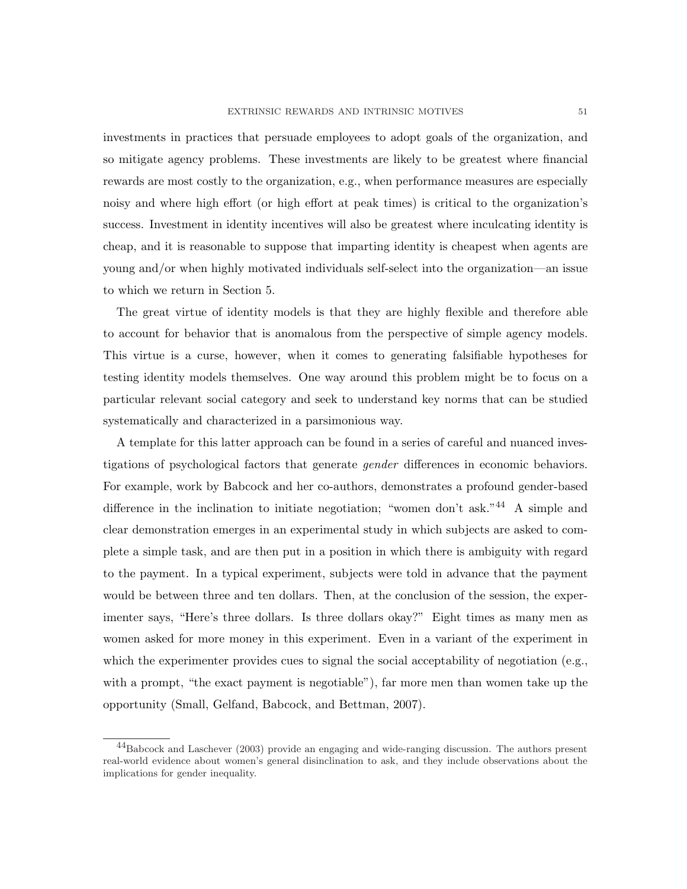investments in practices that persuade employees to adopt goals of the organization, and so mitigate agency problems. These investments are likely to be greatest where financial rewards are most costly to the organization, e.g., when performance measures are especially noisy and where high effort (or high effort at peak times) is critical to the organization's success. Investment in identity incentives will also be greatest where inculcating identity is cheap, and it is reasonable to suppose that imparting identity is cheapest when agents are young and/or when highly motivated individuals self-select into the organization—an issue to which we return in Section 5.

The great virtue of identity models is that they are highly flexible and therefore able to account for behavior that is anomalous from the perspective of simple agency models. This virtue is a curse, however, when it comes to generating falsifiable hypotheses for testing identity models themselves. One way around this problem might be to focus on a particular relevant social category and seek to understand key norms that can be studied systematically and characterized in a parsimonious way.

A template for this latter approach can be found in a series of careful and nuanced investigations of psychological factors that generate gender differences in economic behaviors. For example, work by Babcock and her co-authors, demonstrates a profound gender-based difference in the inclination to initiate negotiation; "women don't ask."<sup>44</sup> A simple and clear demonstration emerges in an experimental study in which subjects are asked to complete a simple task, and are then put in a position in which there is ambiguity with regard to the payment. In a typical experiment, subjects were told in advance that the payment would be between three and ten dollars. Then, at the conclusion of the session, the experimenter says, "Here's three dollars. Is three dollars okay?" Eight times as many men as women asked for more money in this experiment. Even in a variant of the experiment in which the experimenter provides cues to signal the social acceptability of negotiation (e.g., with a prompt, "the exact payment is negotiable"), far more men than women take up the opportunity (Small, Gelfand, Babcock, and Bettman, 2007).

<sup>44</sup>Babcock and Laschever (2003) provide an engaging and wide-ranging discussion. The authors present real-world evidence about women's general disinclination to ask, and they include observations about the implications for gender inequality.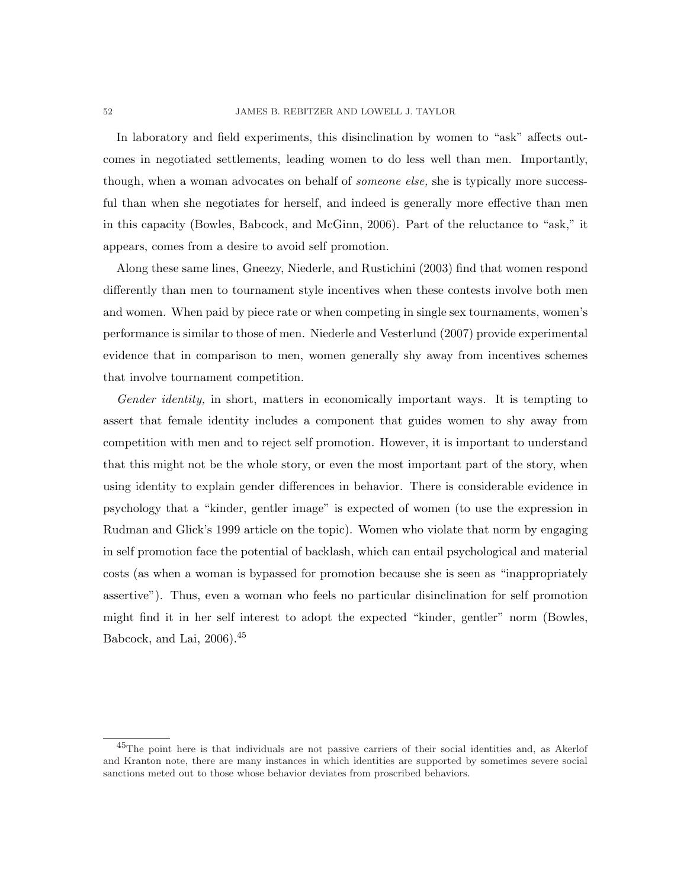In laboratory and field experiments, this disinclination by women to "ask" affects outcomes in negotiated settlements, leading women to do less well than men. Importantly, though, when a woman advocates on behalf of *someone else*, she is typically more successful than when she negotiates for herself, and indeed is generally more effective than men in this capacity (Bowles, Babcock, and McGinn, 2006). Part of the reluctance to "ask," it appears, comes from a desire to avoid self promotion.

Along these same lines, Gneezy, Niederle, and Rustichini (2003) find that women respond differently than men to tournament style incentives when these contests involve both men and women. When paid by piece rate or when competing in single sex tournaments, women's performance is similar to those of men. Niederle and Vesterlund (2007) provide experimental evidence that in comparison to men, women generally shy away from incentives schemes that involve tournament competition.

Gender identity, in short, matters in economically important ways. It is tempting to assert that female identity includes a component that guides women to shy away from competition with men and to reject self promotion. However, it is important to understand that this might not be the whole story, or even the most important part of the story, when using identity to explain gender differences in behavior. There is considerable evidence in psychology that a "kinder, gentler image" is expected of women (to use the expression in Rudman and Glick's 1999 article on the topic). Women who violate that norm by engaging in self promotion face the potential of backlash, which can entail psychological and material costs (as when a woman is bypassed for promotion because she is seen as "inappropriately assertive"). Thus, even a woman who feels no particular disinclination for self promotion might find it in her self interest to adopt the expected "kinder, gentler" norm (Bowles, Babcock, and Lai,  $2006$ ).<sup>45</sup>

<sup>45</sup>The point here is that individuals are not passive carriers of their social identities and, as Akerlof and Kranton note, there are many instances in which identities are supported by sometimes severe social sanctions meted out to those whose behavior deviates from proscribed behaviors.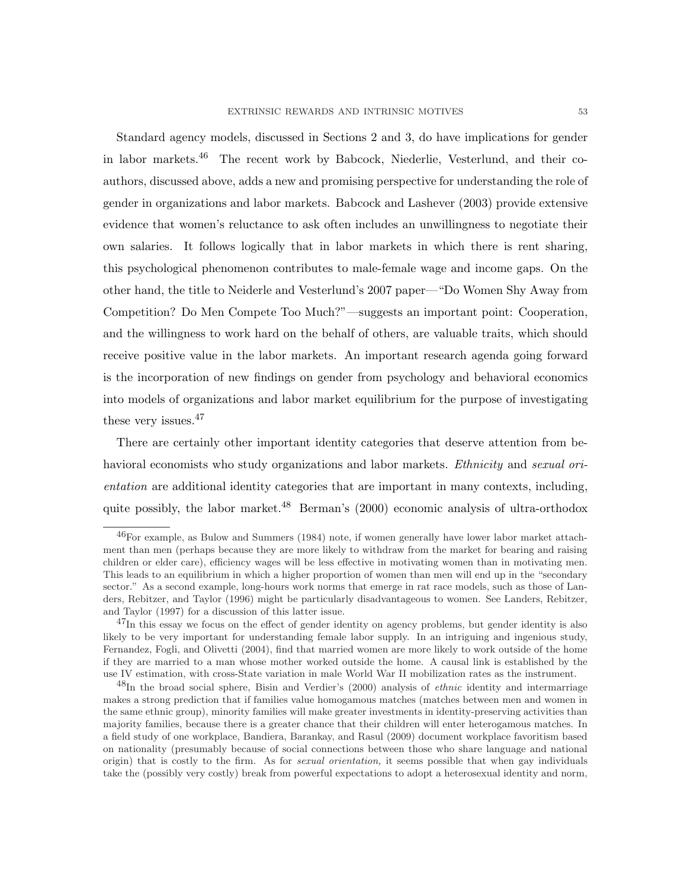Standard agency models, discussed in Sections 2 and 3, do have implications for gender in labor markets.<sup>46</sup> The recent work by Babcock, Niederlie, Vesterlund, and their coauthors, discussed above, adds a new and promising perspective for understanding the role of gender in organizations and labor markets. Babcock and Lashever (2003) provide extensive evidence that women's reluctance to ask often includes an unwillingness to negotiate their own salaries. It follows logically that in labor markets in which there is rent sharing, this psychological phenomenon contributes to male-female wage and income gaps. On the other hand, the title to Neiderle and Vesterlund's 2007 paper—"Do Women Shy Away from Competition? Do Men Compete Too Much?"—suggests an important point: Cooperation, and the willingness to work hard on the behalf of others, are valuable traits, which should receive positive value in the labor markets. An important research agenda going forward is the incorporation of new findings on gender from psychology and behavioral economics into models of organizations and labor market equilibrium for the purpose of investigating these very issues.<sup>47</sup>

There are certainly other important identity categories that deserve attention from behavioral economists who study organizations and labor markets. *Ethnicity* and *sexual ori*entation are additional identity categories that are important in many contexts, including, quite possibly, the labor market.<sup>48</sup> Berman's (2000) economic analysis of ultra-orthodox

<sup>46</sup>For example, as Bulow and Summers (1984) note, if women generally have lower labor market attachment than men (perhaps because they are more likely to withdraw from the market for bearing and raising children or elder care), efficiency wages will be less effective in motivating women than in motivating men. This leads to an equilibrium in which a higher proportion of women than men will end up in the "secondary sector." As a second example, long-hours work norms that emerge in rat race models, such as those of Landers, Rebitzer, and Taylor (1996) might be particularly disadvantageous to women. See Landers, Rebitzer, and Taylor (1997) for a discussion of this latter issue.

 $^{47}$ In this essay we focus on the effect of gender identity on agency problems, but gender identity is also likely to be very important for understanding female labor supply. In an intriguing and ingenious study, Fernandez, Fogli, and Olivetti (2004), find that married women are more likely to work outside of the home if they are married to a man whose mother worked outside the home. A causal link is established by the use IV estimation, with cross-State variation in male World War II mobilization rates as the instrument.

 $^{48}$ In the broad social sphere, Bisin and Verdier's (2000) analysis of *ethnic* identity and intermarriage makes a strong prediction that if families value homogamous matches (matches between men and women in the same ethnic group), minority families will make greater investments in identity-preserving activities than majority families, because there is a greater chance that their children will enter heterogamous matches. In a field study of one workplace, Bandiera, Barankay, and Rasul (2009) document workplace favoritism based on nationality (presumably because of social connections between those who share language and national origin) that is costly to the firm. As for *sexual orientation*, it seems possible that when gay individuals take the (possibly very costly) break from powerful expectations to adopt a heterosexual identity and norm,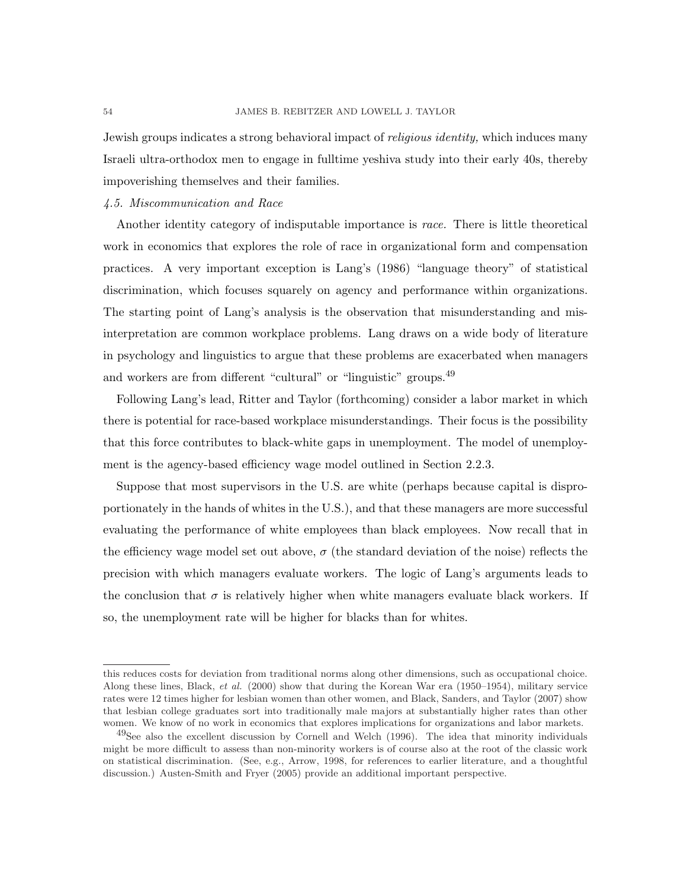Jewish groups indicates a strong behavioral impact of *religious identity*, which induces many Israeli ultra-orthodox men to engage in fulltime yeshiva study into their early 40s, thereby impoverishing themselves and their families.

# 4.5. Miscommunication and Race

Another identity category of indisputable importance is race. There is little theoretical work in economics that explores the role of race in organizational form and compensation practices. A very important exception is Lang's (1986) "language theory" of statistical discrimination, which focuses squarely on agency and performance within organizations. The starting point of Lang's analysis is the observation that misunderstanding and misinterpretation are common workplace problems. Lang draws on a wide body of literature in psychology and linguistics to argue that these problems are exacerbated when managers and workers are from different "cultural" or "linguistic" groups.<sup>49</sup>

Following Lang's lead, Ritter and Taylor (forthcoming) consider a labor market in which there is potential for race-based workplace misunderstandings. Their focus is the possibility that this force contributes to black-white gaps in unemployment. The model of unemployment is the agency-based efficiency wage model outlined in Section 2.2.3.

Suppose that most supervisors in the U.S. are white (perhaps because capital is disproportionately in the hands of whites in the U.S.), and that these managers are more successful evaluating the performance of white employees than black employees. Now recall that in the efficiency wage model set out above,  $\sigma$  (the standard deviation of the noise) reflects the precision with which managers evaluate workers. The logic of Lang's arguments leads to the conclusion that  $\sigma$  is relatively higher when white managers evaluate black workers. If so, the unemployment rate will be higher for blacks than for whites.

this reduces costs for deviation from traditional norms along other dimensions, such as occupational choice. Along these lines, Black, et al. (2000) show that during the Korean War era (1950–1954), military service rates were 12 times higher for lesbian women than other women, and Black, Sanders, and Taylor (2007) show that lesbian college graduates sort into traditionally male majors at substantially higher rates than other women. We know of no work in economics that explores implications for organizations and labor markets.

 $^{49}$ See also the excellent discussion by Cornell and Welch (1996). The idea that minority individuals might be more difficult to assess than non-minority workers is of course also at the root of the classic work on statistical discrimination. (See, e.g., Arrow, 1998, for references to earlier literature, and a thoughtful discussion.) Austen-Smith and Fryer (2005) provide an additional important perspective.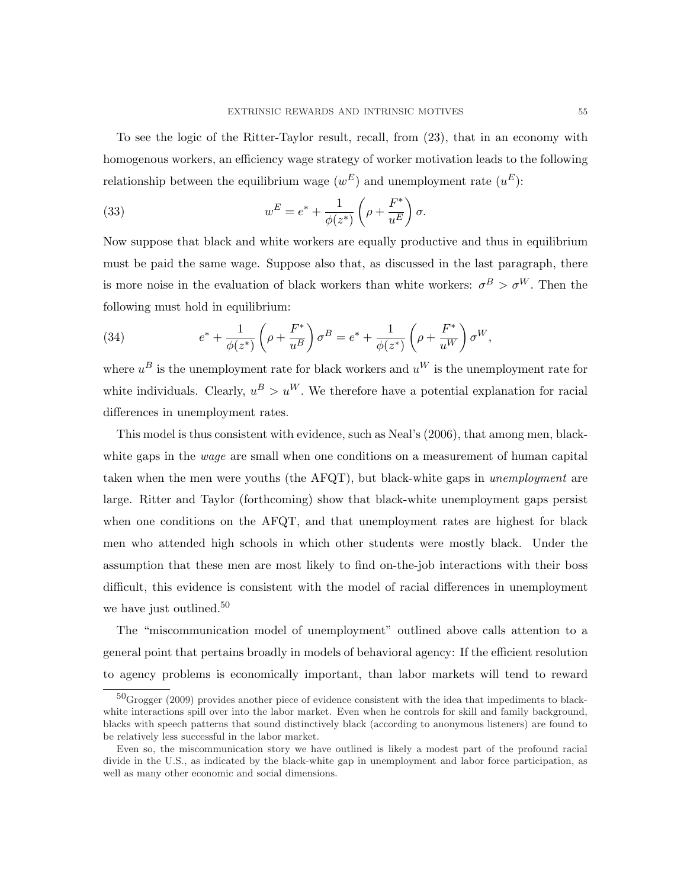To see the logic of the Ritter-Taylor result, recall, from (23), that in an economy with homogenous workers, an efficiency wage strategy of worker motivation leads to the following relationship between the equilibrium wage  $(w^E)$  and unemployment rate  $(u^E)$ :

(33) 
$$
w^{E} = e^* + \frac{1}{\phi(z^*)} \left(\rho + \frac{F^*}{u^E}\right) \sigma.
$$

Now suppose that black and white workers are equally productive and thus in equilibrium must be paid the same wage. Suppose also that, as discussed in the last paragraph, there is more noise in the evaluation of black workers than white workers:  $\sigma^B > \sigma^W$ . Then the following must hold in equilibrium:

(34) 
$$
e^* + \frac{1}{\phi(z^*)} \left( \rho + \frac{F^*}{u^B} \right) \sigma^B = e^* + \frac{1}{\phi(z^*)} \left( \rho + \frac{F^*}{u^W} \right) \sigma^W,
$$

where  $u^B$  is the unemployment rate for black workers and  $u^W$  is the unemployment rate for white individuals. Clearly,  $u^B > u^W$ . We therefore have a potential explanation for racial differences in unemployment rates.

This model is thus consistent with evidence, such as Neal's (2006), that among men, blackwhite gaps in the *wage* are small when one conditions on a measurement of human capital taken when the men were youths (the AFQT), but black-white gaps in unemployment are large. Ritter and Taylor (forthcoming) show that black-white unemployment gaps persist when one conditions on the AFQT, and that unemployment rates are highest for black men who attended high schools in which other students were mostly black. Under the assumption that these men are most likely to find on-the-job interactions with their boss difficult, this evidence is consistent with the model of racial differences in unemployment we have just outlined.<sup>50</sup>

The "miscommunication model of unemployment" outlined above calls attention to a general point that pertains broadly in models of behavioral agency: If the efficient resolution to agency problems is economically important, than labor markets will tend to reward

 $50Gr<sub>0</sub>$  (2009) provides another piece of evidence consistent with the idea that impediments to blackwhite interactions spill over into the labor market. Even when he controls for skill and family background, blacks with speech patterns that sound distinctively black (according to anonymous listeners) are found to be relatively less successful in the labor market.

Even so, the miscommunication story we have outlined is likely a modest part of the profound racial divide in the U.S., as indicated by the black-white gap in unemployment and labor force participation, as well as many other economic and social dimensions.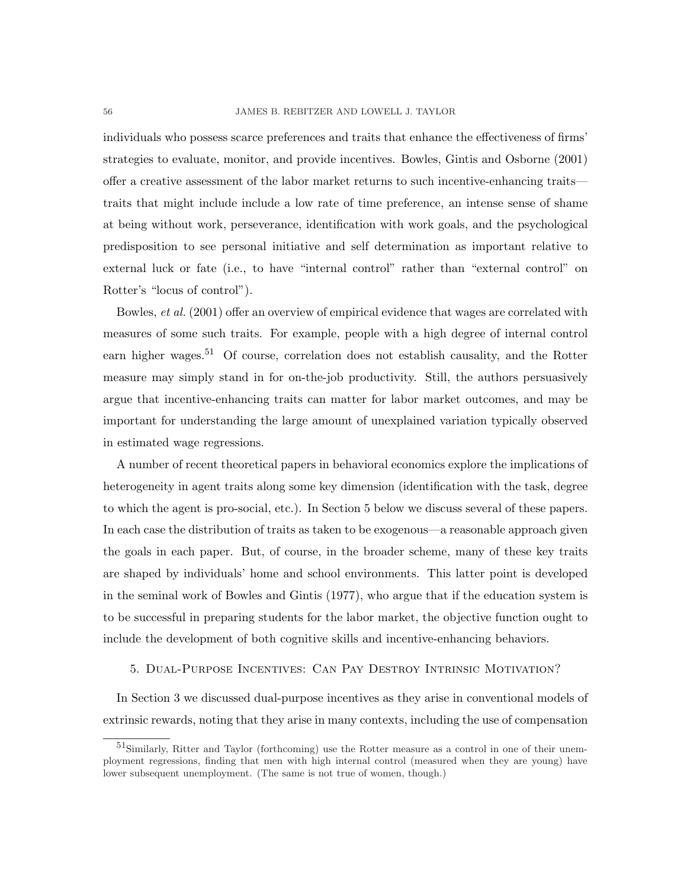individuals who possess scarce preferences and traits that enhance the effectiveness of firms' strategies to evaluate, monitor, and provide incentives. Bowles, Gintis and Osborne (2001) offer a creative assessment of the labor market returns to such incentive-enhancing traits traits that might include include a low rate of time preference, an intense sense of shame at being without work, perseverance, identification with work goals, and the psychological predisposition to see personal initiative and self determination as important relative to external luck or fate (i.e., to have "internal control" rather than "external control" on Rotter's "locus of control").

Bowles, et al. (2001) offer an overview of empirical evidence that wages are correlated with measures of some such traits. For example, people with a high degree of internal control earn higher wages.<sup>51</sup> Of course, correlation does not establish causality, and the Rotter measure may simply stand in for on-the-job productivity. Still, the authors persuasively argue that incentive-enhancing traits can matter for labor market outcomes, and may be important for understanding the large amount of unexplained variation typically observed in estimated wage regressions.

A number of recent theoretical papers in behavioral economics explore the implications of heterogeneity in agent traits along some key dimension (identification with the task, degree to which the agent is pro-social, etc.). In Section 5 below we discuss several of these papers. In each case the distribution of traits as taken to be exogenous—a reasonable approach given the goals in each paper. But, of course, in the broader scheme, many of these key traits are shaped by individuals' home and school environments. This latter point is developed in the seminal work of Bowles and Gintis (1977), who argue that if the education system is to be successful in preparing students for the labor market, the objective function ought to include the development of both cognitive skills and incentive-enhancing behaviors.

## 5. Dual-Purpose Incentives: Can Pay Destroy Intrinsic Motivation?

In Section 3 we discussed dual-purpose incentives as they arise in conventional models of extrinsic rewards, noting that they arise in many contexts, including the use of compensation

<sup>51</sup>Similarly, Ritter and Taylor (forthcoming) use the Rotter measure as a control in one of their unemployment regressions, finding that men with high internal control (measured when they are young) have lower subsequent unemployment. (The same is not true of women, though.)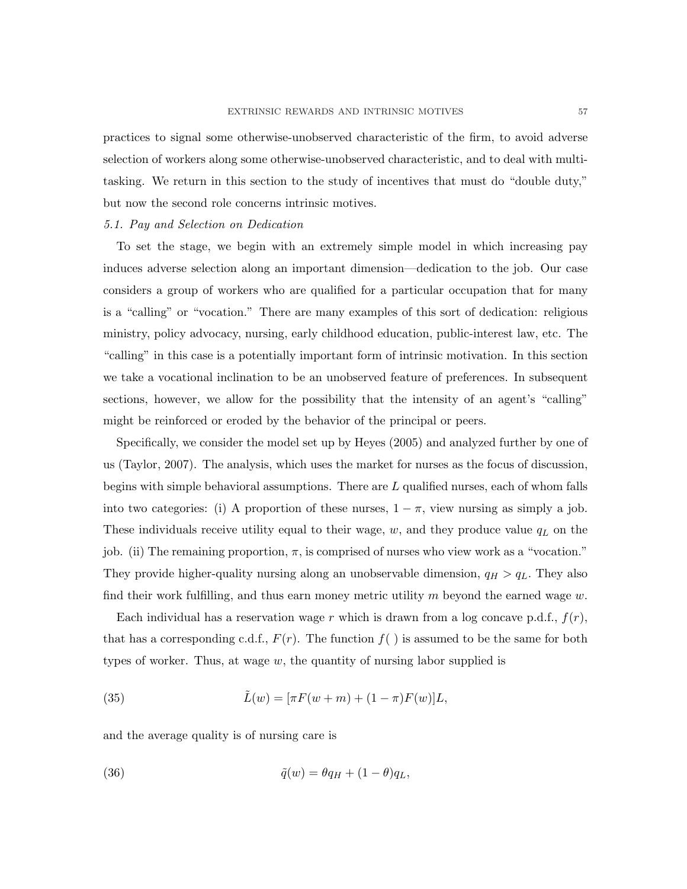practices to signal some otherwise-unobserved characteristic of the firm, to avoid adverse selection of workers along some otherwise-unobserved characteristic, and to deal with multitasking. We return in this section to the study of incentives that must do "double duty," but now the second role concerns intrinsic motives.

### 5.1. Pay and Selection on Dedication

To set the stage, we begin with an extremely simple model in which increasing pay induces adverse selection along an important dimension—dedication to the job. Our case considers a group of workers who are qualified for a particular occupation that for many is a "calling" or "vocation." There are many examples of this sort of dedication: religious ministry, policy advocacy, nursing, early childhood education, public-interest law, etc. The "calling" in this case is a potentially important form of intrinsic motivation. In this section we take a vocational inclination to be an unobserved feature of preferences. In subsequent sections, however, we allow for the possibility that the intensity of an agent's "calling" might be reinforced or eroded by the behavior of the principal or peers.

Specifically, we consider the model set up by Heyes (2005) and analyzed further by one of us (Taylor, 2007). The analysis, which uses the market for nurses as the focus of discussion, begins with simple behavioral assumptions. There are  $L$  qualified nurses, each of whom falls into two categories: (i) A proportion of these nurses,  $1 - \pi$ , view nursing as simply a job. These individuals receive utility equal to their wage,  $w$ , and they produce value  $q_L$  on the job. (ii) The remaining proportion,  $\pi$ , is comprised of nurses who view work as a "vocation." They provide higher-quality nursing along an unobservable dimension,  $q_H > q_L$ . They also find their work fulfilling, and thus earn money metric utility  $m$  beyond the earned wage  $w$ .

Each individual has a reservation wage r which is drawn from a log concave p.d.f.,  $f(r)$ , that has a corresponding c.d.f.,  $F(r)$ . The function  $f( )$  is assumed to be the same for both types of worker. Thus, at wage  $w$ , the quantity of nursing labor supplied is

(35) 
$$
\tilde{L}(w) = [\pi F(w+m) + (1-\pi)F(w)]L,
$$

and the average quality is of nursing care is

(36) 
$$
\tilde{q}(w) = \theta q_H + (1 - \theta) q_L,
$$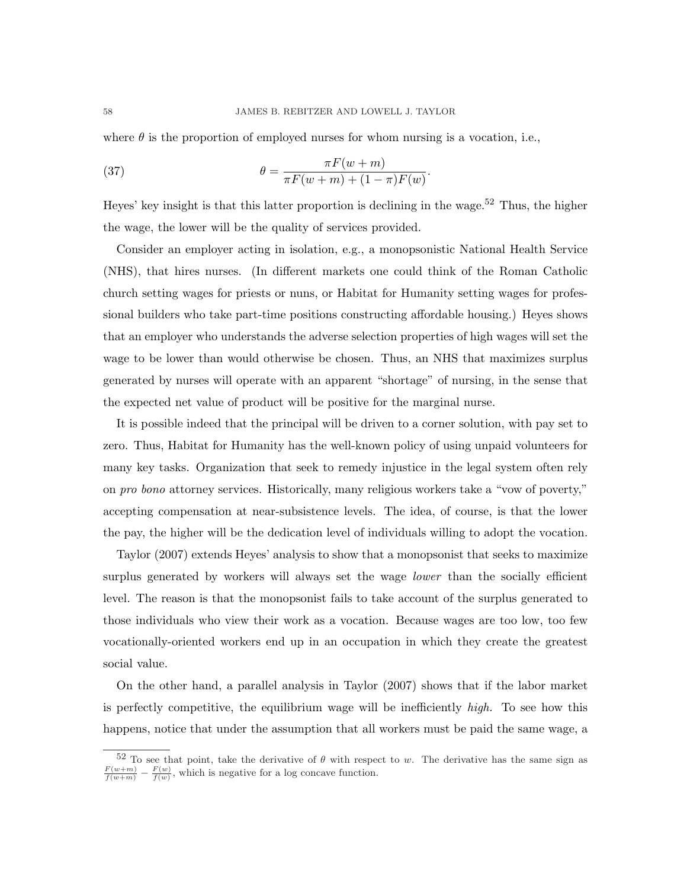where  $\theta$  is the proportion of employed nurses for whom nursing is a vocation, i.e.,

(37) 
$$
\theta = \frac{\pi F(w+m)}{\pi F(w+m) + (1-\pi)F(w)}.
$$

Heyes' key insight is that this latter proportion is declining in the wage.<sup>52</sup> Thus, the higher the wage, the lower will be the quality of services provided.

Consider an employer acting in isolation, e.g., a monopsonistic National Health Service (NHS), that hires nurses. (In different markets one could think of the Roman Catholic church setting wages for priests or nuns, or Habitat for Humanity setting wages for professional builders who take part-time positions constructing affordable housing.) Heyes shows that an employer who understands the adverse selection properties of high wages will set the wage to be lower than would otherwise be chosen. Thus, an NHS that maximizes surplus generated by nurses will operate with an apparent "shortage" of nursing, in the sense that the expected net value of product will be positive for the marginal nurse.

It is possible indeed that the principal will be driven to a corner solution, with pay set to zero. Thus, Habitat for Humanity has the well-known policy of using unpaid volunteers for many key tasks. Organization that seek to remedy injustice in the legal system often rely on pro bono attorney services. Historically, many religious workers take a "vow of poverty," accepting compensation at near-subsistence levels. The idea, of course, is that the lower the pay, the higher will be the dedication level of individuals willing to adopt the vocation.

Taylor (2007) extends Heyes' analysis to show that a monopsonist that seeks to maximize surplus generated by workers will always set the wage *lower* than the socially efficient level. The reason is that the monopsonist fails to take account of the surplus generated to those individuals who view their work as a vocation. Because wages are too low, too few vocationally-oriented workers end up in an occupation in which they create the greatest social value.

On the other hand, a parallel analysis in Taylor (2007) shows that if the labor market is perfectly competitive, the equilibrium wage will be inefficiently high. To see how this happens, notice that under the assumption that all workers must be paid the same wage, a

<sup>&</sup>lt;sup>52</sup> To see that point, take the derivative of  $\theta$  with respect to w. The derivative has the same sign as  $\frac{F(w+m)}{f(w+m)} - \frac{F(w)}{f(w)}$ , which is negative for a log concave function.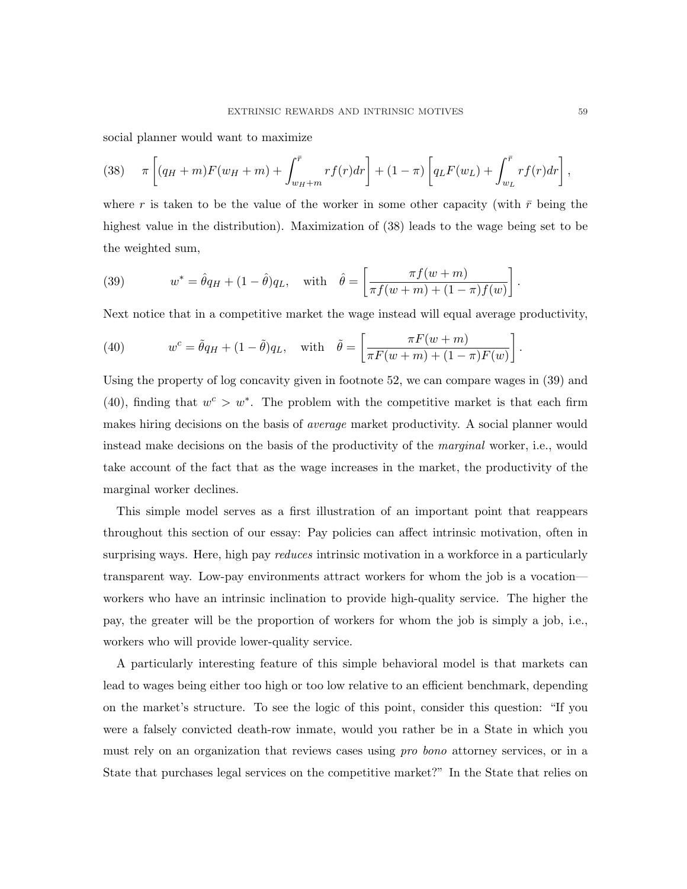social planner would want to maximize

(38) 
$$
\pi \left[ (q_H + m) F(w_H + m) + \int_{w_H + m}^{\bar{r}} r f(r) dr \right] + (1 - \pi) \left[ q_L F(w_L) + \int_{w_L}^{\bar{r}} r f(r) dr \right],
$$

where r is taken to be the value of the worker in some other capacity (with  $\bar{r}$  being the highest value in the distribution). Maximization of (38) leads to the wage being set to be the weighted sum,

(39) 
$$
w^* = \hat{\theta}q_H + (1 - \hat{\theta})q_L, \text{ with } \hat{\theta} = \left[\frac{\pi f(w+m)}{\pi f(w+m) + (1 - \pi)f(w)}\right].
$$

Next notice that in a competitive market the wage instead will equal average productivity,

(40) 
$$
w^{c} = \tilde{\theta}q_{H} + (1 - \tilde{\theta})q_{L}, \text{ with } \tilde{\theta} = \left[\frac{\pi F(w+m)}{\pi F(w+m) + (1 - \pi)F(w)}\right]
$$

Using the property of log concavity given in footnote 52, we can compare wages in (39) and (40), finding that  $w^c > w^*$ . The problem with the competitive market is that each firm makes hiring decisions on the basis of average market productivity. A social planner would instead make decisions on the basis of the productivity of the marginal worker, i.e., would take account of the fact that as the wage increases in the market, the productivity of the marginal worker declines.

This simple model serves as a first illustration of an important point that reappears throughout this section of our essay: Pay policies can affect intrinsic motivation, often in surprising ways. Here, high pay *reduces* intrinsic motivation in a workforce in a particularly transparent way. Low-pay environments attract workers for whom the job is a vocation workers who have an intrinsic inclination to provide high-quality service. The higher the pay, the greater will be the proportion of workers for whom the job is simply a job, i.e., workers who will provide lower-quality service.

A particularly interesting feature of this simple behavioral model is that markets can lead to wages being either too high or too low relative to an efficient benchmark, depending on the market's structure. To see the logic of this point, consider this question: "If you were a falsely convicted death-row inmate, would you rather be in a State in which you must rely on an organization that reviews cases using *pro bono* attorney services, or in a State that purchases legal services on the competitive market?" In the State that relies on

.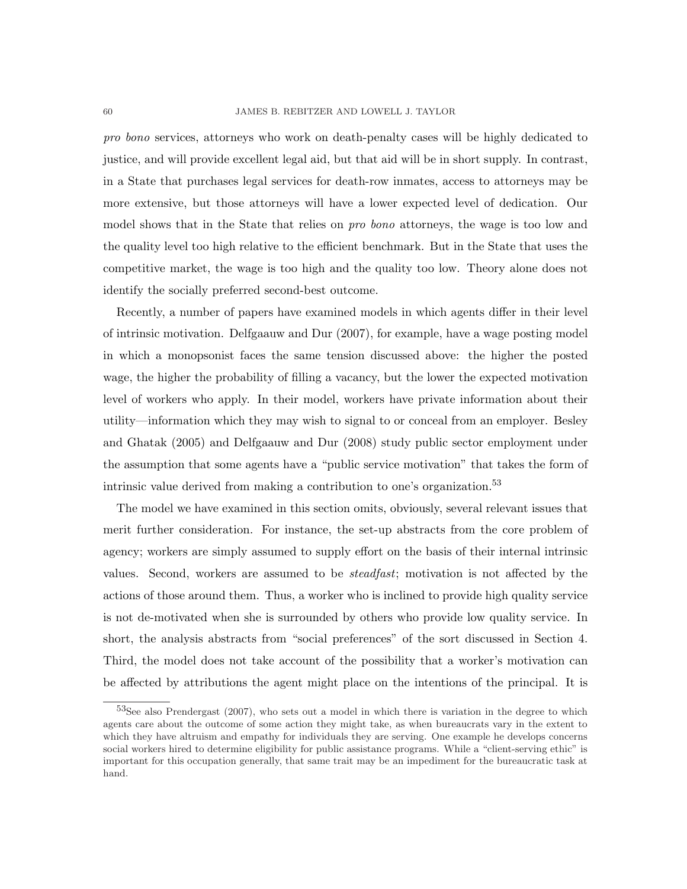pro bono services, attorneys who work on death-penalty cases will be highly dedicated to justice, and will provide excellent legal aid, but that aid will be in short supply. In contrast, in a State that purchases legal services for death-row inmates, access to attorneys may be more extensive, but those attorneys will have a lower expected level of dedication. Our model shows that in the State that relies on *pro bono* attorneys, the wage is too low and the quality level too high relative to the efficient benchmark. But in the State that uses the competitive market, the wage is too high and the quality too low. Theory alone does not identify the socially preferred second-best outcome.

Recently, a number of papers have examined models in which agents differ in their level of intrinsic motivation. Delfgaauw and Dur (2007), for example, have a wage posting model in which a monopsonist faces the same tension discussed above: the higher the posted wage, the higher the probability of filling a vacancy, but the lower the expected motivation level of workers who apply. In their model, workers have private information about their utility—information which they may wish to signal to or conceal from an employer. Besley and Ghatak (2005) and Delfgaauw and Dur (2008) study public sector employment under the assumption that some agents have a "public service motivation" that takes the form of intrinsic value derived from making a contribution to one's organization.<sup>53</sup>

The model we have examined in this section omits, obviously, several relevant issues that merit further consideration. For instance, the set-up abstracts from the core problem of agency; workers are simply assumed to supply effort on the basis of their internal intrinsic values. Second, workers are assumed to be steadfast; motivation is not affected by the actions of those around them. Thus, a worker who is inclined to provide high quality service is not de-motivated when she is surrounded by others who provide low quality service. In short, the analysis abstracts from "social preferences" of the sort discussed in Section 4. Third, the model does not take account of the possibility that a worker's motivation can be affected by attributions the agent might place on the intentions of the principal. It is

 $53$ See also Prendergast (2007), who sets out a model in which there is variation in the degree to which agents care about the outcome of some action they might take, as when bureaucrats vary in the extent to which they have altruism and empathy for individuals they are serving. One example he develops concerns social workers hired to determine eligibility for public assistance programs. While a "client-serving ethic" is important for this occupation generally, that same trait may be an impediment for the bureaucratic task at hand.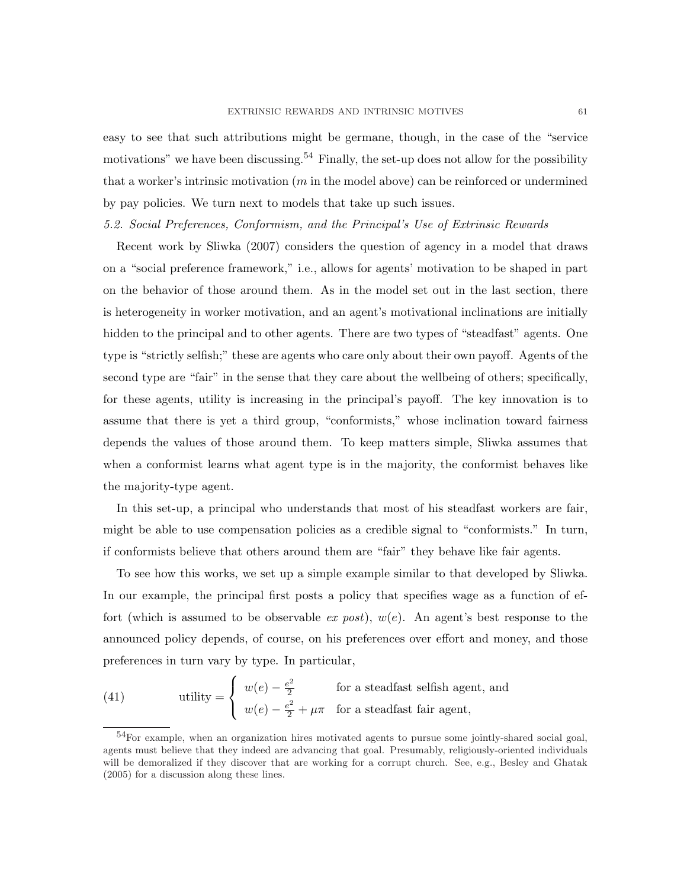easy to see that such attributions might be germane, though, in the case of the "service motivations" we have been discussing.<sup>54</sup> Finally, the set-up does not allow for the possibility that a worker's intrinsic motivation  $(m \text{ in the model above})$  can be reinforced or undermined by pay policies. We turn next to models that take up such issues.

# 5.2. Social Preferences, Conformism, and the Principal's Use of Extrinsic Rewards

Recent work by Sliwka (2007) considers the question of agency in a model that draws on a "social preference framework," i.e., allows for agents' motivation to be shaped in part on the behavior of those around them. As in the model set out in the last section, there is heterogeneity in worker motivation, and an agent's motivational inclinations are initially hidden to the principal and to other agents. There are two types of "steadfast" agents. One type is "strictly selfish;" these are agents who care only about their own payoff. Agents of the second type are "fair" in the sense that they care about the wellbeing of others; specifically, for these agents, utility is increasing in the principal's payoff. The key innovation is to assume that there is yet a third group, "conformists," whose inclination toward fairness depends the values of those around them. To keep matters simple, Sliwka assumes that when a conformist learns what agent type is in the majority, the conformist behaves like the majority-type agent.

In this set-up, a principal who understands that most of his steadfast workers are fair, might be able to use compensation policies as a credible signal to "conformists." In turn, if conformists believe that others around them are "fair" they behave like fair agents.

To see how this works, we set up a simple example similar to that developed by Sliwka. In our example, the principal first posts a policy that specifies wage as a function of effort (which is assumed to be observable ex post),  $w(e)$ . An agent's best response to the announced policy depends, of course, on his preferences over effort and money, and those preferences in turn vary by type. In particular,  $\overline{a}$ 

(41) utility = 
$$
\begin{cases} w(e) - \frac{e^2}{2} & \text{for a steadyfast selfish agent, and} \\ w(e) - \frac{e^2}{2} + \mu \pi & \text{for a steadyfast fair agent,} \end{cases}
$$

 $54$ For example, when an organization hires motivated agents to pursue some jointly-shared social goal, agents must believe that they indeed are advancing that goal. Presumably, religiously-oriented individuals will be demoralized if they discover that are working for a corrupt church. See, e.g., Besley and Ghatak (2005) for a discussion along these lines.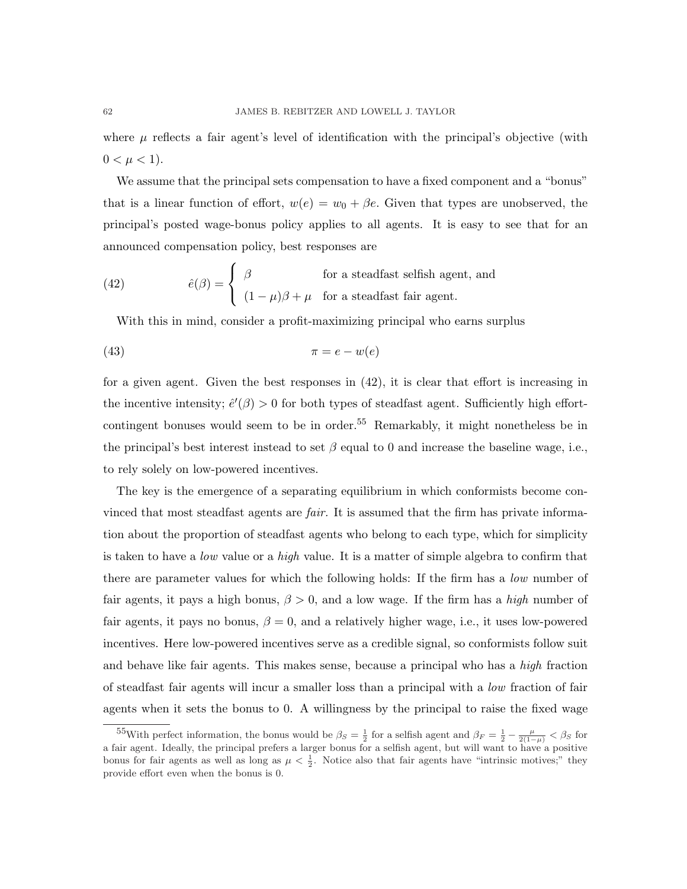where  $\mu$  reflects a fair agent's level of identification with the principal's objective (with  $0 < \mu < 1$ ).

We assume that the principal sets compensation to have a fixed component and a "bonus" that is a linear function of effort,  $w(e) = w_0 + \beta e$ . Given that types are unobserved, the principal's posted wage-bonus policy applies to all agents. It is easy to see that for an announced compensation policy, best responses are  $\overline{a}$ 

(42) 
$$
\hat{e}(\beta) = \begin{cases} \beta & \text{for a steadyfast selfish agent, and} \\ (1 - \mu)\beta + \mu & \text{for a steadyfast fair agent.} \end{cases}
$$

With this in mind, consider a profit-maximizing principal who earns surplus

$$
\pi = e - w(e)
$$

for a given agent. Given the best responses in (42), it is clear that effort is increasing in the incentive intensity;  $\hat{e}'(\beta) > 0$  for both types of steadfast agent. Sufficiently high effortcontingent bonuses would seem to be in order.<sup>55</sup> Remarkably, it might nonetheless be in the principal's best interest instead to set  $\beta$  equal to 0 and increase the baseline wage, i.e., to rely solely on low-powered incentives.

The key is the emergence of a separating equilibrium in which conformists become convinced that most steadfast agents are fair. It is assumed that the firm has private information about the proportion of steadfast agents who belong to each type, which for simplicity is taken to have a low value or a high value. It is a matter of simple algebra to confirm that there are parameter values for which the following holds: If the firm has a *low* number of fair agents, it pays a high bonus,  $\beta > 0$ , and a low wage. If the firm has a *high* number of fair agents, it pays no bonus,  $\beta = 0$ , and a relatively higher wage, i.e., it uses low-powered incentives. Here low-powered incentives serve as a credible signal, so conformists follow suit and behave like fair agents. This makes sense, because a principal who has a high fraction of steadfast fair agents will incur a smaller loss than a principal with a low fraction of fair agents when it sets the bonus to 0. A willingness by the principal to raise the fixed wage

<sup>&</sup>lt;sup>55</sup>With perfect information, the bonus would be  $\beta_S = \frac{1}{2}$  for a selfish agent and  $\beta_F = \frac{1}{2} - \frac{\mu}{2(1-\mu)} < \beta_S$  for a fair agent. Ideally, the principal prefers a larger bonus for a selfish agent, but will want to have a positive bonus for fair agents as well as long as  $\mu < \frac{1}{2}$ . Notice also that fair agents have "intrinsic motives;" they provide effort even when the bonus is 0.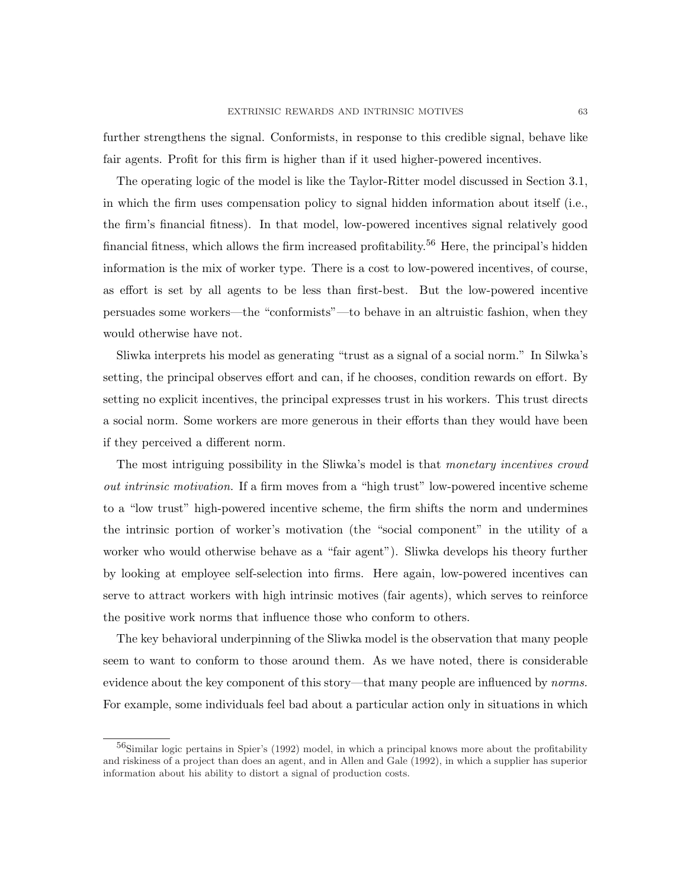further strengthens the signal. Conformists, in response to this credible signal, behave like fair agents. Profit for this firm is higher than if it used higher-powered incentives.

The operating logic of the model is like the Taylor-Ritter model discussed in Section 3.1, in which the firm uses compensation policy to signal hidden information about itself (i.e., the firm's financial fitness). In that model, low-powered incentives signal relatively good financial fitness, which allows the firm increased profitability.<sup>56</sup> Here, the principal's hidden information is the mix of worker type. There is a cost to low-powered incentives, of course, as effort is set by all agents to be less than first-best. But the low-powered incentive persuades some workers—the "conformists"—to behave in an altruistic fashion, when they would otherwise have not.

Sliwka interprets his model as generating "trust as a signal of a social norm." In Silwka's setting, the principal observes effort and can, if he chooses, condition rewards on effort. By setting no explicit incentives, the principal expresses trust in his workers. This trust directs a social norm. Some workers are more generous in their efforts than they would have been if they perceived a different norm.

The most intriguing possibility in the Sliwka's model is that *monetary incentives crowd* out intrinsic motivation. If a firm moves from a "high trust" low-powered incentive scheme to a "low trust" high-powered incentive scheme, the firm shifts the norm and undermines the intrinsic portion of worker's motivation (the "social component" in the utility of a worker who would otherwise behave as a "fair agent"). Sliwka develops his theory further by looking at employee self-selection into firms. Here again, low-powered incentives can serve to attract workers with high intrinsic motives (fair agents), which serves to reinforce the positive work norms that influence those who conform to others.

The key behavioral underpinning of the Sliwka model is the observation that many people seem to want to conform to those around them. As we have noted, there is considerable evidence about the key component of this story—that many people are influenced by *norms*. For example, some individuals feel bad about a particular action only in situations in which

<sup>56</sup>Similar logic pertains in Spier's (1992) model, in which a principal knows more about the profitability and riskiness of a project than does an agent, and in Allen and Gale (1992), in which a supplier has superior information about his ability to distort a signal of production costs.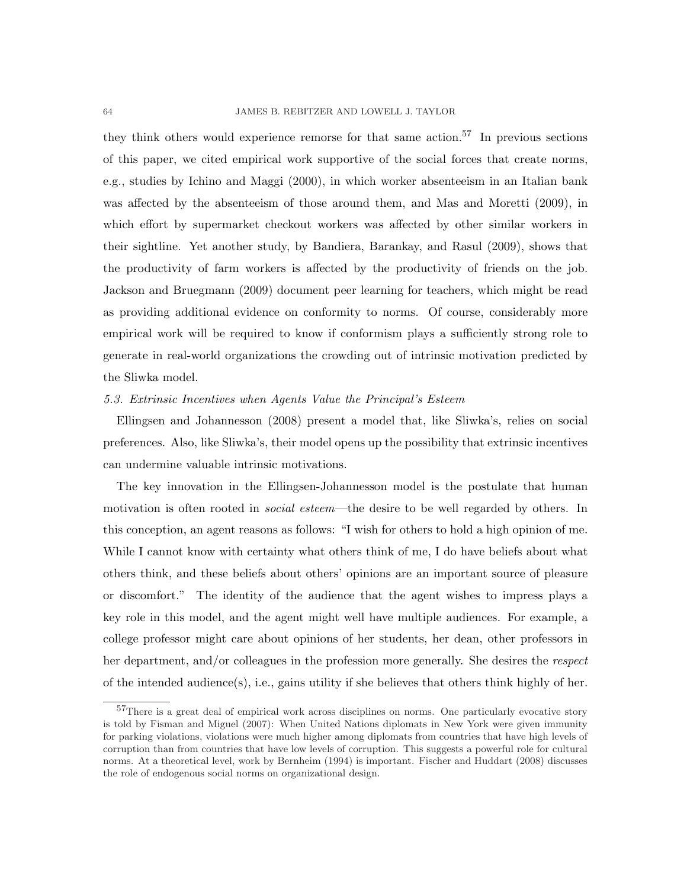they think others would experience remorse for that same action.<sup>57</sup> In previous sections of this paper, we cited empirical work supportive of the social forces that create norms, e.g., studies by Ichino and Maggi (2000), in which worker absenteeism in an Italian bank was affected by the absenteeism of those around them, and Mas and Moretti (2009), in which effort by supermarket checkout workers was affected by other similar workers in their sightline. Yet another study, by Bandiera, Barankay, and Rasul (2009), shows that the productivity of farm workers is affected by the productivity of friends on the job. Jackson and Bruegmann (2009) document peer learning for teachers, which might be read as providing additional evidence on conformity to norms. Of course, considerably more empirical work will be required to know if conformism plays a sufficiently strong role to generate in real-world organizations the crowding out of intrinsic motivation predicted by the Sliwka model.

#### 5.3. Extrinsic Incentives when Agents Value the Principal's Esteem

Ellingsen and Johannesson (2008) present a model that, like Sliwka's, relies on social preferences. Also, like Sliwka's, their model opens up the possibility that extrinsic incentives can undermine valuable intrinsic motivations.

The key innovation in the Ellingsen-Johannesson model is the postulate that human motivation is often rooted in *social esteem*—the desire to be well regarded by others. In this conception, an agent reasons as follows: "I wish for others to hold a high opinion of me. While I cannot know with certainty what others think of me, I do have beliefs about what others think, and these beliefs about others' opinions are an important source of pleasure or discomfort." The identity of the audience that the agent wishes to impress plays a key role in this model, and the agent might well have multiple audiences. For example, a college professor might care about opinions of her students, her dean, other professors in her department, and/or colleagues in the profession more generally. She desires the respect of the intended audience $(s)$ , i.e., gains utility if she believes that others think highly of her.

<sup>&</sup>lt;sup>57</sup>There is a great deal of empirical work across disciplines on norms. One particularly evocative story is told by Fisman and Miguel (2007): When United Nations diplomats in New York were given immunity for parking violations, violations were much higher among diplomats from countries that have high levels of corruption than from countries that have low levels of corruption. This suggests a powerful role for cultural norms. At a theoretical level, work by Bernheim (1994) is important. Fischer and Huddart (2008) discusses the role of endogenous social norms on organizational design.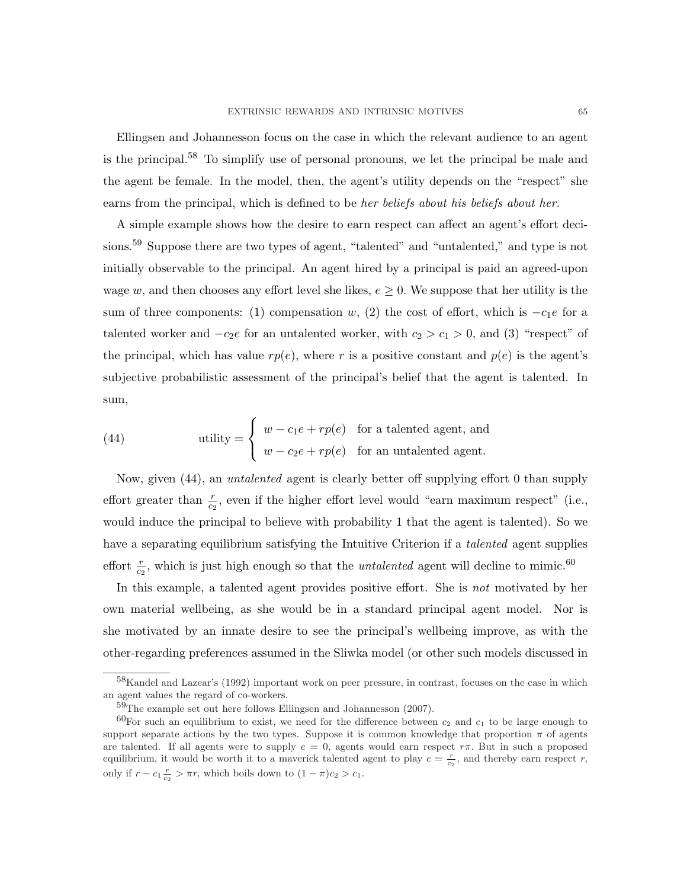Ellingsen and Johannesson focus on the case in which the relevant audience to an agent is the principal.<sup>58</sup> To simplify use of personal pronouns, we let the principal be male and the agent be female. In the model, then, the agent's utility depends on the "respect" she earns from the principal, which is defined to be *her beliefs about his beliefs about her*.

A simple example shows how the desire to earn respect can affect an agent's effort decisions.<sup>59</sup> Suppose there are two types of agent, "talented" and "untalented," and type is not initially observable to the principal. An agent hired by a principal is paid an agreed-upon wage w, and then chooses any effort level she likes,  $e \geq 0$ . We suppose that her utility is the sum of three components: (1) compensation w, (2) the cost of effort, which is  $-c_1e$  for a talented worker and  $-c_2e$  for an untalented worker, with  $c_2 > c_1 > 0$ , and (3) "respect" of the principal, which has value  $rp(e)$ , where r is a positive constant and  $p(e)$  is the agent's subjective probabilistic assessment of the principal's belief that the agent is talented. In sum,

(44) utility = 
$$
\begin{cases} w - c_1 e + r p(e) & \text{for a talented agent, and} \\ w - c_2 e + r p(e) & \text{for an untalented agent.} \end{cases}
$$

 $\overline{a}$ 

Now, given (44), an untalented agent is clearly better off supplying effort 0 than supply effort greater than  $\frac{r}{c_2}$ , even if the higher effort level would "earn maximum respect" (i.e., would induce the principal to believe with probability 1 that the agent is talented). So we have a separating equilibrium satisfying the Intuitive Criterion if a *talented* agent supplies effort  $\frac{r}{c_2}$ , which is just high enough so that the *untalented* agent will decline to mimic.<sup>60</sup>

In this example, a talented agent provides positive effort. She is not motivated by her own material wellbeing, as she would be in a standard principal agent model. Nor is she motivated by an innate desire to see the principal's wellbeing improve, as with the other-regarding preferences assumed in the Sliwka model (or other such models discussed in

<sup>58</sup>Kandel and Lazear's (1992) important work on peer pressure, in contrast, focuses on the case in which an agent values the regard of co-workers.

 $^{59}\mathrm{The}$  example set out here follows Ellingsen and Johannesson (2007).

 $60$ For such an equilibrium to exist, we need for the difference between  $c_2$  and  $c_1$  to be large enough to support separate actions by the two types. Suppose it is common knowledge that proportion  $\pi$  of agents are talented. If all agents were to supply  $e = 0$ , agents would earn respect  $r\pi$ . But in such a proposed equilibrium, it would be worth it to a maverick talented agent to play  $e = \frac{r}{c_2}$ , and thereby earn respect r, only if  $r - c_1 \frac{r}{c_2} > \pi r$ , which boils down to  $(1 - \pi)c_2 > c_1$ .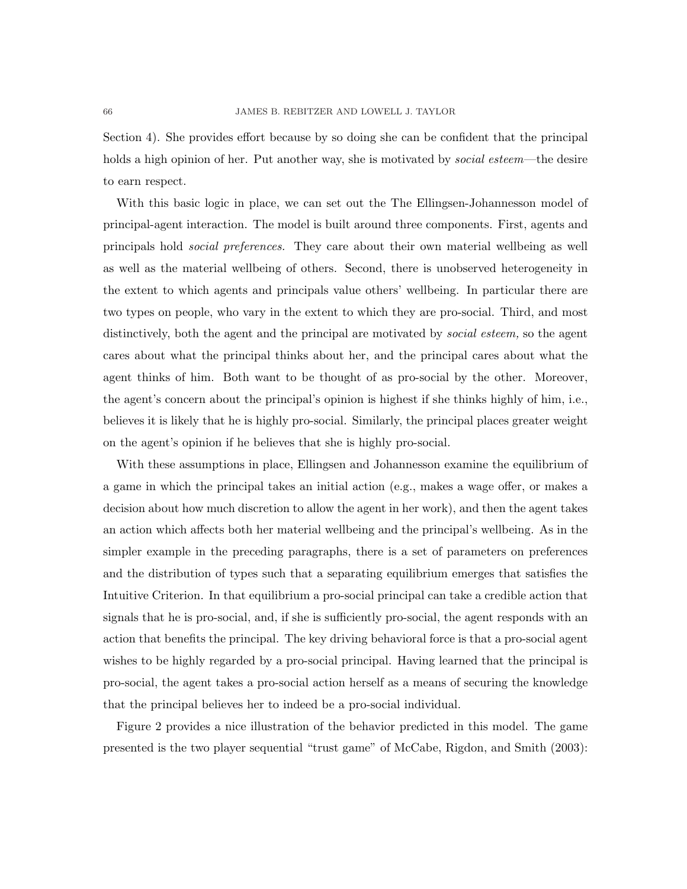Section 4). She provides effort because by so doing she can be confident that the principal holds a high opinion of her. Put another way, she is motivated by *social esteem*—the desire to earn respect.

With this basic logic in place, we can set out the The Ellingsen-Johannesson model of principal-agent interaction. The model is built around three components. First, agents and principals hold social preferences. They care about their own material wellbeing as well as well as the material wellbeing of others. Second, there is unobserved heterogeneity in the extent to which agents and principals value others' wellbeing. In particular there are two types on people, who vary in the extent to which they are pro-social. Third, and most distinctively, both the agent and the principal are motivated by *social esteem*, so the agent cares about what the principal thinks about her, and the principal cares about what the agent thinks of him. Both want to be thought of as pro-social by the other. Moreover, the agent's concern about the principal's opinion is highest if she thinks highly of him, i.e., believes it is likely that he is highly pro-social. Similarly, the principal places greater weight on the agent's opinion if he believes that she is highly pro-social.

With these assumptions in place, Ellingsen and Johannesson examine the equilibrium of a game in which the principal takes an initial action (e.g., makes a wage offer, or makes a decision about how much discretion to allow the agent in her work), and then the agent takes an action which affects both her material wellbeing and the principal's wellbeing. As in the simpler example in the preceding paragraphs, there is a set of parameters on preferences and the distribution of types such that a separating equilibrium emerges that satisfies the Intuitive Criterion. In that equilibrium a pro-social principal can take a credible action that signals that he is pro-social, and, if she is sufficiently pro-social, the agent responds with an action that benefits the principal. The key driving behavioral force is that a pro-social agent wishes to be highly regarded by a pro-social principal. Having learned that the principal is pro-social, the agent takes a pro-social action herself as a means of securing the knowledge that the principal believes her to indeed be a pro-social individual.

Figure 2 provides a nice illustration of the behavior predicted in this model. The game presented is the two player sequential "trust game" of McCabe, Rigdon, and Smith (2003):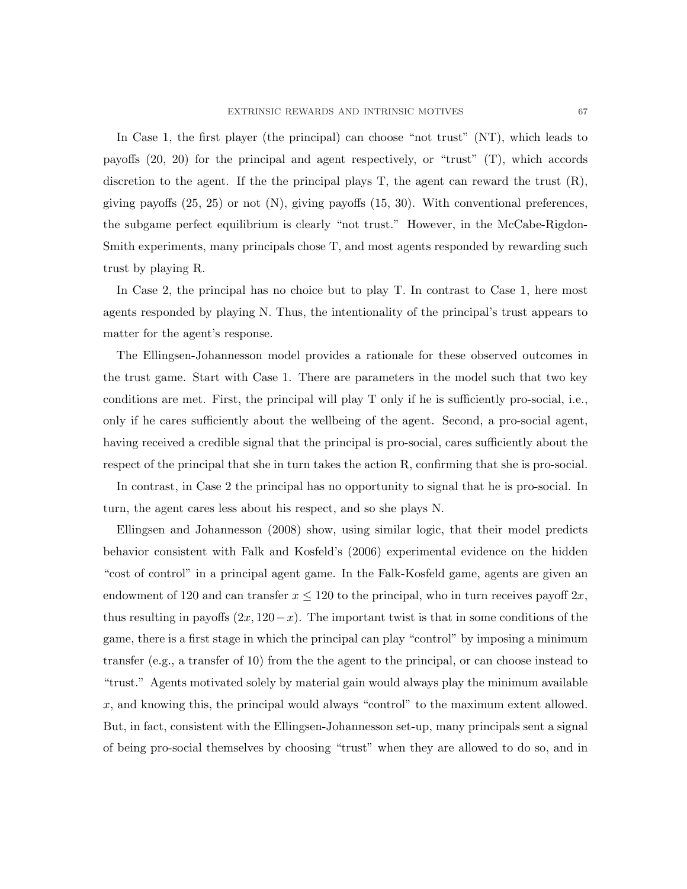In Case 1, the first player (the principal) can choose "not trust" (NT), which leads to payoffs (20, 20) for the principal and agent respectively, or "trust" (T), which accords discretion to the agent. If the the principal plays  $T$ , the agent can reward the trust  $(R)$ , giving payoffs  $(25, 25)$  or not  $(N)$ , giving payoffs  $(15, 30)$ . With conventional preferences, the subgame perfect equilibrium is clearly "not trust." However, in the McCabe-Rigdon-Smith experiments, many principals chose T, and most agents responded by rewarding such trust by playing R.

In Case 2, the principal has no choice but to play T. In contrast to Case 1, here most agents responded by playing N. Thus, the intentionality of the principal's trust appears to matter for the agent's response.

The Ellingsen-Johannesson model provides a rationale for these observed outcomes in the trust game. Start with Case 1. There are parameters in the model such that two key conditions are met. First, the principal will play T only if he is sufficiently pro-social, i.e., only if he cares sufficiently about the wellbeing of the agent. Second, a pro-social agent, having received a credible signal that the principal is pro-social, cares sufficiently about the respect of the principal that she in turn takes the action R, confirming that she is pro-social.

In contrast, in Case 2 the principal has no opportunity to signal that he is pro-social. In turn, the agent cares less about his respect, and so she plays N.

Ellingsen and Johannesson (2008) show, using similar logic, that their model predicts behavior consistent with Falk and Kosfeld's (2006) experimental evidence on the hidden "cost of control" in a principal agent game. In the Falk-Kosfeld game, agents are given an endowment of 120 and can transfer  $x \le 120$  to the principal, who in turn receives payoff  $2x$ , thus resulting in payoffs  $(2x, 120-x)$ . The important twist is that in some conditions of the game, there is a first stage in which the principal can play "control" by imposing a minimum transfer (e.g., a transfer of 10) from the the agent to the principal, or can choose instead to "trust." Agents motivated solely by material gain would always play the minimum available  $x$ , and knowing this, the principal would always "control" to the maximum extent allowed. But, in fact, consistent with the Ellingsen-Johannesson set-up, many principals sent a signal of being pro-social themselves by choosing "trust" when they are allowed to do so, and in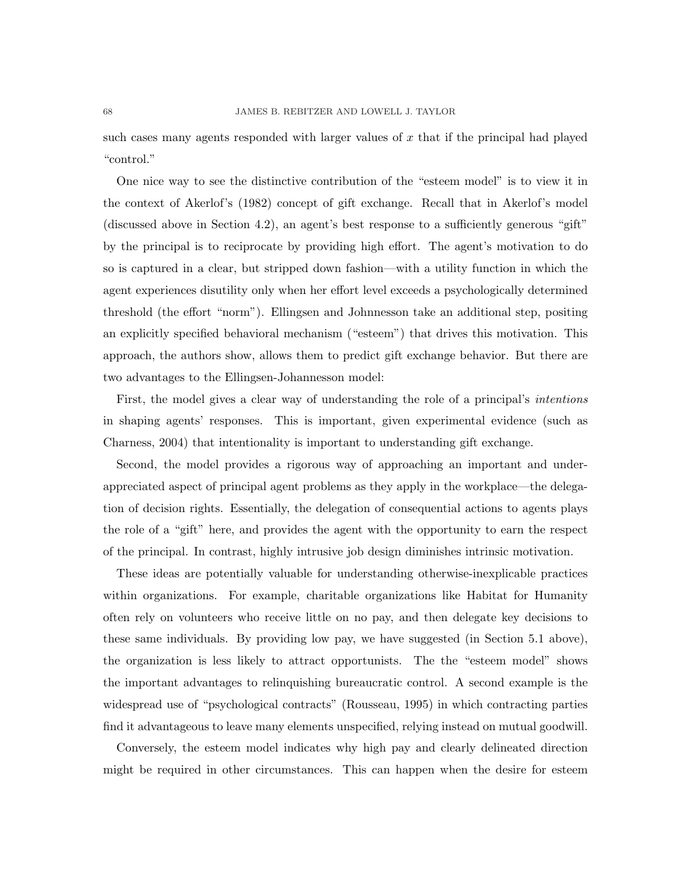such cases many agents responded with larger values of  $x$  that if the principal had played "control."

One nice way to see the distinctive contribution of the "esteem model" is to view it in the context of Akerlof's (1982) concept of gift exchange. Recall that in Akerlof's model (discussed above in Section 4.2), an agent's best response to a sufficiently generous "gift" by the principal is to reciprocate by providing high effort. The agent's motivation to do so is captured in a clear, but stripped down fashion—with a utility function in which the agent experiences disutility only when her effort level exceeds a psychologically determined threshold (the effort "norm"). Ellingsen and Johnnesson take an additional step, positing an explicitly specified behavioral mechanism ("esteem") that drives this motivation. This approach, the authors show, allows them to predict gift exchange behavior. But there are two advantages to the Ellingsen-Johannesson model:

First, the model gives a clear way of understanding the role of a principal's *intentions* in shaping agents' responses. This is important, given experimental evidence (such as Charness, 2004) that intentionality is important to understanding gift exchange.

Second, the model provides a rigorous way of approaching an important and underappreciated aspect of principal agent problems as they apply in the workplace—the delegation of decision rights. Essentially, the delegation of consequential actions to agents plays the role of a "gift" here, and provides the agent with the opportunity to earn the respect of the principal. In contrast, highly intrusive job design diminishes intrinsic motivation.

These ideas are potentially valuable for understanding otherwise-inexplicable practices within organizations. For example, charitable organizations like Habitat for Humanity often rely on volunteers who receive little on no pay, and then delegate key decisions to these same individuals. By providing low pay, we have suggested (in Section 5.1 above), the organization is less likely to attract opportunists. The the "esteem model" shows the important advantages to relinquishing bureaucratic control. A second example is the widespread use of "psychological contracts" (Rousseau, 1995) in which contracting parties find it advantageous to leave many elements unspecified, relying instead on mutual goodwill.

Conversely, the esteem model indicates why high pay and clearly delineated direction might be required in other circumstances. This can happen when the desire for esteem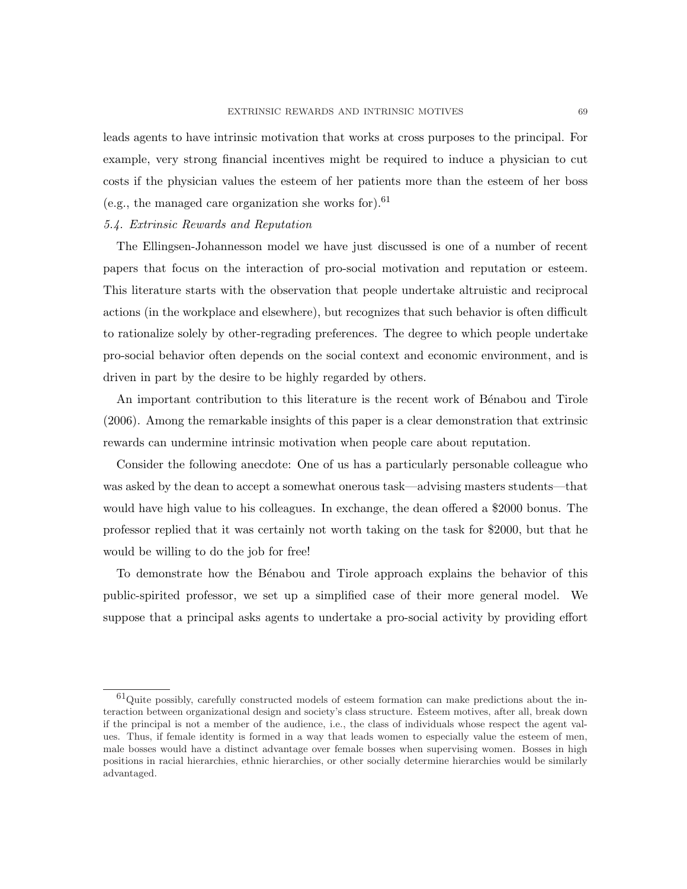leads agents to have intrinsic motivation that works at cross purposes to the principal. For example, very strong financial incentives might be required to induce a physician to cut costs if the physician values the esteem of her patients more than the esteem of her boss (e.g., the managed care organization she works for). $61$ 

### 5.4. Extrinsic Rewards and Reputation

The Ellingsen-Johannesson model we have just discussed is one of a number of recent papers that focus on the interaction of pro-social motivation and reputation or esteem. This literature starts with the observation that people undertake altruistic and reciprocal actions (in the workplace and elsewhere), but recognizes that such behavior is often difficult to rationalize solely by other-regrading preferences. The degree to which people undertake pro-social behavior often depends on the social context and economic environment, and is driven in part by the desire to be highly regarded by others.

An important contribution to this literature is the recent work of Bénabou and Tirole (2006). Among the remarkable insights of this paper is a clear demonstration that extrinsic rewards can undermine intrinsic motivation when people care about reputation.

Consider the following anecdote: One of us has a particularly personable colleague who was asked by the dean to accept a somewhat onerous task—advising masters students—that would have high value to his colleagues. In exchange, the dean offered a \$2000 bonus. The professor replied that it was certainly not worth taking on the task for \$2000, but that he would be willing to do the job for free!

To demonstrate how the Bénabou and Tirole approach explains the behavior of this public-spirited professor, we set up a simplified case of their more general model. We suppose that a principal asks agents to undertake a pro-social activity by providing effort

 $61$ Quite possibly, carefully constructed models of esteem formation can make predictions about the interaction between organizational design and society's class structure. Esteem motives, after all, break down if the principal is not a member of the audience, i.e., the class of individuals whose respect the agent values. Thus, if female identity is formed in a way that leads women to especially value the esteem of men, male bosses would have a distinct advantage over female bosses when supervising women. Bosses in high positions in racial hierarchies, ethnic hierarchies, or other socially determine hierarchies would be similarly advantaged.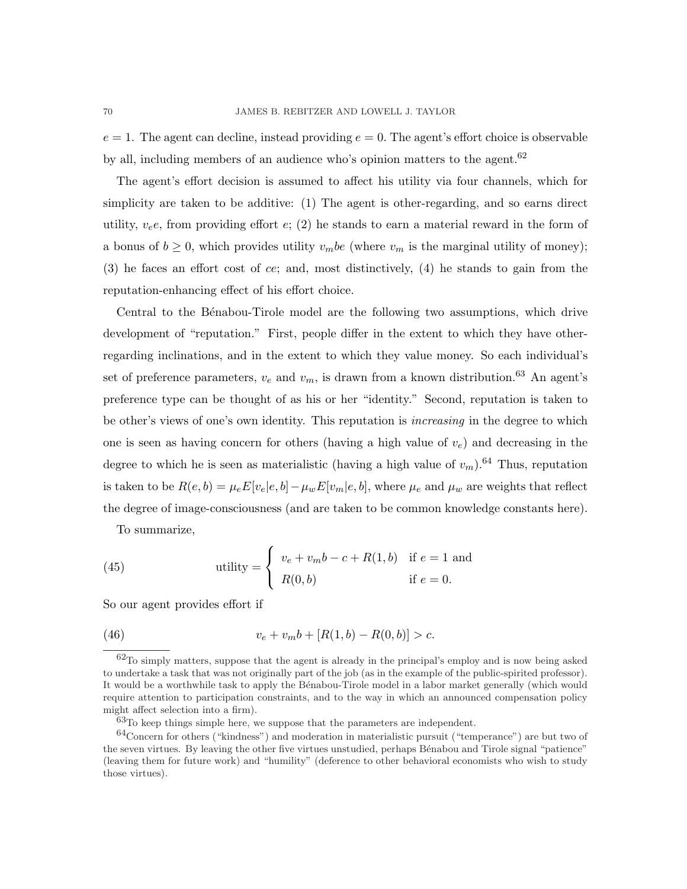$e = 1$ . The agent can decline, instead providing  $e = 0$ . The agent's effort choice is observable by all, including members of an audience who's opinion matters to the agent.<sup>62</sup>

The agent's effort decision is assumed to affect his utility via four channels, which for simplicity are taken to be additive: (1) The agent is other-regarding, and so earns direct utility,  $v_e$ , from providing effort e; (2) he stands to earn a material reward in the form of a bonus of  $b \geq 0$ , which provides utility  $v_m b e$  (where  $v_m$  is the marginal utility of money); (3) he faces an effort cost of ce; and, most distinctively, (4) he stands to gain from the reputation-enhancing effect of his effort choice.

Central to the Bénabou-Tirole model are the following two assumptions, which drive development of "reputation." First, people differ in the extent to which they have otherregarding inclinations, and in the extent to which they value money. So each individual's set of preference parameters,  $v_e$  and  $v_m$ , is drawn from a known distribution.<sup>63</sup> An agent's preference type can be thought of as his or her "identity." Second, reputation is taken to be other's views of one's own identity. This reputation is increasing in the degree to which one is seen as having concern for others (having a high value of  $v_e$ ) and decreasing in the degree to which he is seen as materialistic (having a high value of  $v_m$ ).<sup>64</sup> Thus, reputation is taken to be  $R(e, b) = \mu_e E[v_e|e, b] - \mu_w E[v_m|e, b]$ , where  $\mu_e$  and  $\mu_w$  are weights that reflect the degree of image-consciousness (and are taken to be common knowledge constants here).

To summarize,

(45) utility = 
$$
\begin{cases} v_e + v_m b - c + R(1, b) & \text{if } e = 1 \text{ and} \\ R(0, b) & \text{if } e = 0. \end{cases}
$$

So our agent provides effort if

(46) 
$$
v_e + v_m b + [R(1, b) - R(0, b)] > c.
$$

 $62$ To simply matters, suppose that the agent is already in the principal's employ and is now being asked to undertake a task that was not originally part of the job (as in the example of the public-spirited professor). It would be a worthwhile task to apply the Bénabou-Tirole model in a labor market generally (which would require attention to participation constraints, and to the way in which an announced compensation policy might affect selection into a firm).

 $63$ To keep things simple here, we suppose that the parameters are independent.

 $64$ Concern for others ("kindness") and moderation in materialistic pursuit ("temperance") are but two of the seven virtues. By leaving the other five virtues unstudied, perhaps Bénabou and Tirole signal "patience" (leaving them for future work) and "humility" (deference to other behavioral economists who wish to study those virtues).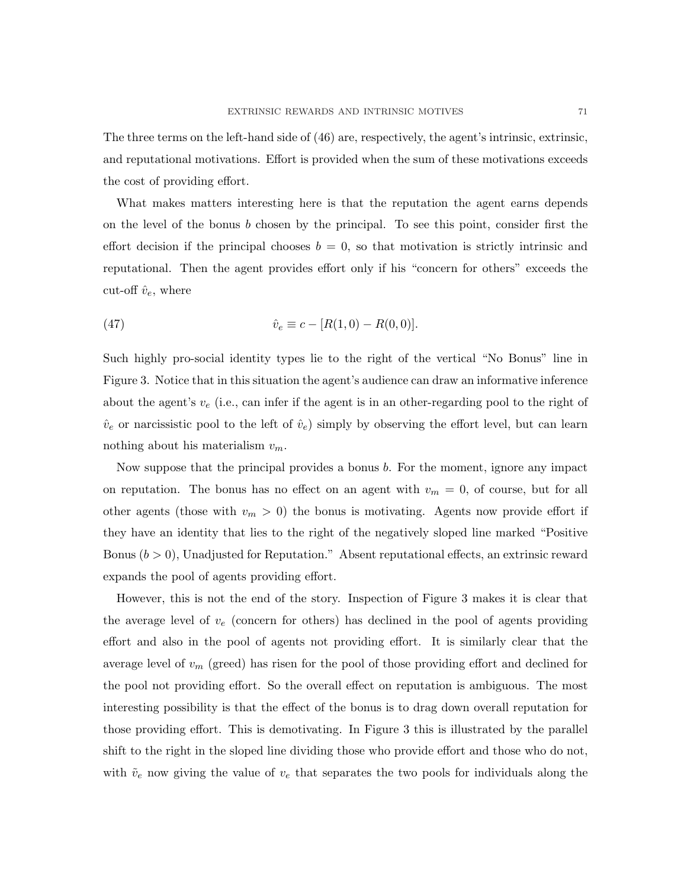The three terms on the left-hand side of (46) are, respectively, the agent's intrinsic, extrinsic, and reputational motivations. Effort is provided when the sum of these motivations exceeds the cost of providing effort.

What makes matters interesting here is that the reputation the agent earns depends on the level of the bonus  $b$  chosen by the principal. To see this point, consider first the effort decision if the principal chooses  $b = 0$ , so that motivation is strictly intrinsic and reputational. Then the agent provides effort only if his "concern for others" exceeds the cut-off  $\hat{v}_e$ , where

(47) 
$$
\hat{v}_e \equiv c - [R(1,0) - R(0,0)].
$$

Such highly pro-social identity types lie to the right of the vertical "No Bonus" line in Figure 3. Notice that in this situation the agent's audience can draw an informative inference about the agent's  $v_e$  (i.e., can infer if the agent is in an other-regarding pool to the right of  $\hat{v}_e$  or narcissistic pool to the left of  $\hat{v}_e$ ) simply by observing the effort level, but can learn nothing about his materialism  $v_m$ .

Now suppose that the principal provides a bonus b. For the moment, ignore any impact on reputation. The bonus has no effect on an agent with  $v_m = 0$ , of course, but for all other agents (those with  $v_m > 0$ ) the bonus is motivating. Agents now provide effort if they have an identity that lies to the right of the negatively sloped line marked "Positive Bonus  $(b > 0)$ , Unadjusted for Reputation." Absent reputational effects, an extrinsic reward expands the pool of agents providing effort.

However, this is not the end of the story. Inspection of Figure 3 makes it is clear that the average level of  $v_e$  (concern for others) has declined in the pool of agents providing effort and also in the pool of agents not providing effort. It is similarly clear that the average level of  $v_m$  (greed) has risen for the pool of those providing effort and declined for the pool not providing effort. So the overall effect on reputation is ambiguous. The most interesting possibility is that the effect of the bonus is to drag down overall reputation for those providing effort. This is demotivating. In Figure 3 this is illustrated by the parallel shift to the right in the sloped line dividing those who provide effort and those who do not, with  $\tilde{v}_e$  now giving the value of  $v_e$  that separates the two pools for individuals along the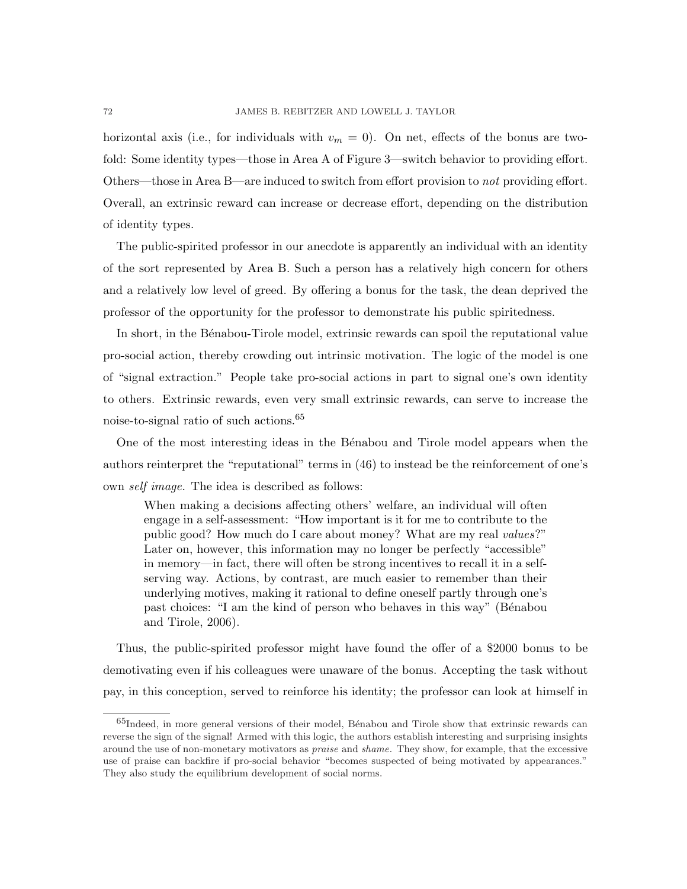horizontal axis (i.e., for individuals with  $v_m = 0$ ). On net, effects of the bonus are twofold: Some identity types—those in Area A of Figure 3—switch behavior to providing effort. Others—those in Area B—are induced to switch from effort provision to not providing effort. Overall, an extrinsic reward can increase or decrease effort, depending on the distribution of identity types.

The public-spirited professor in our anecdote is apparently an individual with an identity of the sort represented by Area B. Such a person has a relatively high concern for others and a relatively low level of greed. By offering a bonus for the task, the dean deprived the professor of the opportunity for the professor to demonstrate his public spiritedness.

In short, in the Bénabou-Tirole model, extrinsic rewards can spoil the reputational value pro-social action, thereby crowding out intrinsic motivation. The logic of the model is one of "signal extraction." People take pro-social actions in part to signal one's own identity to others. Extrinsic rewards, even very small extrinsic rewards, can serve to increase the noise-to-signal ratio of such actions.<sup>65</sup>

One of the most interesting ideas in the Bénabou and Tirole model appears when the authors reinterpret the "reputational" terms in (46) to instead be the reinforcement of one's own self image. The idea is described as follows:

When making a decisions affecting others' welfare, an individual will often engage in a self-assessment: "How important is it for me to contribute to the public good? How much do I care about money? What are my real values?" Later on, however, this information may no longer be perfectly "accessible" in memory—in fact, there will often be strong incentives to recall it in a selfserving way. Actions, by contrast, are much easier to remember than their underlying motives, making it rational to define oneself partly through one's past choices: "I am the kind of person who behaves in this way" (Bénabou and Tirole, 2006).

Thus, the public-spirited professor might have found the offer of a \$2000 bonus to be demotivating even if his colleagues were unaware of the bonus. Accepting the task without pay, in this conception, served to reinforce his identity; the professor can look at himself in

 $^{65}$ Indeed, in more general versions of their model, Bénabou and Tirole show that extrinsic rewards can reverse the sign of the signal! Armed with this logic, the authors establish interesting and surprising insights around the use of non-monetary motivators as *praise* and *shame*. They show, for example, that the excessive use of praise can backfire if pro-social behavior "becomes suspected of being motivated by appearances." They also study the equilibrium development of social norms.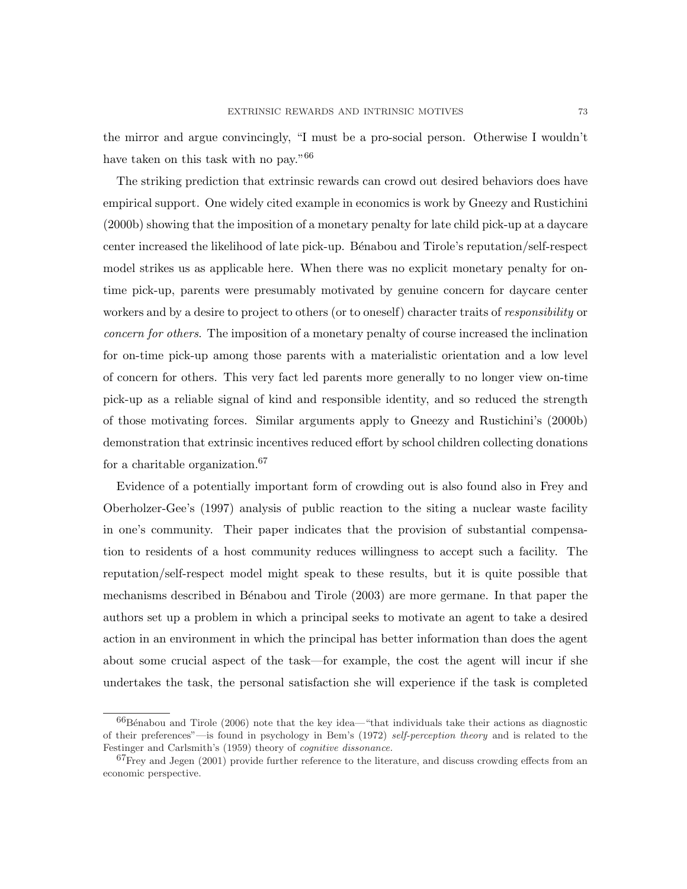the mirror and argue convincingly, "I must be a pro-social person. Otherwise I wouldn't have taken on this task with no pay."<sup>66</sup>

The striking prediction that extrinsic rewards can crowd out desired behaviors does have empirical support. One widely cited example in economics is work by Gneezy and Rustichini (2000b) showing that the imposition of a monetary penalty for late child pick-up at a daycare center increased the likelihood of late pick-up. B´enabou and Tirole's reputation/self-respect model strikes us as applicable here. When there was no explicit monetary penalty for ontime pick-up, parents were presumably motivated by genuine concern for daycare center workers and by a desire to project to others (or to oneself) character traits of *responsibility* or concern for others. The imposition of a monetary penalty of course increased the inclination for on-time pick-up among those parents with a materialistic orientation and a low level of concern for others. This very fact led parents more generally to no longer view on-time pick-up as a reliable signal of kind and responsible identity, and so reduced the strength of those motivating forces. Similar arguments apply to Gneezy and Rustichini's (2000b) demonstration that extrinsic incentives reduced effort by school children collecting donations for a charitable organization.<sup>67</sup>

Evidence of a potentially important form of crowding out is also found also in Frey and Oberholzer-Gee's (1997) analysis of public reaction to the siting a nuclear waste facility in one's community. Their paper indicates that the provision of substantial compensation to residents of a host community reduces willingness to accept such a facility. The reputation/self-respect model might speak to these results, but it is quite possible that mechanisms described in Bénabou and Tirole (2003) are more germane. In that paper the authors set up a problem in which a principal seeks to motivate an agent to take a desired action in an environment in which the principal has better information than does the agent about some crucial aspect of the task—for example, the cost the agent will incur if she undertakes the task, the personal satisfaction she will experience if the task is completed

 $^{66}$ Bénabou and Tirole (2006) note that the key idea—"that individuals take their actions as diagnostic of their preferences"—is found in psychology in Bem's (1972) self-perception theory and is related to the Festinger and Carlsmith's (1959) theory of cognitive dissonance.

<sup>67</sup>Frey and Jegen (2001) provide further reference to the literature, and discuss crowding effects from an economic perspective.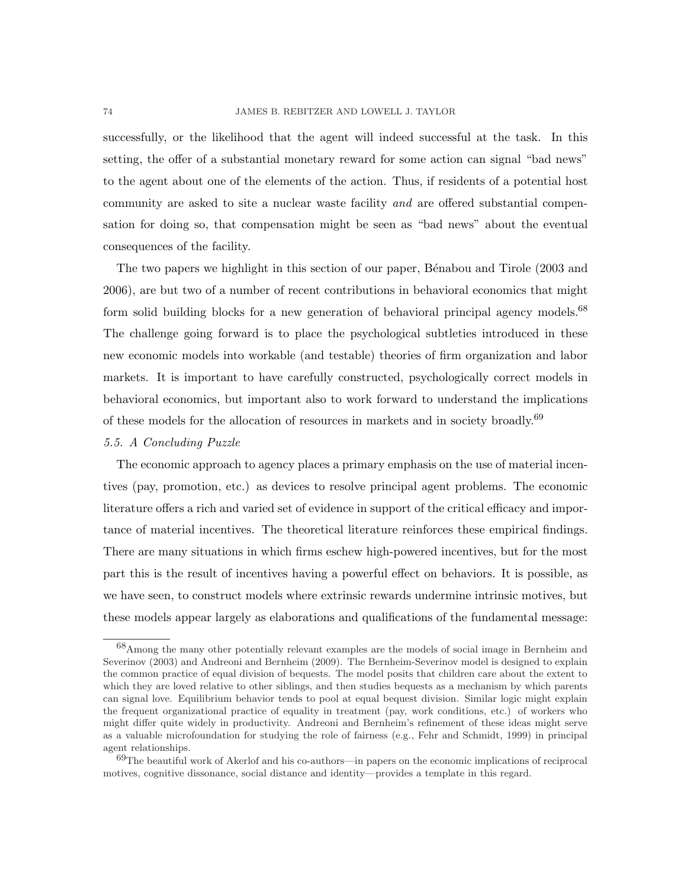successfully, or the likelihood that the agent will indeed successful at the task. In this setting, the offer of a substantial monetary reward for some action can signal "bad news" to the agent about one of the elements of the action. Thus, if residents of a potential host community are asked to site a nuclear waste facility and are offered substantial compensation for doing so, that compensation might be seen as "bad news" about the eventual consequences of the facility.

The two papers we highlight in this section of our paper, Bénabou and Tirole (2003 and 2006), are but two of a number of recent contributions in behavioral economics that might form solid building blocks for a new generation of behavioral principal agency models.<sup>68</sup> The challenge going forward is to place the psychological subtleties introduced in these new economic models into workable (and testable) theories of firm organization and labor markets. It is important to have carefully constructed, psychologically correct models in behavioral economics, but important also to work forward to understand the implications of these models for the allocation of resources in markets and in society broadly.<sup>69</sup>

## 5.5. A Concluding Puzzle

The economic approach to agency places a primary emphasis on the use of material incentives (pay, promotion, etc.) as devices to resolve principal agent problems. The economic literature offers a rich and varied set of evidence in support of the critical efficacy and importance of material incentives. The theoretical literature reinforces these empirical findings. There are many situations in which firms eschew high-powered incentives, but for the most part this is the result of incentives having a powerful effect on behaviors. It is possible, as we have seen, to construct models where extrinsic rewards undermine intrinsic motives, but these models appear largely as elaborations and qualifications of the fundamental message:

<sup>68</sup>Among the many other potentially relevant examples are the models of social image in Bernheim and Severinov (2003) and Andreoni and Bernheim (2009). The Bernheim-Severinov model is designed to explain the common practice of equal division of bequests. The model posits that children care about the extent to which they are loved relative to other siblings, and then studies bequests as a mechanism by which parents can signal love. Equilibrium behavior tends to pool at equal bequest division. Similar logic might explain the frequent organizational practice of equality in treatment (pay, work conditions, etc.) of workers who might differ quite widely in productivity. Andreoni and Bernheim's refinement of these ideas might serve as a valuable microfoundation for studying the role of fairness (e.g., Fehr and Schmidt, 1999) in principal agent relationships.

 $^{69}$ The beautiful work of Akerlof and his co-authors—in papers on the economic implications of reciprocal motives, cognitive dissonance, social distance and identity—provides a template in this regard.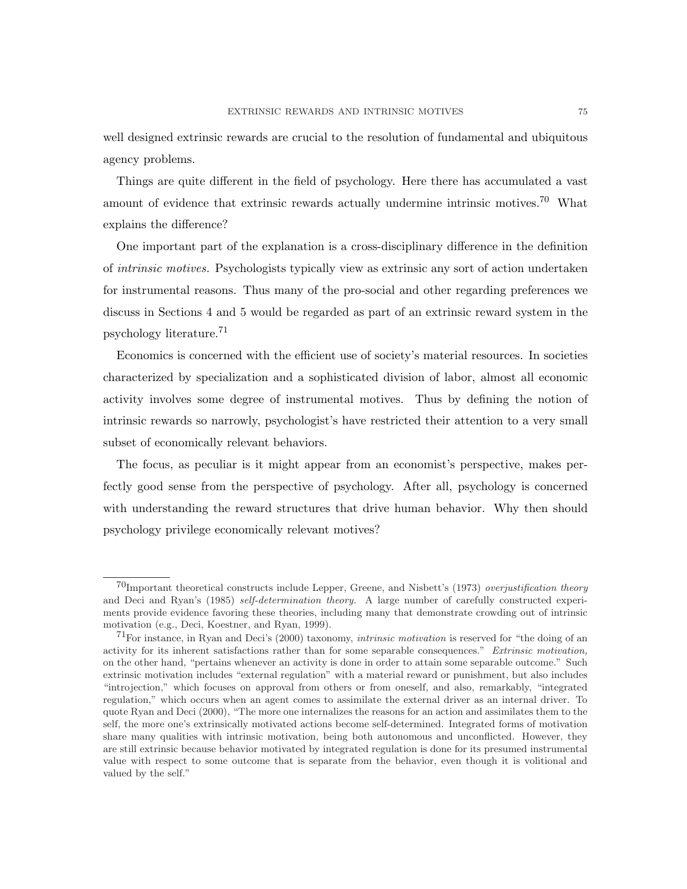well designed extrinsic rewards are crucial to the resolution of fundamental and ubiquitous agency problems.

Things are quite different in the field of psychology. Here there has accumulated a vast amount of evidence that extrinsic rewards actually undermine intrinsic motives.<sup>70</sup> What explains the difference?

One important part of the explanation is a cross-disciplinary difference in the definition of intrinsic motives. Psychologists typically view as extrinsic any sort of action undertaken for instrumental reasons. Thus many of the pro-social and other regarding preferences we discuss in Sections 4 and 5 would be regarded as part of an extrinsic reward system in the psychology literature.<sup>71</sup>

Economics is concerned with the efficient use of society's material resources. In societies characterized by specialization and a sophisticated division of labor, almost all economic activity involves some degree of instrumental motives. Thus by defining the notion of intrinsic rewards so narrowly, psychologist's have restricted their attention to a very small subset of economically relevant behaviors.

The focus, as peculiar is it might appear from an economist's perspective, makes perfectly good sense from the perspective of psychology. After all, psychology is concerned with understanding the reward structures that drive human behavior. Why then should psychology privilege economically relevant motives?

 $^{70}$ Important theoretical constructs include Lepper, Greene, and Nisbett's (1973) overjustification theory and Deci and Ryan's (1985) self-determination theory. A large number of carefully constructed experiments provide evidence favoring these theories, including many that demonstrate crowding out of intrinsic motivation (e.g., Deci, Koestner, and Ryan, 1999).

<sup>&</sup>lt;sup>71</sup>For instance, in Ryan and Deci's (2000) taxonomy, *intrinsic motivation* is reserved for "the doing of an activity for its inherent satisfactions rather than for some separable consequences." Extrinsic motivation, on the other hand, "pertains whenever an activity is done in order to attain some separable outcome." Such extrinsic motivation includes "external regulation" with a material reward or punishment, but also includes "introjection," which focuses on approval from others or from oneself, and also, remarkably, "integrated regulation," which occurs when an agent comes to assimilate the external driver as an internal driver. To quote Ryan and Deci (2000), "The more one internalizes the reasons for an action and assimilates them to the self, the more one's extrinsically motivated actions become self-determined. Integrated forms of motivation share many qualities with intrinsic motivation, being both autonomous and unconflicted. However, they are still extrinsic because behavior motivated by integrated regulation is done for its presumed instrumental value with respect to some outcome that is separate from the behavior, even though it is volitional and valued by the self."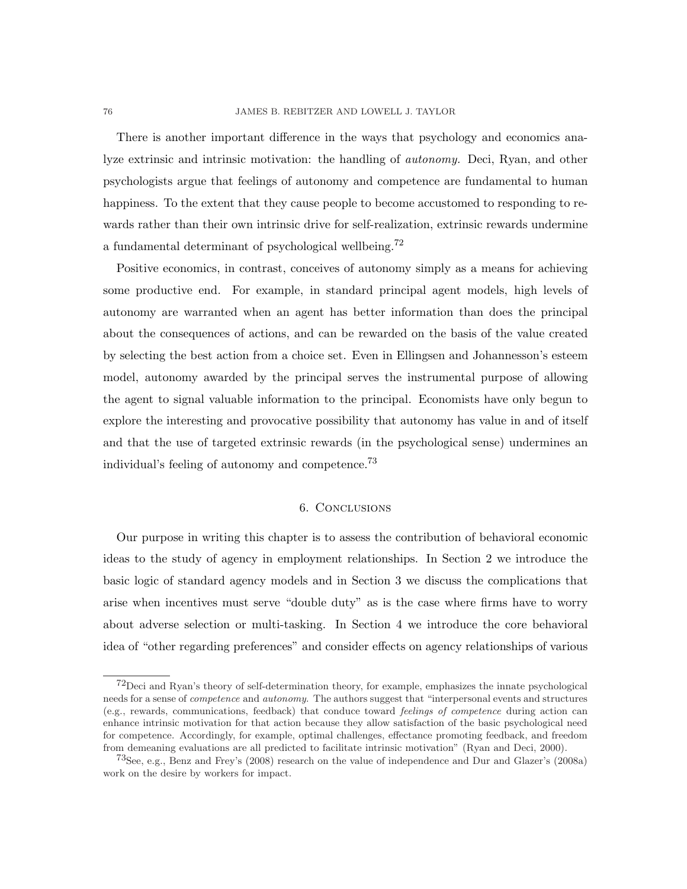There is another important difference in the ways that psychology and economics analyze extrinsic and intrinsic motivation: the handling of autonomy. Deci, Ryan, and other psychologists argue that feelings of autonomy and competence are fundamental to human happiness. To the extent that they cause people to become accustomed to responding to rewards rather than their own intrinsic drive for self-realization, extrinsic rewards undermine a fundamental determinant of psychological wellbeing.<sup>72</sup>

Positive economics, in contrast, conceives of autonomy simply as a means for achieving some productive end. For example, in standard principal agent models, high levels of autonomy are warranted when an agent has better information than does the principal about the consequences of actions, and can be rewarded on the basis of the value created by selecting the best action from a choice set. Even in Ellingsen and Johannesson's esteem model, autonomy awarded by the principal serves the instrumental purpose of allowing the agent to signal valuable information to the principal. Economists have only begun to explore the interesting and provocative possibility that autonomy has value in and of itself and that the use of targeted extrinsic rewards (in the psychological sense) undermines an individual's feeling of autonomy and competence.<sup>73</sup>

## 6. Conclusions

Our purpose in writing this chapter is to assess the contribution of behavioral economic ideas to the study of agency in employment relationships. In Section 2 we introduce the basic logic of standard agency models and in Section 3 we discuss the complications that arise when incentives must serve "double duty" as is the case where firms have to worry about adverse selection or multi-tasking. In Section 4 we introduce the core behavioral idea of "other regarding preferences" and consider effects on agency relationships of various

 $^{72}$ Deci and Ryan's theory of self-determination theory, for example, emphasizes the innate psychological needs for a sense of competence and autonomy. The authors suggest that "interpersonal events and structures (e.g., rewards, communications, feedback) that conduce toward feelings of competence during action can enhance intrinsic motivation for that action because they allow satisfaction of the basic psychological need for competence. Accordingly, for example, optimal challenges, effectance promoting feedback, and freedom from demeaning evaluations are all predicted to facilitate intrinsic motivation" (Ryan and Deci, 2000).

 $^{73}$ See, e.g., Benz and Frey's (2008) research on the value of independence and Dur and Glazer's (2008a) work on the desire by workers for impact.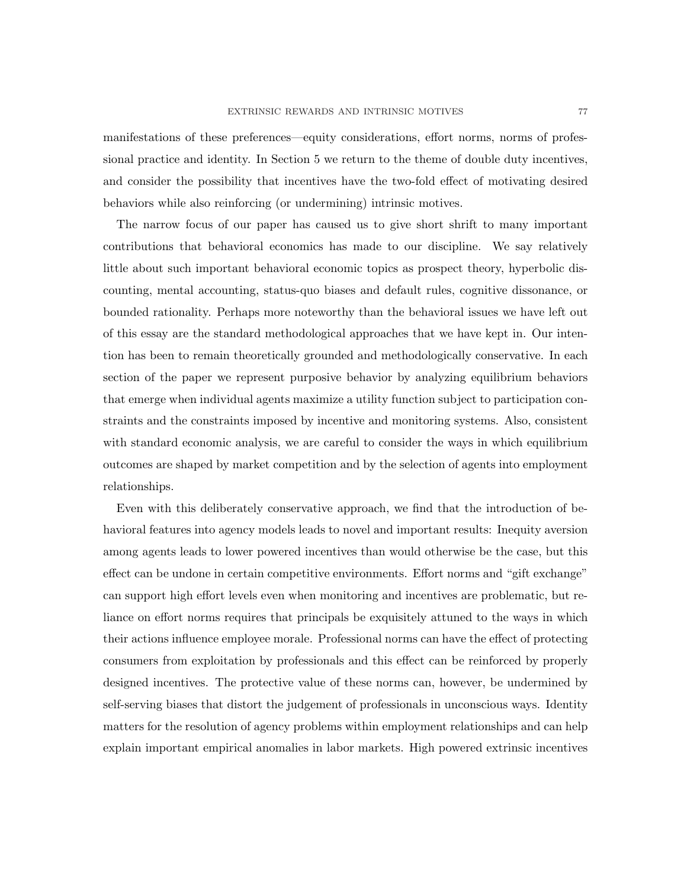manifestations of these preferences—equity considerations, effort norms, norms of professional practice and identity. In Section 5 we return to the theme of double duty incentives, and consider the possibility that incentives have the two-fold effect of motivating desired behaviors while also reinforcing (or undermining) intrinsic motives.

The narrow focus of our paper has caused us to give short shrift to many important contributions that behavioral economics has made to our discipline. We say relatively little about such important behavioral economic topics as prospect theory, hyperbolic discounting, mental accounting, status-quo biases and default rules, cognitive dissonance, or bounded rationality. Perhaps more noteworthy than the behavioral issues we have left out of this essay are the standard methodological approaches that we have kept in. Our intention has been to remain theoretically grounded and methodologically conservative. In each section of the paper we represent purposive behavior by analyzing equilibrium behaviors that emerge when individual agents maximize a utility function subject to participation constraints and the constraints imposed by incentive and monitoring systems. Also, consistent with standard economic analysis, we are careful to consider the ways in which equilibrium outcomes are shaped by market competition and by the selection of agents into employment relationships.

Even with this deliberately conservative approach, we find that the introduction of behavioral features into agency models leads to novel and important results: Inequity aversion among agents leads to lower powered incentives than would otherwise be the case, but this effect can be undone in certain competitive environments. Effort norms and "gift exchange" can support high effort levels even when monitoring and incentives are problematic, but reliance on effort norms requires that principals be exquisitely attuned to the ways in which their actions influence employee morale. Professional norms can have the effect of protecting consumers from exploitation by professionals and this effect can be reinforced by properly designed incentives. The protective value of these norms can, however, be undermined by self-serving biases that distort the judgement of professionals in unconscious ways. Identity matters for the resolution of agency problems within employment relationships and can help explain important empirical anomalies in labor markets. High powered extrinsic incentives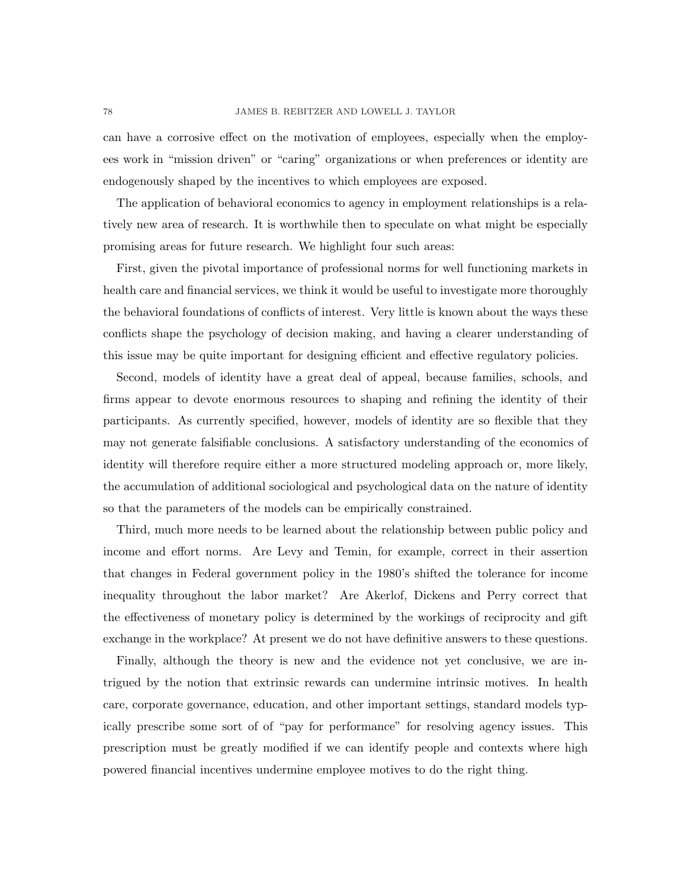can have a corrosive effect on the motivation of employees, especially when the employees work in "mission driven" or "caring" organizations or when preferences or identity are endogenously shaped by the incentives to which employees are exposed.

The application of behavioral economics to agency in employment relationships is a relatively new area of research. It is worthwhile then to speculate on what might be especially promising areas for future research. We highlight four such areas:

First, given the pivotal importance of professional norms for well functioning markets in health care and financial services, we think it would be useful to investigate more thoroughly the behavioral foundations of conflicts of interest. Very little is known about the ways these conflicts shape the psychology of decision making, and having a clearer understanding of this issue may be quite important for designing efficient and effective regulatory policies.

Second, models of identity have a great deal of appeal, because families, schools, and firms appear to devote enormous resources to shaping and refining the identity of their participants. As currently specified, however, models of identity are so flexible that they may not generate falsifiable conclusions. A satisfactory understanding of the economics of identity will therefore require either a more structured modeling approach or, more likely, the accumulation of additional sociological and psychological data on the nature of identity so that the parameters of the models can be empirically constrained.

Third, much more needs to be learned about the relationship between public policy and income and effort norms. Are Levy and Temin, for example, correct in their assertion that changes in Federal government policy in the 1980's shifted the tolerance for income inequality throughout the labor market? Are Akerlof, Dickens and Perry correct that the effectiveness of monetary policy is determined by the workings of reciprocity and gift exchange in the workplace? At present we do not have definitive answers to these questions.

Finally, although the theory is new and the evidence not yet conclusive, we are intrigued by the notion that extrinsic rewards can undermine intrinsic motives. In health care, corporate governance, education, and other important settings, standard models typically prescribe some sort of of "pay for performance" for resolving agency issues. This prescription must be greatly modified if we can identify people and contexts where high powered financial incentives undermine employee motives to do the right thing.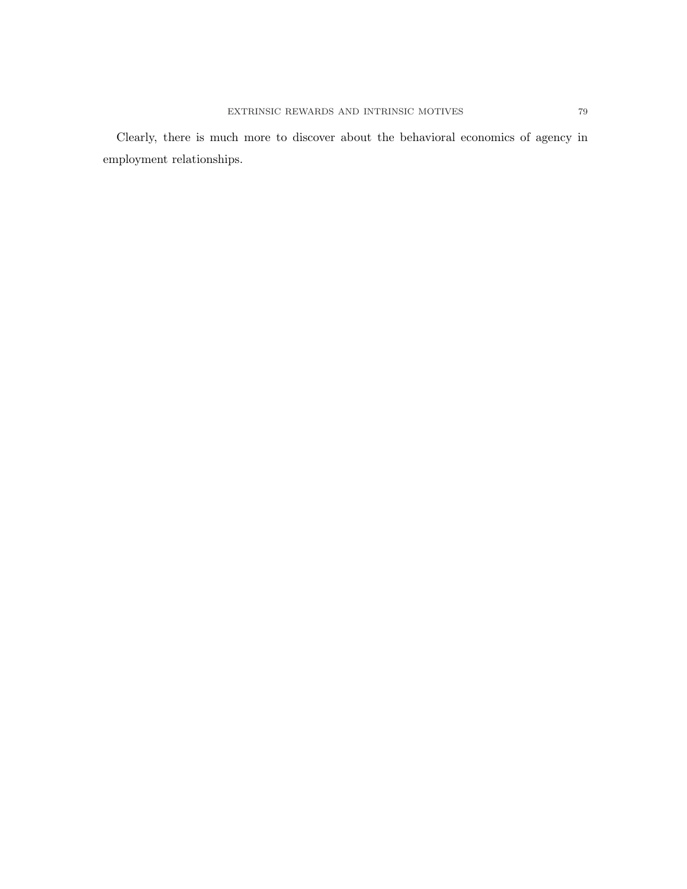Clearly, there is much more to discover about the behavioral economics of agency in employment relationships.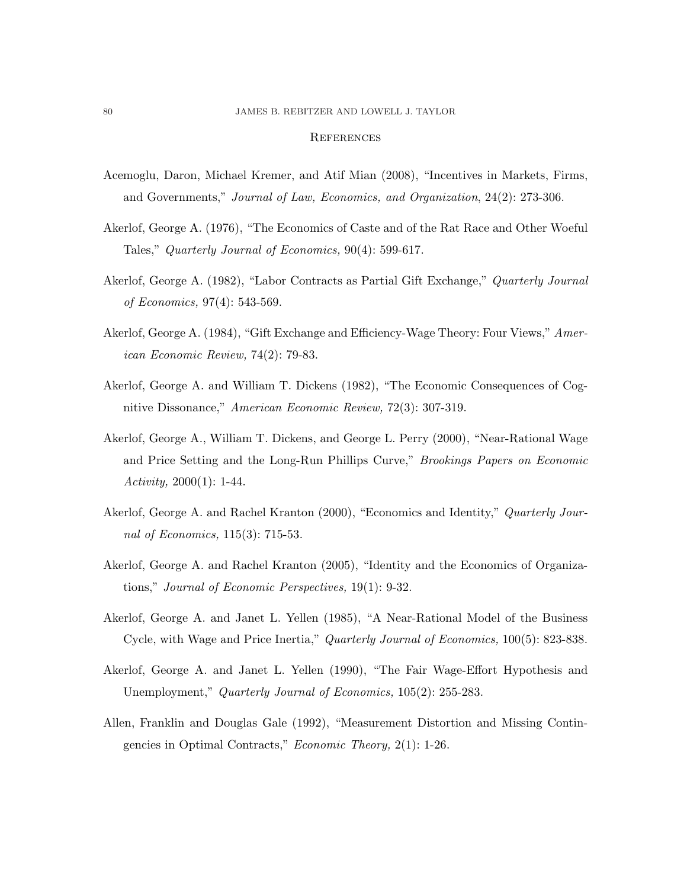## **REFERENCES**

- Acemoglu, Daron, Michael Kremer, and Atif Mian (2008), "Incentives in Markets, Firms, and Governments," Journal of Law, Economics, and Organization, 24(2): 273-306.
- Akerlof, George A. (1976), "The Economics of Caste and of the Rat Race and Other Woeful Tales," Quarterly Journal of Economics, 90(4): 599-617.
- Akerlof, George A. (1982), "Labor Contracts as Partial Gift Exchange," Quarterly Journal of Economics, 97(4): 543-569.
- Akerlof, George A. (1984), "Gift Exchange and Efficiency-Wage Theory: Four Views," American Economic Review, 74(2): 79-83.
- Akerlof, George A. and William T. Dickens (1982), "The Economic Consequences of Cognitive Dissonance," American Economic Review, 72(3): 307-319.
- Akerlof, George A., William T. Dickens, and George L. Perry (2000), "Near-Rational Wage and Price Setting and the Long-Run Phillips Curve," Brookings Papers on Economic Activity,  $2000(1)$ : 1-44.
- Akerlof, George A. and Rachel Kranton (2000), "Economics and Identity," Quarterly Journal of Economics, 115(3): 715-53.
- Akerlof, George A. and Rachel Kranton (2005), "Identity and the Economics of Organizations," Journal of Economic Perspectives, 19(1): 9-32.
- Akerlof, George A. and Janet L. Yellen (1985), "A Near-Rational Model of the Business Cycle, with Wage and Price Inertia," Quarterly Journal of Economics, 100(5): 823-838.
- Akerlof, George A. and Janet L. Yellen (1990), "The Fair Wage-Effort Hypothesis and Unemployment," Quarterly Journal of Economics, 105(2): 255-283.
- Allen, Franklin and Douglas Gale (1992), "Measurement Distortion and Missing Contingencies in Optimal Contracts," Economic Theory, 2(1): 1-26.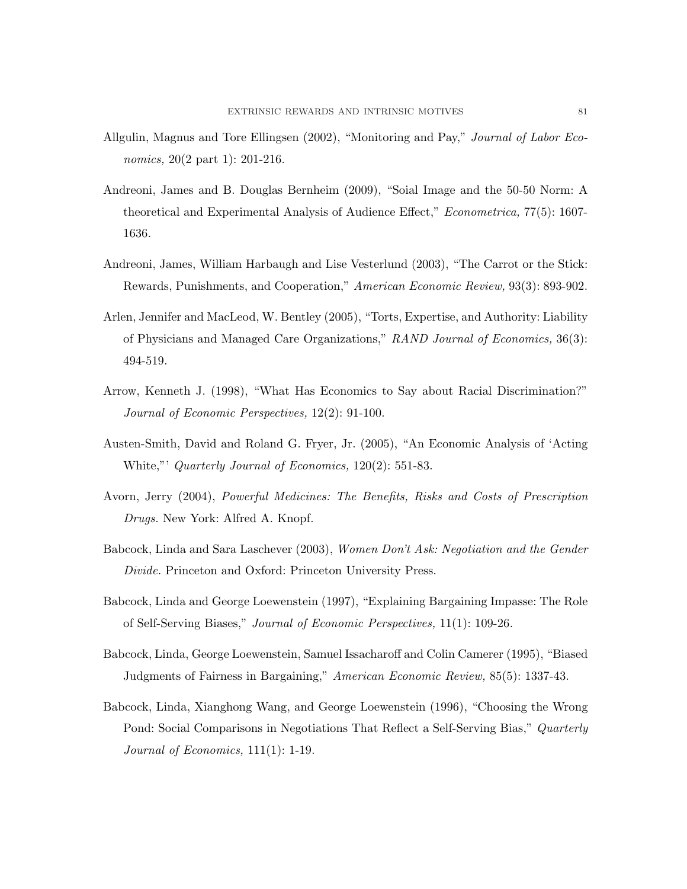- Allgulin, Magnus and Tore Ellingsen (2002), "Monitoring and Pay," Journal of Labor Economics, 20(2 part 1): 201-216.
- Andreoni, James and B. Douglas Bernheim (2009), "Soial Image and the 50-50 Norm: A theoretical and Experimental Analysis of Audience Effect," Econometrica, 77(5): 1607- 1636.
- Andreoni, James, William Harbaugh and Lise Vesterlund (2003), "The Carrot or the Stick: Rewards, Punishments, and Cooperation," American Economic Review, 93(3): 893-902.
- Arlen, Jennifer and MacLeod, W. Bentley (2005), "Torts, Expertise, and Authority: Liability of Physicians and Managed Care Organizations," RAND Journal of Economics, 36(3): 494-519.
- Arrow, Kenneth J. (1998), "What Has Economics to Say about Racial Discrimination?" Journal of Economic Perspectives, 12(2): 91-100.
- Austen-Smith, David and Roland G. Fryer, Jr. (2005), "An Economic Analysis of 'Acting White,"' Quarterly Journal of Economics, 120(2): 551-83.
- Avorn, Jerry (2004), Powerful Medicines: The Benefits, Risks and Costs of Prescription Drugs. New York: Alfred A. Knopf.
- Babcock, Linda and Sara Laschever (2003), Women Don't Ask: Negotiation and the Gender Divide. Princeton and Oxford: Princeton University Press.
- Babcock, Linda and George Loewenstein (1997), "Explaining Bargaining Impasse: The Role of Self-Serving Biases," Journal of Economic Perspectives, 11(1): 109-26.
- Babcock, Linda, George Loewenstein, Samuel Issacharoff and Colin Camerer (1995), "Biased Judgments of Fairness in Bargaining," American Economic Review, 85(5): 1337-43.
- Babcock, Linda, Xianghong Wang, and George Loewenstein (1996), "Choosing the Wrong Pond: Social Comparisons in Negotiations That Reflect a Self-Serving Bias," Quarterly Journal of Economics, 111(1): 1-19.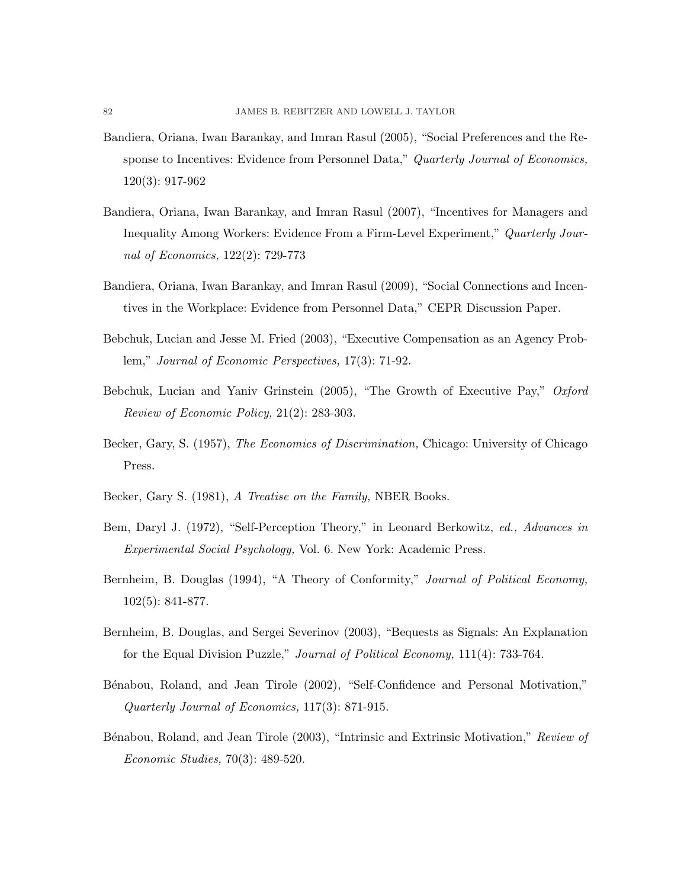- Bandiera, Oriana, Iwan Barankay, and Imran Rasul (2005), "Social Preferences and the Response to Incentives: Evidence from Personnel Data," Quarterly Journal of Economics, 120(3): 917-962
- Bandiera, Oriana, Iwan Barankay, and Imran Rasul (2007), "Incentives for Managers and Inequality Among Workers: Evidence From a Firm-Level Experiment," Quarterly Journal of Economics, 122(2): 729-773
- Bandiera, Oriana, Iwan Barankay, and Imran Rasul (2009), "Social Connections and Incentives in the Workplace: Evidence from Personnel Data," CEPR Discussion Paper.
- Bebchuk, Lucian and Jesse M. Fried (2003), "Executive Compensation as an Agency Problem," Journal of Economic Perspectives, 17(3): 71-92.
- Bebchuk, Lucian and Yaniv Grinstein (2005), "The Growth of Executive Pay," Oxford Review of Economic Policy, 21(2): 283-303.
- Becker, Gary, S. (1957), The Economics of Discrimination, Chicago: University of Chicago Press.
- Becker, Gary S. (1981), A Treatise on the Family, NBER Books.
- Bem, Daryl J. (1972), "Self-Perception Theory," in Leonard Berkowitz, ed., Advances in Experimental Social Psychology, Vol. 6. New York: Academic Press.
- Bernheim, B. Douglas (1994), "A Theory of Conformity," Journal of Political Economy, 102(5): 841-877.
- Bernheim, B. Douglas, and Sergei Severinov (2003), "Bequests as Signals: An Explanation for the Equal Division Puzzle," Journal of Political Economy, 111(4): 733-764.
- Bénabou, Roland, and Jean Tirole (2002), "Self-Confidence and Personal Motivation," Quarterly Journal of Economics, 117(3): 871-915.
- Bénabou, Roland, and Jean Tirole (2003), "Intrinsic and Extrinsic Motivation," Review of Economic Studies, 70(3): 489-520.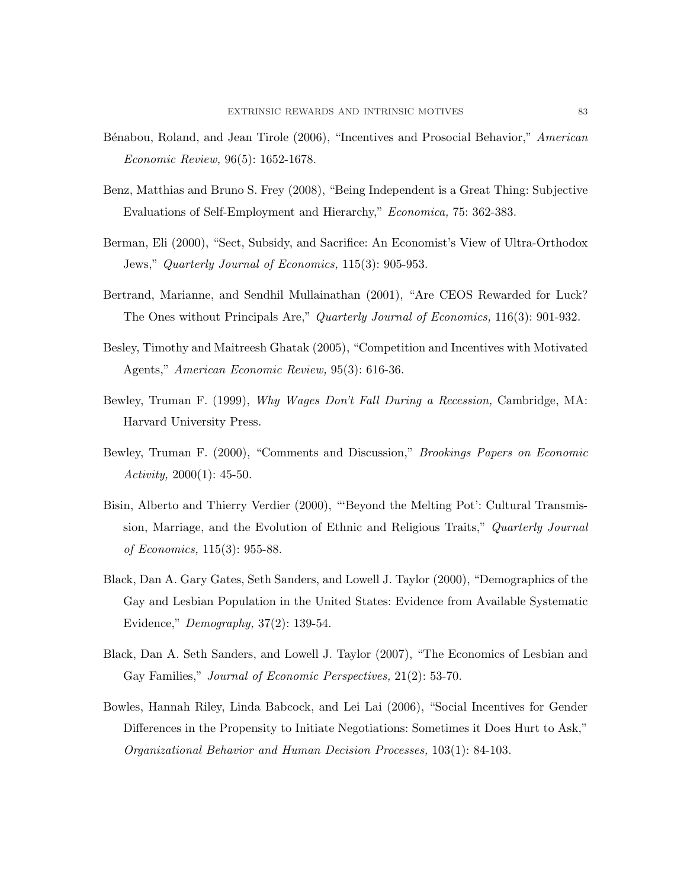- Bénabou, Roland, and Jean Tirole (2006), "Incentives and Prosocial Behavior," American Economic Review, 96(5): 1652-1678.
- Benz, Matthias and Bruno S. Frey (2008), "Being Independent is a Great Thing: Subjective Evaluations of Self-Employment and Hierarchy," Economica, 75: 362-383.
- Berman, Eli (2000), "Sect, Subsidy, and Sacrifice: An Economist's View of Ultra-Orthodox Jews," Quarterly Journal of Economics, 115(3): 905-953.
- Bertrand, Marianne, and Sendhil Mullainathan (2001), "Are CEOS Rewarded for Luck? The Ones without Principals Are," Quarterly Journal of Economics, 116(3): 901-932.
- Besley, Timothy and Maitreesh Ghatak (2005), "Competition and Incentives with Motivated Agents," American Economic Review, 95(3): 616-36.
- Bewley, Truman F. (1999), Why Wages Don't Fall During a Recession, Cambridge, MA: Harvard University Press.
- Bewley, Truman F. (2000), "Comments and Discussion," Brookings Papers on Economic Activity,  $2000(1)$ : 45-50.
- Bisin, Alberto and Thierry Verdier (2000), "'Beyond the Melting Pot': Cultural Transmission, Marriage, and the Evolution of Ethnic and Religious Traits," Quarterly Journal of Economics, 115(3): 955-88.
- Black, Dan A. Gary Gates, Seth Sanders, and Lowell J. Taylor (2000), "Demographics of the Gay and Lesbian Population in the United States: Evidence from Available Systematic Evidence," Demography, 37(2): 139-54.
- Black, Dan A. Seth Sanders, and Lowell J. Taylor (2007), "The Economics of Lesbian and Gay Families," Journal of Economic Perspectives, 21(2): 53-70.
- Bowles, Hannah Riley, Linda Babcock, and Lei Lai (2006), "Social Incentives for Gender Differences in the Propensity to Initiate Negotiations: Sometimes it Does Hurt to Ask," Organizational Behavior and Human Decision Processes, 103(1): 84-103.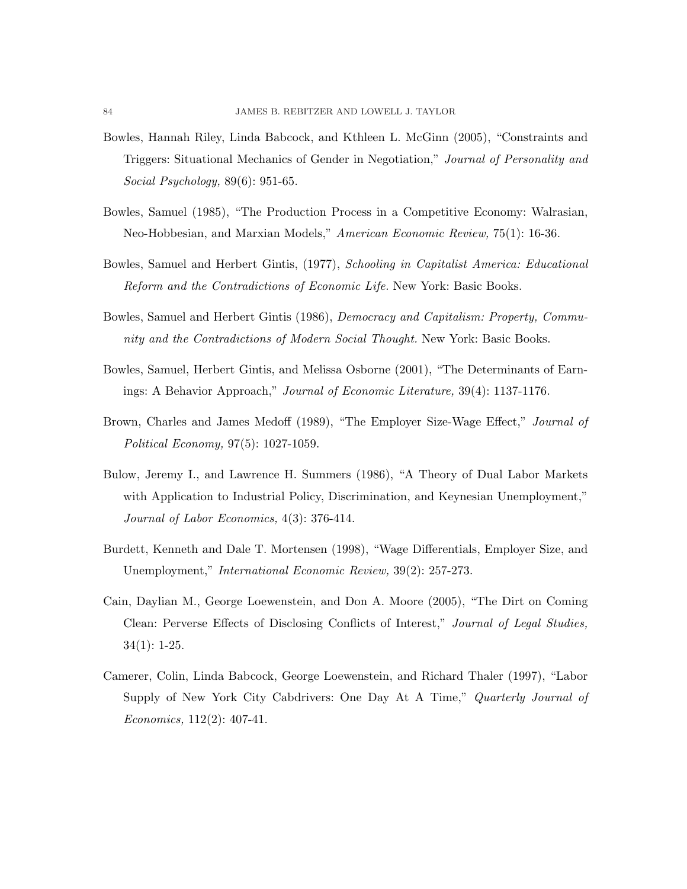- Bowles, Hannah Riley, Linda Babcock, and Kthleen L. McGinn (2005), "Constraints and Triggers: Situational Mechanics of Gender in Negotiation," Journal of Personality and Social Psychology, 89(6): 951-65.
- Bowles, Samuel (1985), "The Production Process in a Competitive Economy: Walrasian, Neo-Hobbesian, and Marxian Models," American Economic Review, 75(1): 16-36.
- Bowles, Samuel and Herbert Gintis, (1977), Schooling in Capitalist America: Educational Reform and the Contradictions of Economic Life. New York: Basic Books.
- Bowles, Samuel and Herbert Gintis (1986), Democracy and Capitalism: Property, Community and the Contradictions of Modern Social Thought. New York: Basic Books.
- Bowles, Samuel, Herbert Gintis, and Melissa Osborne (2001), "The Determinants of Earnings: A Behavior Approach," Journal of Economic Literature, 39(4): 1137-1176.
- Brown, Charles and James Medoff (1989), "The Employer Size-Wage Effect," Journal of Political Economy, 97(5): 1027-1059.
- Bulow, Jeremy I., and Lawrence H. Summers (1986), "A Theory of Dual Labor Markets with Application to Industrial Policy, Discrimination, and Keynesian Unemployment," Journal of Labor Economics, 4(3): 376-414.
- Burdett, Kenneth and Dale T. Mortensen (1998), "Wage Differentials, Employer Size, and Unemployment," International Economic Review, 39(2): 257-273.
- Cain, Daylian M., George Loewenstein, and Don A. Moore (2005), "The Dirt on Coming Clean: Perverse Effects of Disclosing Conflicts of Interest," Journal of Legal Studies, 34(1): 1-25.
- Camerer, Colin, Linda Babcock, George Loewenstein, and Richard Thaler (1997), "Labor Supply of New York City Cabdrivers: One Day At A Time," Quarterly Journal of Economics, 112(2): 407-41.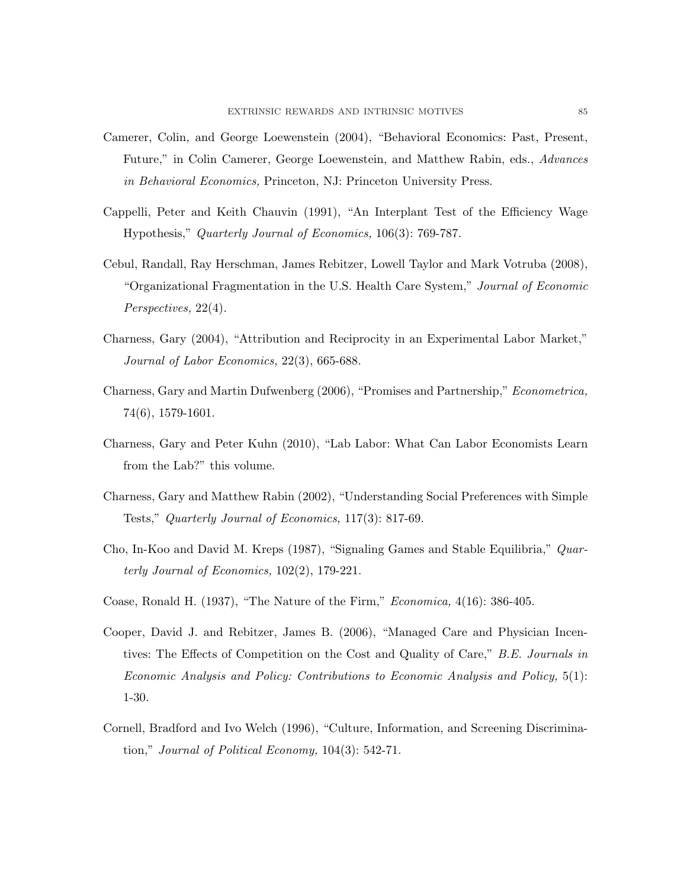- Camerer, Colin, and George Loewenstein (2004), "Behavioral Economics: Past, Present, Future," in Colin Camerer, George Loewenstein, and Matthew Rabin, eds., Advances in Behavioral Economics, Princeton, NJ: Princeton University Press.
- Cappelli, Peter and Keith Chauvin (1991), "An Interplant Test of the Efficiency Wage Hypothesis," Quarterly Journal of Economics, 106(3): 769-787.
- Cebul, Randall, Ray Herschman, James Rebitzer, Lowell Taylor and Mark Votruba (2008), "Organizational Fragmentation in the U.S. Health Care System," Journal of Economic Perspectives, 22(4).
- Charness, Gary (2004), "Attribution and Reciprocity in an Experimental Labor Market," Journal of Labor Economics, 22(3), 665-688.
- Charness, Gary and Martin Dufwenberg (2006), "Promises and Partnership," Econometrica, 74(6), 1579-1601.
- Charness, Gary and Peter Kuhn (2010), "Lab Labor: What Can Labor Economists Learn from the Lab?" this volume.
- Charness, Gary and Matthew Rabin (2002), "Understanding Social Preferences with Simple Tests," Quarterly Journal of Economics, 117(3): 817-69.
- Cho, In-Koo and David M. Kreps (1987), "Signaling Games and Stable Equilibria," Quarterly Journal of Economics, 102(2), 179-221.
- Coase, Ronald H. (1937), "The Nature of the Firm," Economica, 4(16): 386-405.
- Cooper, David J. and Rebitzer, James B. (2006), "Managed Care and Physician Incentives: The Effects of Competition on the Cost and Quality of Care," B.E. Journals in Economic Analysis and Policy: Contributions to Economic Analysis and Policy, 5(1): 1-30.
- Cornell, Bradford and Ivo Welch (1996), "Culture, Information, and Screening Discrimination," Journal of Political Economy, 104(3): 542-71.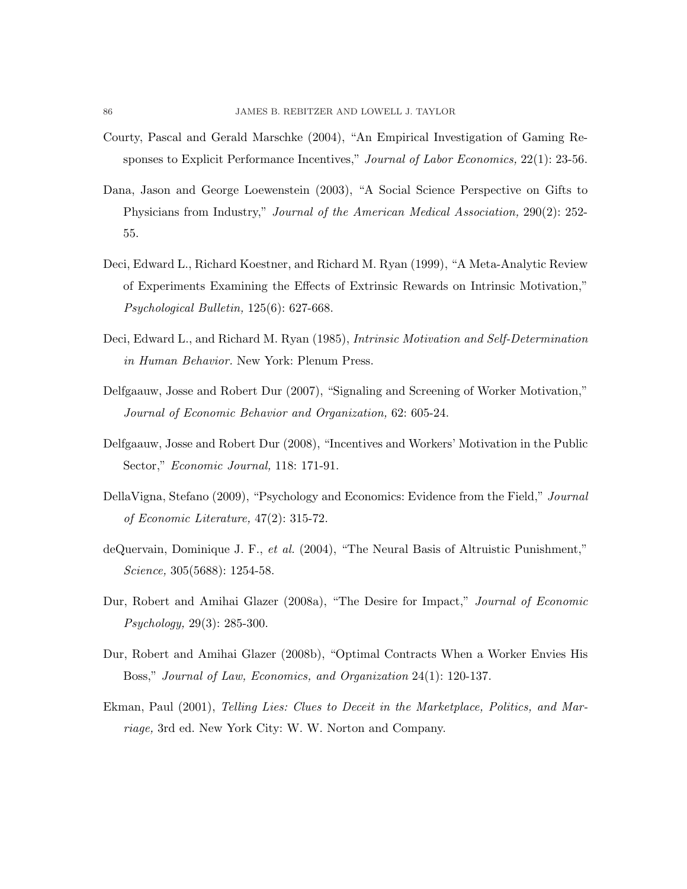- Courty, Pascal and Gerald Marschke (2004), "An Empirical Investigation of Gaming Responses to Explicit Performance Incentives," Journal of Labor Economics, 22(1): 23-56.
- Dana, Jason and George Loewenstein (2003), "A Social Science Perspective on Gifts to Physicians from Industry," Journal of the American Medical Association, 290(2): 252- 55.
- Deci, Edward L., Richard Koestner, and Richard M. Ryan (1999), "A Meta-Analytic Review of Experiments Examining the Effects of Extrinsic Rewards on Intrinsic Motivation," Psychological Bulletin, 125(6): 627-668.
- Deci, Edward L., and Richard M. Ryan (1985), Intrinsic Motivation and Self-Determination in Human Behavior. New York: Plenum Press.
- Delfgaauw, Josse and Robert Dur (2007), "Signaling and Screening of Worker Motivation," Journal of Economic Behavior and Organization, 62: 605-24.
- Delfgaauw, Josse and Robert Dur (2008), "Incentives and Workers' Motivation in the Public Sector," Economic Journal, 118: 171-91.
- DellaVigna, Stefano (2009), "Psychology and Economics: Evidence from the Field," Journal of Economic Literature, 47(2): 315-72.
- deQuervain, Dominique J. F., et al. (2004), "The Neural Basis of Altruistic Punishment," Science, 305(5688): 1254-58.
- Dur, Robert and Amihai Glazer (2008a), "The Desire for Impact," Journal of Economic Psychology, 29(3): 285-300.
- Dur, Robert and Amihai Glazer (2008b), "Optimal Contracts When a Worker Envies His Boss," Journal of Law, Economics, and Organization 24(1): 120-137.
- Ekman, Paul (2001), Telling Lies: Clues to Deceit in the Marketplace, Politics, and Marriage, 3rd ed. New York City: W. W. Norton and Company.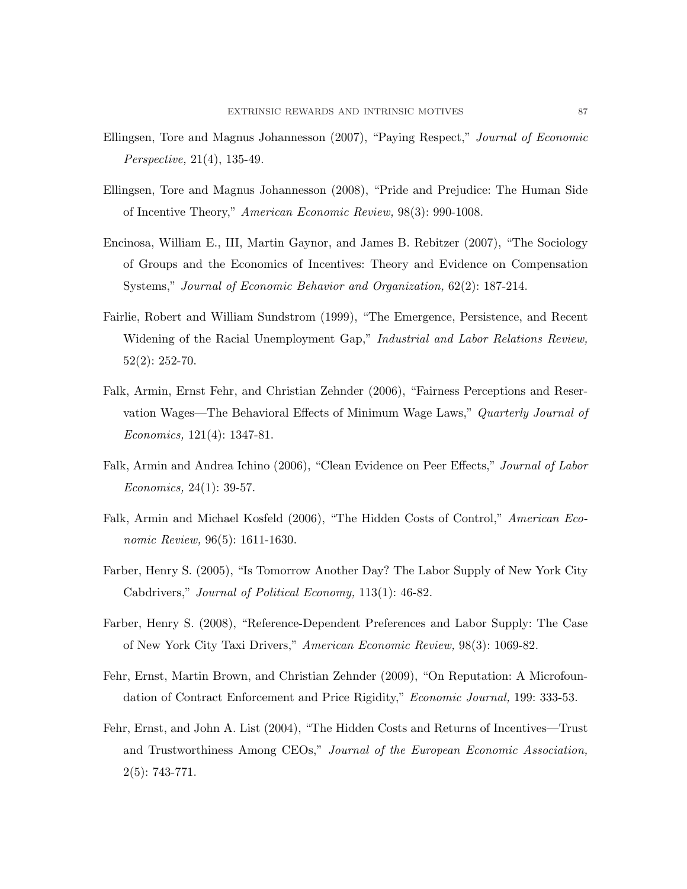- Ellingsen, Tore and Magnus Johannesson (2007), "Paying Respect," Journal of Economic Perspective, 21(4), 135-49.
- Ellingsen, Tore and Magnus Johannesson (2008), "Pride and Prejudice: The Human Side of Incentive Theory," American Economic Review, 98(3): 990-1008.
- Encinosa, William E., III, Martin Gaynor, and James B. Rebitzer (2007), "The Sociology of Groups and the Economics of Incentives: Theory and Evidence on Compensation Systems," Journal of Economic Behavior and Organization, 62(2): 187-214.
- Fairlie, Robert and William Sundstrom (1999), "The Emergence, Persistence, and Recent Widening of the Racial Unemployment Gap," Industrial and Labor Relations Review, 52(2): 252-70.
- Falk, Armin, Ernst Fehr, and Christian Zehnder (2006), "Fairness Perceptions and Reservation Wages—The Behavioral Effects of Minimum Wage Laws," Quarterly Journal of Economics, 121(4): 1347-81.
- Falk, Armin and Andrea Ichino (2006), "Clean Evidence on Peer Effects," Journal of Labor Economics, 24(1): 39-57.
- Falk, Armin and Michael Kosfeld (2006), "The Hidden Costs of Control," American Economic Review, 96(5): 1611-1630.
- Farber, Henry S. (2005), "Is Tomorrow Another Day? The Labor Supply of New York City Cabdrivers," Journal of Political Economy, 113(1): 46-82.
- Farber, Henry S. (2008), "Reference-Dependent Preferences and Labor Supply: The Case of New York City Taxi Drivers," American Economic Review, 98(3): 1069-82.
- Fehr, Ernst, Martin Brown, and Christian Zehnder (2009), "On Reputation: A Microfoundation of Contract Enforcement and Price Rigidity," Economic Journal, 199: 333-53.
- Fehr, Ernst, and John A. List (2004), "The Hidden Costs and Returns of Incentives—Trust and Trustworthiness Among CEOs," Journal of the European Economic Association, 2(5): 743-771.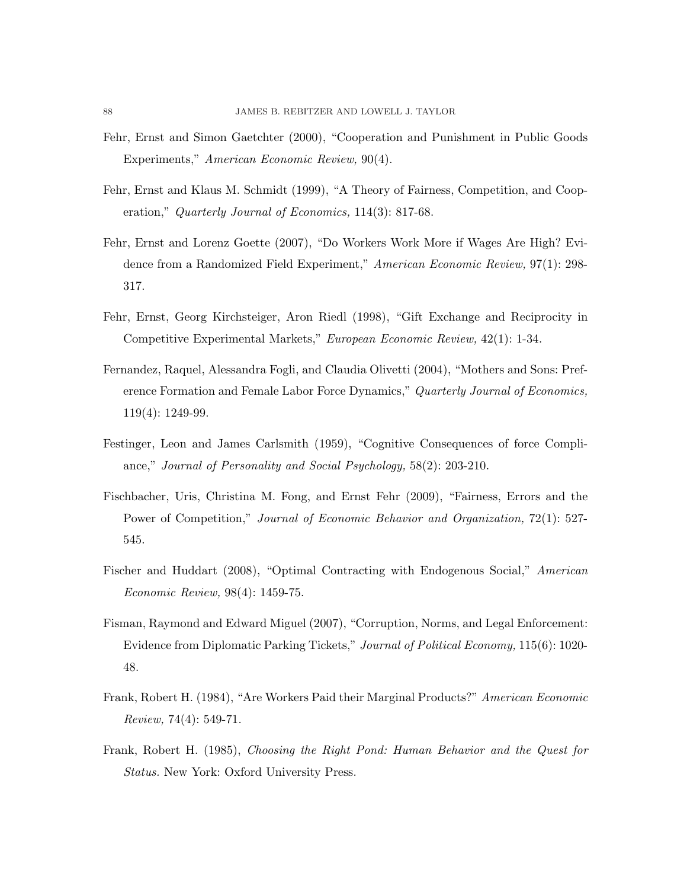- Fehr, Ernst and Simon Gaetchter (2000), "Cooperation and Punishment in Public Goods Experiments," American Economic Review, 90(4).
- Fehr, Ernst and Klaus M. Schmidt (1999), "A Theory of Fairness, Competition, and Cooperation," Quarterly Journal of Economics, 114(3): 817-68.
- Fehr, Ernst and Lorenz Goette (2007), "Do Workers Work More if Wages Are High? Evidence from a Randomized Field Experiment," American Economic Review, 97(1): 298- 317.
- Fehr, Ernst, Georg Kirchsteiger, Aron Riedl (1998), "Gift Exchange and Reciprocity in Competitive Experimental Markets," European Economic Review, 42(1): 1-34.
- Fernandez, Raquel, Alessandra Fogli, and Claudia Olivetti (2004), "Mothers and Sons: Preference Formation and Female Labor Force Dynamics," Quarterly Journal of Economics, 119(4): 1249-99.
- Festinger, Leon and James Carlsmith (1959), "Cognitive Consequences of force Compliance," Journal of Personality and Social Psychology, 58(2): 203-210.
- Fischbacher, Uris, Christina M. Fong, and Ernst Fehr (2009), "Fairness, Errors and the Power of Competition," Journal of Economic Behavior and Organization, 72(1): 527- 545.
- Fischer and Huddart (2008), "Optimal Contracting with Endogenous Social," American Economic Review, 98(4): 1459-75.
- Fisman, Raymond and Edward Miguel (2007), "Corruption, Norms, and Legal Enforcement: Evidence from Diplomatic Parking Tickets," Journal of Political Economy, 115(6): 1020- 48.
- Frank, Robert H. (1984), "Are Workers Paid their Marginal Products?" American Economic Review, 74(4): 549-71.
- Frank, Robert H. (1985), Choosing the Right Pond: Human Behavior and the Quest for Status. New York: Oxford University Press.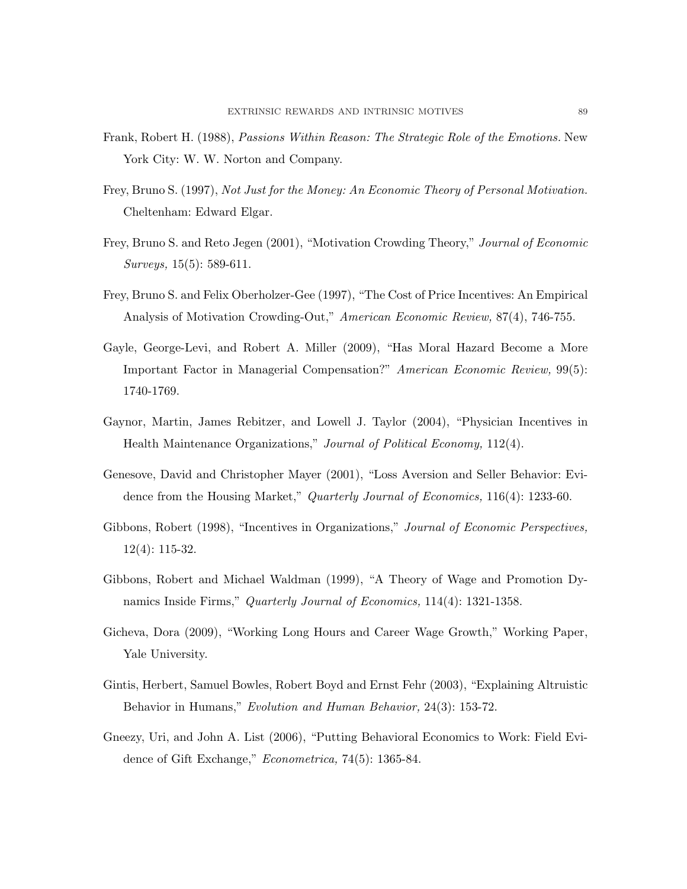- Frank, Robert H. (1988), Passions Within Reason: The Strategic Role of the Emotions. New York City: W. W. Norton and Company.
- Frey, Bruno S. (1997), Not Just for the Money: An Economic Theory of Personal Motivation. Cheltenham: Edward Elgar.
- Frey, Bruno S. and Reto Jegen (2001), "Motivation Crowding Theory," Journal of Economic Surveys, 15(5): 589-611.
- Frey, Bruno S. and Felix Oberholzer-Gee (1997), "The Cost of Price Incentives: An Empirical Analysis of Motivation Crowding-Out," American Economic Review, 87(4), 746-755.
- Gayle, George-Levi, and Robert A. Miller (2009), "Has Moral Hazard Become a More Important Factor in Managerial Compensation?" American Economic Review, 99(5): 1740-1769.
- Gaynor, Martin, James Rebitzer, and Lowell J. Taylor (2004), "Physician Incentives in Health Maintenance Organizations," Journal of Political Economy, 112(4).
- Genesove, David and Christopher Mayer (2001), "Loss Aversion and Seller Behavior: Evidence from the Housing Market," Quarterly Journal of Economics, 116(4): 1233-60.
- Gibbons, Robert (1998), "Incentives in Organizations," *Journal of Economic Perspectives*, 12(4): 115-32.
- Gibbons, Robert and Michael Waldman (1999), "A Theory of Wage and Promotion Dynamics Inside Firms," Quarterly Journal of Economics, 114(4): 1321-1358.
- Gicheva, Dora (2009), "Working Long Hours and Career Wage Growth," Working Paper, Yale University.
- Gintis, Herbert, Samuel Bowles, Robert Boyd and Ernst Fehr (2003), "Explaining Altruistic Behavior in Humans," Evolution and Human Behavior, 24(3): 153-72.
- Gneezy, Uri, and John A. List (2006), "Putting Behavioral Economics to Work: Field Evidence of Gift Exchange," Econometrica, 74(5): 1365-84.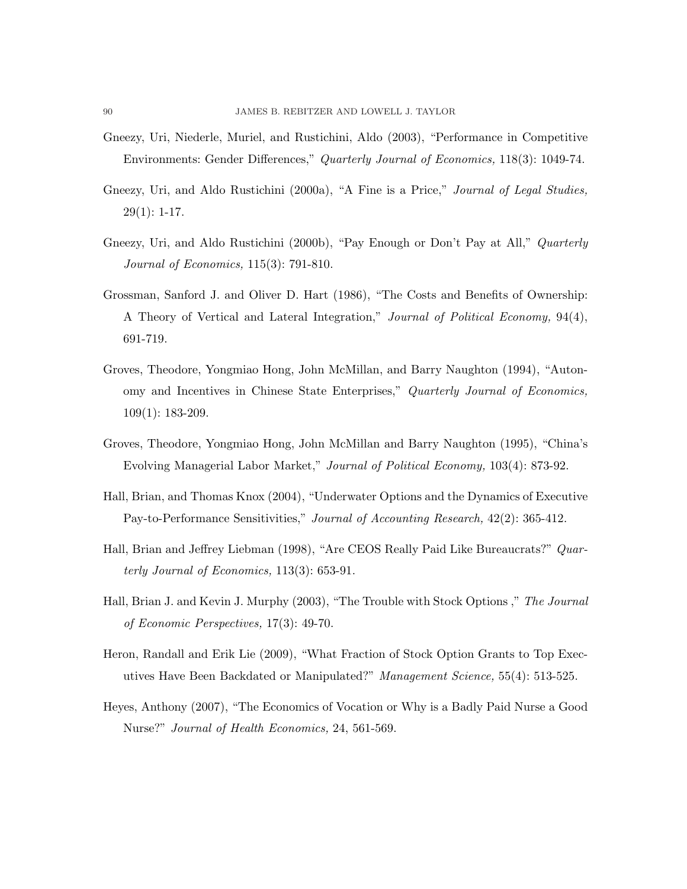- Gneezy, Uri, Niederle, Muriel, and Rustichini, Aldo (2003), "Performance in Competitive Environments: Gender Differences," Quarterly Journal of Economics, 118(3): 1049-74.
- Gneezy, Uri, and Aldo Rustichini (2000a), "A Fine is a Price," Journal of Legal Studies,  $29(1): 1-17.$
- Gneezy, Uri, and Aldo Rustichini (2000b), "Pay Enough or Don't Pay at All," *Quarterly* Journal of Economics, 115(3): 791-810.
- Grossman, Sanford J. and Oliver D. Hart (1986), "The Costs and Benefits of Ownership: A Theory of Vertical and Lateral Integration," Journal of Political Economy, 94(4), 691-719.
- Groves, Theodore, Yongmiao Hong, John McMillan, and Barry Naughton (1994), "Autonomy and Incentives in Chinese State Enterprises," Quarterly Journal of Economics, 109(1): 183-209.
- Groves, Theodore, Yongmiao Hong, John McMillan and Barry Naughton (1995), "China's Evolving Managerial Labor Market," Journal of Political Economy, 103(4): 873-92.
- Hall, Brian, and Thomas Knox (2004), "Underwater Options and the Dynamics of Executive Pay-to-Performance Sensitivities," Journal of Accounting Research, 42(2): 365-412.
- Hall, Brian and Jeffrey Liebman (1998), "Are CEOS Really Paid Like Bureaucrats?" Quarterly Journal of Economics, 113(3): 653-91.
- Hall, Brian J. and Kevin J. Murphy (2003), "The Trouble with Stock Options ," The Journal of Economic Perspectives, 17(3): 49-70.
- Heron, Randall and Erik Lie (2009), "What Fraction of Stock Option Grants to Top Executives Have Been Backdated or Manipulated?" Management Science, 55(4): 513-525.
- Heyes, Anthony (2007), "The Economics of Vocation or Why is a Badly Paid Nurse a Good Nurse?" Journal of Health Economics, 24, 561-569.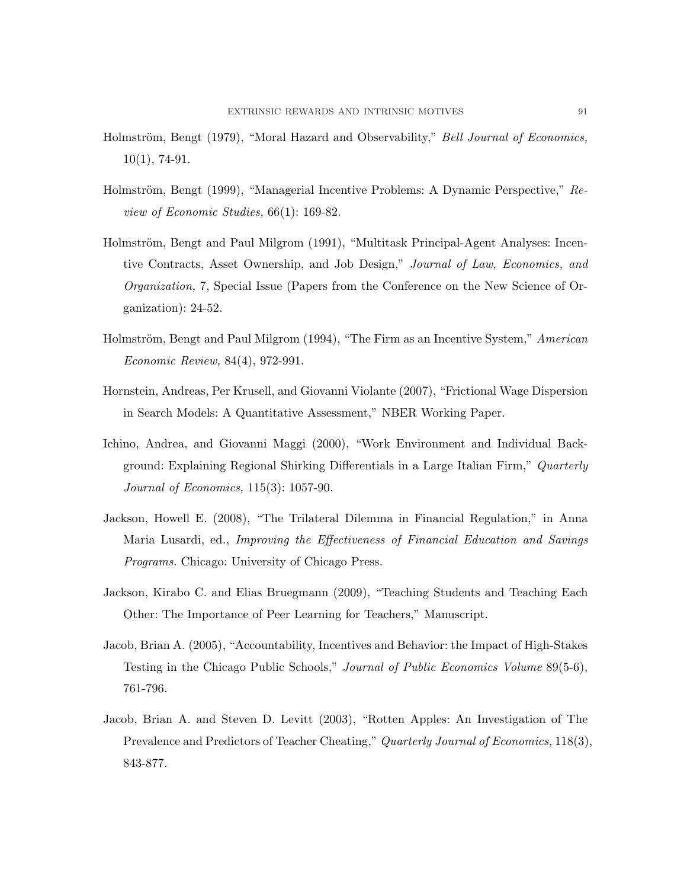- Holmström, Bengt (1979), "Moral Hazard and Observability," Bell Journal of Economics, 10(1), 74-91.
- Holmström, Bengt (1999), "Managerial Incentive Problems: A Dynamic Perspective," Review of Economic Studies, 66(1): 169-82.
- Holmström, Bengt and Paul Milgrom (1991), "Multitask Principal-Agent Analyses: Incentive Contracts, Asset Ownership, and Job Design," Journal of Law, Economics, and Organization, 7, Special Issue (Papers from the Conference on the New Science of Organization): 24-52.
- Holmström, Bengt and Paul Milgrom (1994), "The Firm as an Incentive System," American Economic Review, 84(4), 972-991.
- Hornstein, Andreas, Per Krusell, and Giovanni Violante (2007), "Frictional Wage Dispersion in Search Models: A Quantitative Assessment," NBER Working Paper.
- Ichino, Andrea, and Giovanni Maggi (2000), "Work Environment and Individual Background: Explaining Regional Shirking Differentials in a Large Italian Firm," Quarterly Journal of Economics, 115(3): 1057-90.
- Jackson, Howell E. (2008), "The Trilateral Dilemma in Financial Regulation," in Anna Maria Lusardi, ed., Improving the Effectiveness of Financial Education and Savings Programs. Chicago: University of Chicago Press.
- Jackson, Kirabo C. and Elias Bruegmann (2009), "Teaching Students and Teaching Each Other: The Importance of Peer Learning for Teachers," Manuscript.
- Jacob, Brian A. (2005), "Accountability, Incentives and Behavior: the Impact of High-Stakes Testing in the Chicago Public Schools," Journal of Public Economics Volume 89(5-6), 761-796.
- Jacob, Brian A. and Steven D. Levitt (2003), "Rotten Apples: An Investigation of The Prevalence and Predictors of Teacher Cheating," Quarterly Journal of Economics, 118(3), 843-877.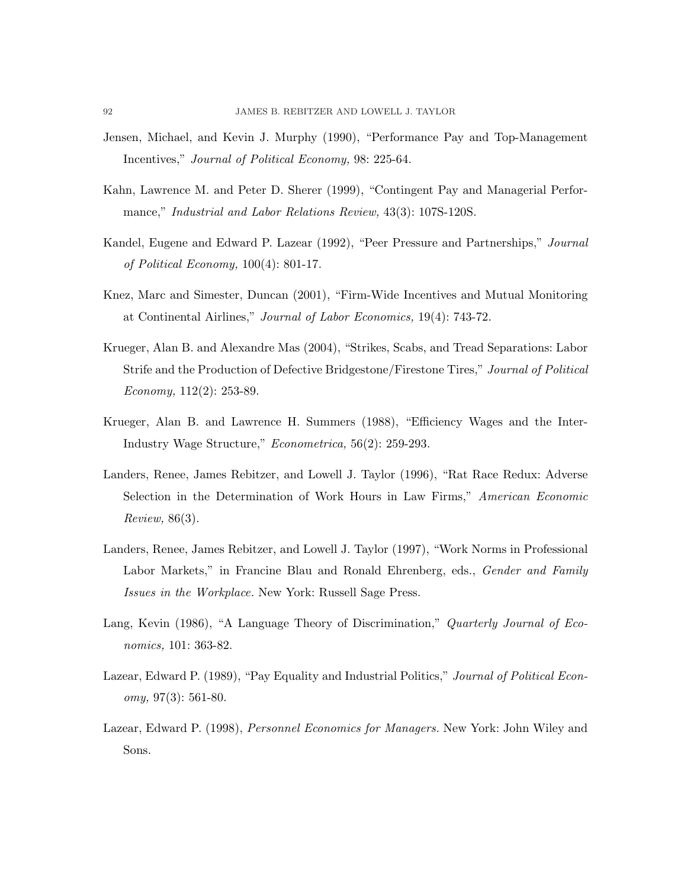- Jensen, Michael, and Kevin J. Murphy (1990), "Performance Pay and Top-Management Incentives," Journal of Political Economy, 98: 225-64.
- Kahn, Lawrence M. and Peter D. Sherer (1999), "Contingent Pay and Managerial Performance," Industrial and Labor Relations Review, 43(3): 107S-120S.
- Kandel, Eugene and Edward P. Lazear (1992), "Peer Pressure and Partnerships," Journal of Political Economy, 100(4): 801-17.
- Knez, Marc and Simester, Duncan (2001), "Firm-Wide Incentives and Mutual Monitoring at Continental Airlines," Journal of Labor Economics, 19(4): 743-72.
- Krueger, Alan B. and Alexandre Mas (2004), "Strikes, Scabs, and Tread Separations: Labor Strife and the Production of Defective Bridgestone/Firestone Tires," Journal of Political Economy, 112(2): 253-89.
- Krueger, Alan B. and Lawrence H. Summers (1988), "Efficiency Wages and the Inter-Industry Wage Structure," Econometrica, 56(2): 259-293.
- Landers, Renee, James Rebitzer, and Lowell J. Taylor (1996), "Rat Race Redux: Adverse Selection in the Determination of Work Hours in Law Firms," American Economic Review, 86(3).
- Landers, Renee, James Rebitzer, and Lowell J. Taylor (1997), "Work Norms in Professional Labor Markets," in Francine Blau and Ronald Ehrenberg, eds., Gender and Family Issues in the Workplace. New York: Russell Sage Press.
- Lang, Kevin (1986), "A Language Theory of Discrimination," Quarterly Journal of Economics, 101: 363-82.
- Lazear, Edward P. (1989), "Pay Equality and Industrial Politics," Journal of Political Econ $omy, 97(3): 561-80.$
- Lazear, Edward P. (1998), Personnel Economics for Managers. New York: John Wiley and Sons.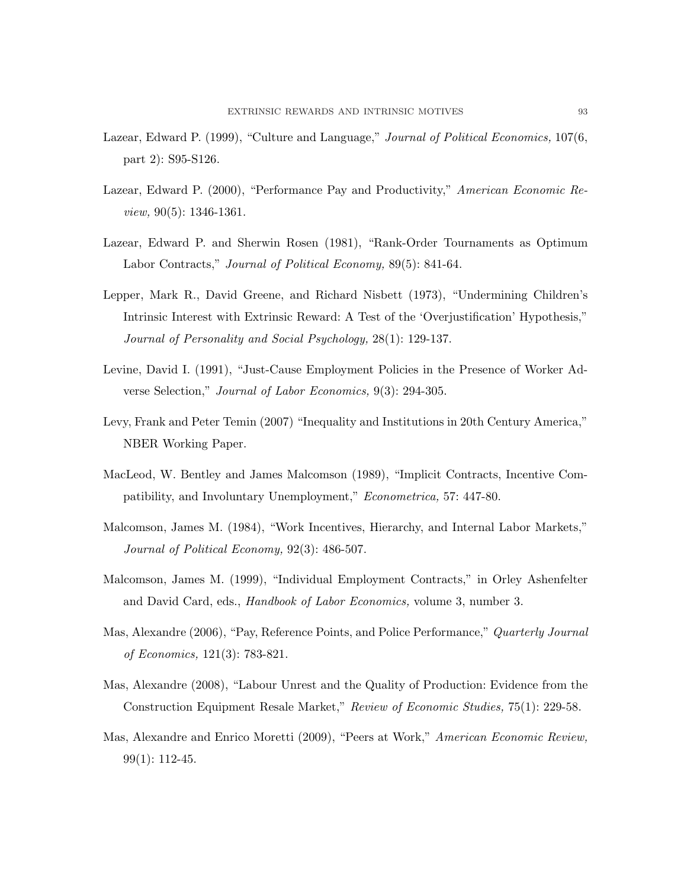- Lazear, Edward P. (1999), "Culture and Language," Journal of Political Economics, 107(6, part 2): S95-S126.
- Lazear, Edward P. (2000), "Performance Pay and Productivity," American Economic Review, 90(5): 1346-1361.
- Lazear, Edward P. and Sherwin Rosen (1981), "Rank-Order Tournaments as Optimum Labor Contracts," Journal of Political Economy, 89(5): 841-64.
- Lepper, Mark R., David Greene, and Richard Nisbett (1973), "Undermining Children's Intrinsic Interest with Extrinsic Reward: A Test of the 'Overjustification' Hypothesis," Journal of Personality and Social Psychology, 28(1): 129-137.
- Levine, David I. (1991), "Just-Cause Employment Policies in the Presence of Worker Adverse Selection," Journal of Labor Economics, 9(3): 294-305.
- Levy, Frank and Peter Temin (2007) "Inequality and Institutions in 20th Century America," NBER Working Paper.
- MacLeod, W. Bentley and James Malcomson (1989), "Implicit Contracts, Incentive Compatibility, and Involuntary Unemployment," Econometrica, 57: 447-80.
- Malcomson, James M. (1984), "Work Incentives, Hierarchy, and Internal Labor Markets," Journal of Political Economy, 92(3): 486-507.
- Malcomson, James M. (1999), "Individual Employment Contracts," in Orley Ashenfelter and David Card, eds., Handbook of Labor Economics, volume 3, number 3.
- Mas, Alexandre (2006), "Pay, Reference Points, and Police Performance," Quarterly Journal of Economics, 121(3): 783-821.
- Mas, Alexandre (2008), "Labour Unrest and the Quality of Production: Evidence from the Construction Equipment Resale Market," Review of Economic Studies, 75(1): 229-58.
- Mas, Alexandre and Enrico Moretti (2009), "Peers at Work," American Economic Review, 99(1): 112-45.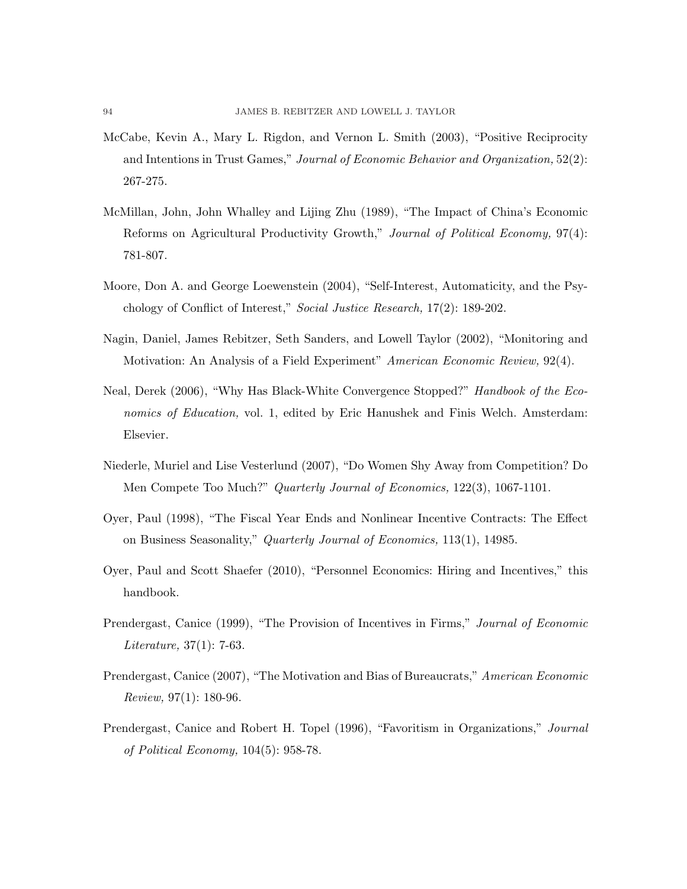- McCabe, Kevin A., Mary L. Rigdon, and Vernon L. Smith (2003), "Positive Reciprocity and Intentions in Trust Games," Journal of Economic Behavior and Organization, 52(2): 267-275.
- McMillan, John, John Whalley and Lijing Zhu (1989), "The Impact of China's Economic Reforms on Agricultural Productivity Growth," Journal of Political Economy, 97(4): 781-807.
- Moore, Don A. and George Loewenstein (2004), "Self-Interest, Automaticity, and the Psychology of Conflict of Interest," Social Justice Research, 17(2): 189-202.
- Nagin, Daniel, James Rebitzer, Seth Sanders, and Lowell Taylor (2002), "Monitoring and Motivation: An Analysis of a Field Experiment" American Economic Review, 92(4).
- Neal, Derek (2006), "Why Has Black-White Convergence Stopped?" Handbook of the Economics of Education, vol. 1, edited by Eric Hanushek and Finis Welch. Amsterdam: Elsevier.
- Niederle, Muriel and Lise Vesterlund (2007), "Do Women Shy Away from Competition? Do Men Compete Too Much?" Quarterly Journal of Economics, 122(3), 1067-1101.
- Oyer, Paul (1998), "The Fiscal Year Ends and Nonlinear Incentive Contracts: The Effect on Business Seasonality," Quarterly Journal of Economics, 113(1), 14985.
- Oyer, Paul and Scott Shaefer (2010), "Personnel Economics: Hiring and Incentives," this handbook.
- Prendergast, Canice (1999), "The Provision of Incentives in Firms," Journal of Economic Literature, 37(1): 7-63.
- Prendergast, Canice (2007), "The Motivation and Bias of Bureaucrats," American Economic Review, 97(1): 180-96.
- Prendergast, Canice and Robert H. Topel (1996), "Favoritism in Organizations," Journal of Political Economy, 104(5): 958-78.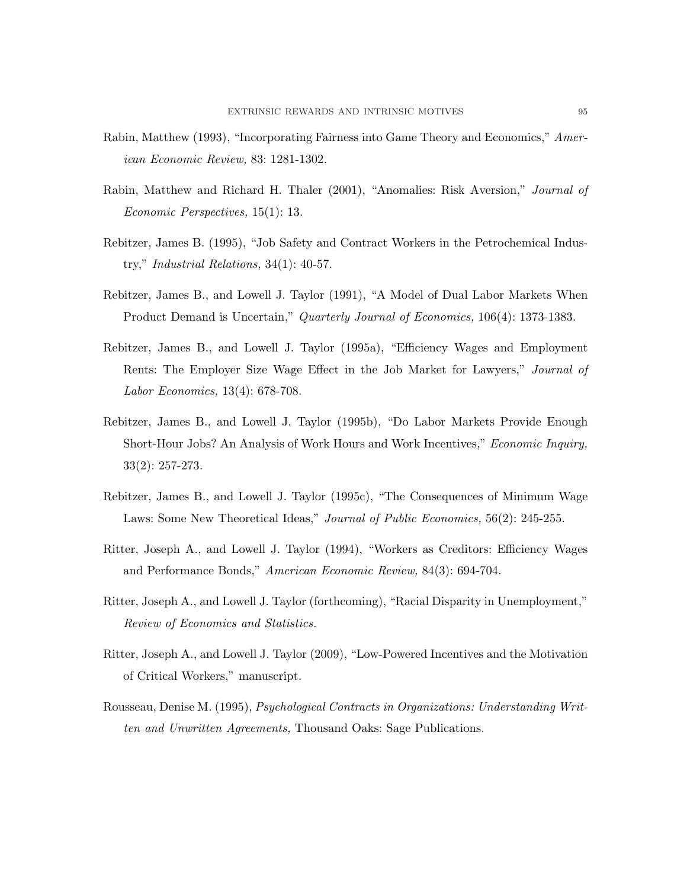- Rabin, Matthew (1993), "Incorporating Fairness into Game Theory and Economics," American Economic Review, 83: 1281-1302.
- Rabin, Matthew and Richard H. Thaler (2001), "Anomalies: Risk Aversion," Journal of Economic Perspectives, 15(1): 13.
- Rebitzer, James B. (1995), "Job Safety and Contract Workers in the Petrochemical Industry," Industrial Relations, 34(1): 40-57.
- Rebitzer, James B., and Lowell J. Taylor (1991), "A Model of Dual Labor Markets When Product Demand is Uncertain," Quarterly Journal of Economics, 106(4): 1373-1383.
- Rebitzer, James B., and Lowell J. Taylor (1995a), "Efficiency Wages and Employment Rents: The Employer Size Wage Effect in the Job Market for Lawyers," Journal of Labor Economics, 13(4): 678-708.
- Rebitzer, James B., and Lowell J. Taylor (1995b), "Do Labor Markets Provide Enough Short-Hour Jobs? An Analysis of Work Hours and Work Incentives," Economic Inquiry, 33(2): 257-273.
- Rebitzer, James B., and Lowell J. Taylor (1995c), "The Consequences of Minimum Wage Laws: Some New Theoretical Ideas," Journal of Public Economics, 56(2): 245-255.
- Ritter, Joseph A., and Lowell J. Taylor (1994), "Workers as Creditors: Efficiency Wages and Performance Bonds," American Economic Review, 84(3): 694-704.
- Ritter, Joseph A., and Lowell J. Taylor (forthcoming), "Racial Disparity in Unemployment," Review of Economics and Statistics.
- Ritter, Joseph A., and Lowell J. Taylor (2009), "Low-Powered Incentives and the Motivation of Critical Workers," manuscript.
- Rousseau, Denise M. (1995), Psychological Contracts in Organizations: Understanding Written and Unwritten Agreements, Thousand Oaks: Sage Publications.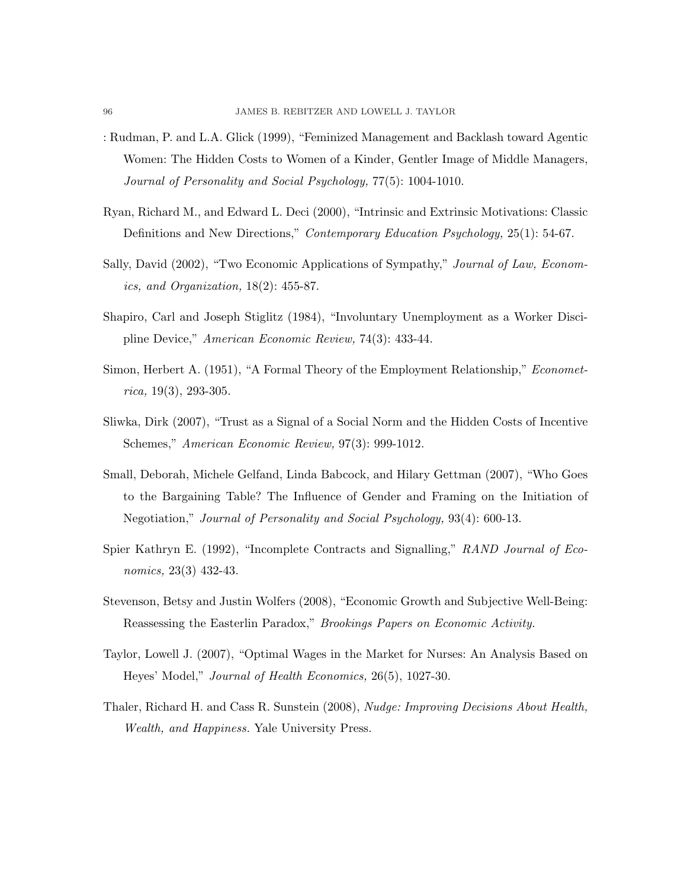- : Rudman, P. and L.A. Glick (1999), "Feminized Management and Backlash toward Agentic Women: The Hidden Costs to Women of a Kinder, Gentler Image of Middle Managers, Journal of Personality and Social Psychology, 77(5): 1004-1010.
- Ryan, Richard M., and Edward L. Deci (2000), "Intrinsic and Extrinsic Motivations: Classic Definitions and New Directions," Contemporary Education Psychology, 25(1): 54-67.
- Sally, David (2002), "Two Economic Applications of Sympathy," Journal of Law, Economics, and Organization, 18(2): 455-87.
- Shapiro, Carl and Joseph Stiglitz (1984), "Involuntary Unemployment as a Worker Discipline Device," American Economic Review, 74(3): 433-44.
- Simon, Herbert A. (1951), "A Formal Theory of the Employment Relationship," Economet $rica, 19(3), 293-305.$
- Sliwka, Dirk (2007), "Trust as a Signal of a Social Norm and the Hidden Costs of Incentive Schemes," American Economic Review, 97(3): 999-1012.
- Small, Deborah, Michele Gelfand, Linda Babcock, and Hilary Gettman (2007), "Who Goes to the Bargaining Table? The Influence of Gender and Framing on the Initiation of Negotiation," Journal of Personality and Social Psychology, 93(4): 600-13.
- Spier Kathryn E. (1992), "Incomplete Contracts and Signalling," RAND Journal of Economics, 23(3) 432-43.
- Stevenson, Betsy and Justin Wolfers (2008), "Economic Growth and Subjective Well-Being: Reassessing the Easterlin Paradox," Brookings Papers on Economic Activity.
- Taylor, Lowell J. (2007), "Optimal Wages in the Market for Nurses: An Analysis Based on Heyes' Model," Journal of Health Economics, 26(5), 1027-30.
- Thaler, Richard H. and Cass R. Sunstein (2008), Nudge: Improving Decisions About Health, Wealth, and Happiness. Yale University Press.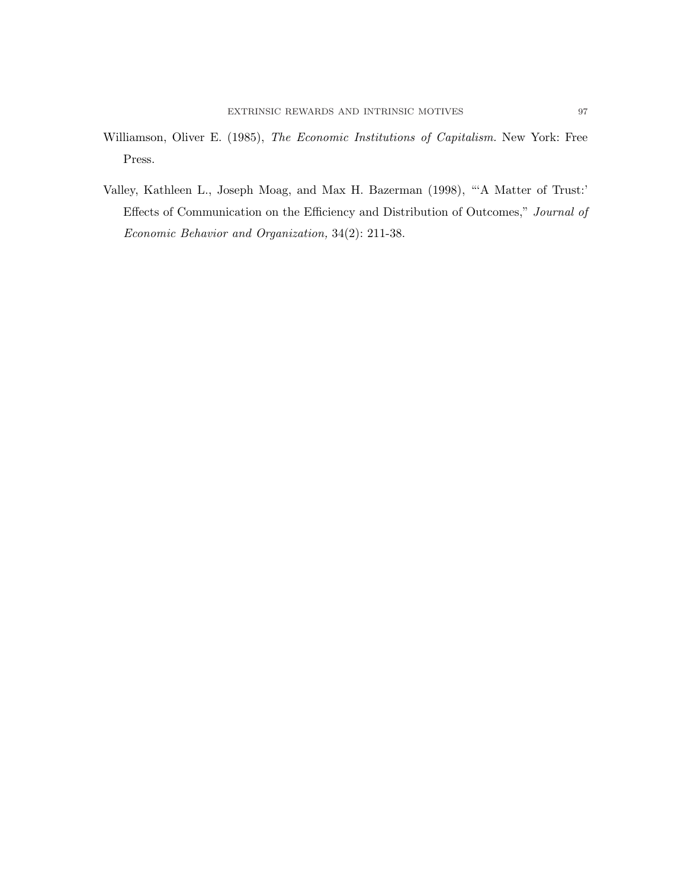- Williamson, Oliver E. (1985), The Economic Institutions of Capitalism. New York: Free Press.
- Valley, Kathleen L., Joseph Moag, and Max H. Bazerman (1998), "'A Matter of Trust:' Effects of Communication on the Efficiency and Distribution of Outcomes," Journal of Economic Behavior and Organization, 34(2): 211-38.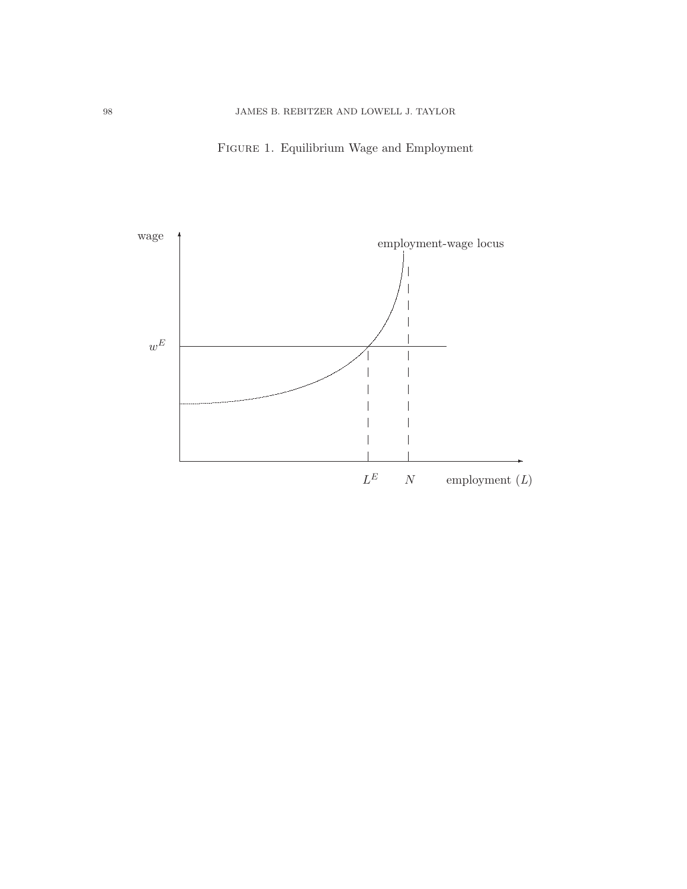

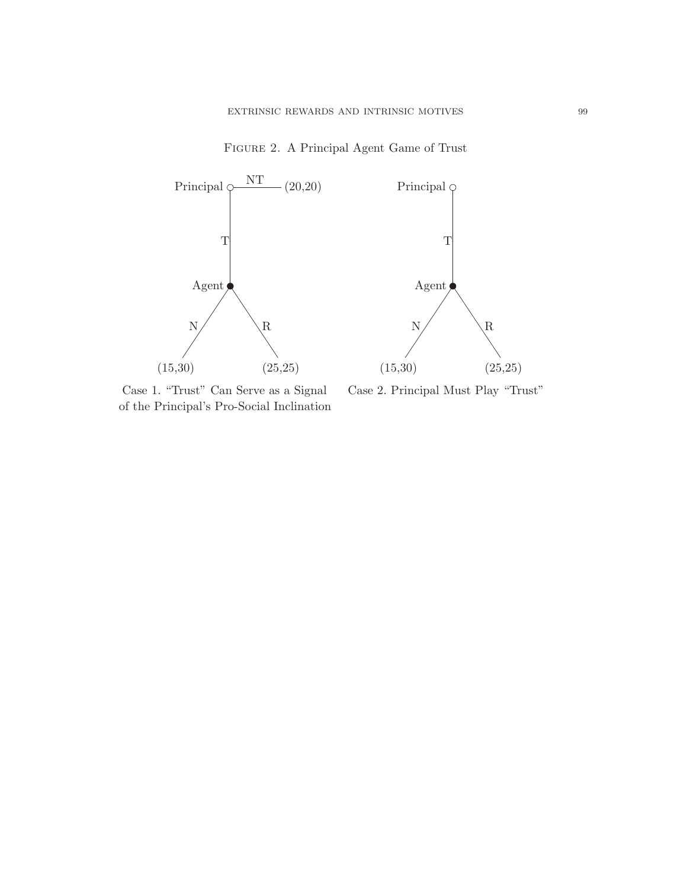

Figure 2. A Principal Agent Game of Trust





Case 2. Principal Must Play "Trust"